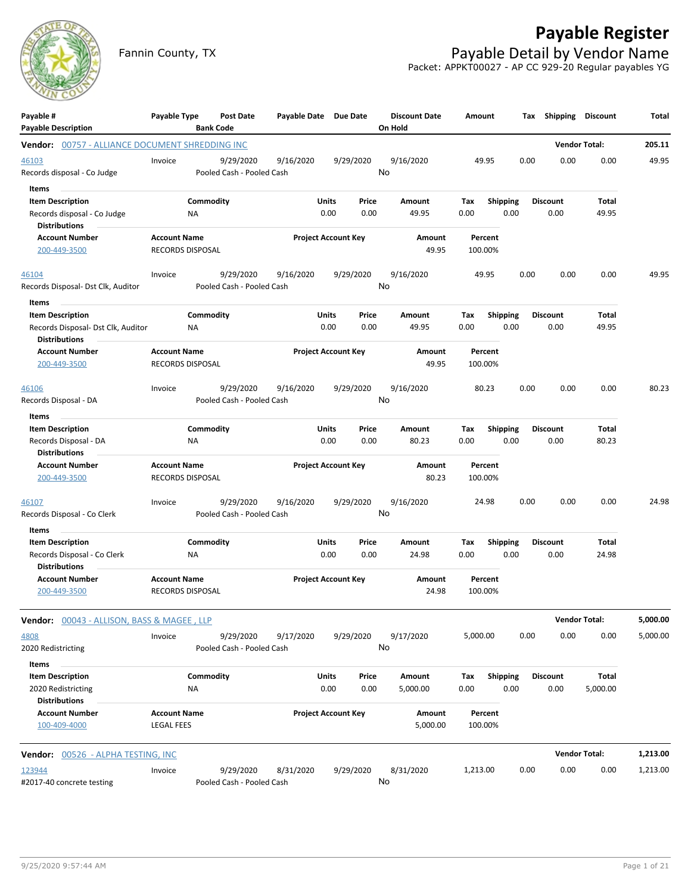

# **Payable Register**

Fannin County, TX **Payable Detail by Vendor Name** Packet: APPKT00027 - AP CC 929-20 Regular payables YG

| Payable #<br><b>Payable Description</b>                                                        | Payable Type                                   | Post Date<br><b>Bank Code</b>          | Payable Date Due Date |                            |               | <b>Discount Date</b><br>On Hold | Amount             |                         | Tax Shipping            | <b>Discount</b>      | Total    |
|------------------------------------------------------------------------------------------------|------------------------------------------------|----------------------------------------|-----------------------|----------------------------|---------------|---------------------------------|--------------------|-------------------------|-------------------------|----------------------|----------|
| Vendor: 00757 - ALLIANCE DOCUMENT SHREDDING INC                                                |                                                |                                        |                       |                            |               |                                 |                    |                         |                         | <b>Vendor Total:</b> | 205.11   |
| 46103<br>Records disposal - Co Judge                                                           | Invoice                                        | 9/29/2020<br>Pooled Cash - Pooled Cash | 9/16/2020             | 9/29/2020                  |               | 9/16/2020<br>No                 | 49.95              | 0.00                    | 0.00                    | 0.00                 | 49.95    |
| Items<br><b>Item Description</b><br>Records disposal - Co Judge<br><b>Distributions</b>        | ΝA                                             | Commodity                              |                       | Units<br>0.00              | Price<br>0.00 | Amount<br>49.95                 | Tax<br>0.00        | <b>Shipping</b><br>0.00 | <b>Discount</b><br>0.00 | Total<br>49.95       |          |
| <b>Account Number</b><br>200-449-3500                                                          | <b>Account Name</b><br>RECORDS DISPOSAL        |                                        |                       | <b>Project Account Key</b> |               | Amount<br>49.95                 | Percent<br>100.00% |                         |                         |                      |          |
| 46104<br>Records Disposal- Dst Clk, Auditor                                                    | Invoice                                        | 9/29/2020<br>Pooled Cash - Pooled Cash | 9/16/2020             | 9/29/2020                  |               | 9/16/2020<br>No                 | 49.95              | 0.00                    | 0.00                    | 0.00                 | 49.95    |
| Items<br><b>Item Description</b><br>Records Disposal- Dst Clk, Auditor<br><b>Distributions</b> | <b>NA</b>                                      | Commodity                              |                       | Units<br>0.00              | Price<br>0.00 | Amount<br>49.95                 | Tax<br>0.00        | Shipping<br>0.00        | <b>Discount</b><br>0.00 | Total<br>49.95       |          |
| <b>Account Number</b><br>200-449-3500                                                          | <b>Account Name</b><br><b>RECORDS DISPOSAL</b> |                                        |                       | <b>Project Account Key</b> |               | Amount<br>49.95                 | Percent<br>100.00% |                         |                         |                      |          |
| 46106<br>Records Disposal - DA                                                                 | Invoice                                        | 9/29/2020<br>Pooled Cash - Pooled Cash | 9/16/2020             | 9/29/2020                  |               | 9/16/2020<br>No                 | 80.23              | 0.00                    | 0.00                    | 0.00                 | 80.23    |
| Items                                                                                          |                                                |                                        |                       |                            |               |                                 |                    |                         |                         |                      |          |
| <b>Item Description</b><br>Records Disposal - DA<br><b>Distributions</b>                       | ΝA                                             | Commodity                              |                       | Units<br>0.00              | Price<br>0.00 | Amount<br>80.23                 | Tax<br>0.00        | <b>Shipping</b><br>0.00 | <b>Discount</b><br>0.00 | Total<br>80.23       |          |
| <b>Account Number</b><br>200-449-3500                                                          | <b>Account Name</b><br>RECORDS DISPOSAL        |                                        |                       | <b>Project Account Key</b> |               | Amount<br>80.23                 | Percent<br>100.00% |                         |                         |                      |          |
| 46107<br>Records Disposal - Co Clerk                                                           | Invoice                                        | 9/29/2020<br>Pooled Cash - Pooled Cash | 9/16/2020             | 9/29/2020                  |               | 9/16/2020<br>No                 | 24.98              | 0.00                    | 0.00                    | 0.00                 | 24.98    |
| Items<br><b>Item Description</b><br>Records Disposal - Co Clerk<br><b>Distributions</b>        | ΝA                                             | Commodity                              |                       | Units<br>0.00              | Price<br>0.00 | Amount<br>24.98                 | Tax<br>0.00        | <b>Shipping</b><br>0.00 | <b>Discount</b><br>0.00 | Total<br>24.98       |          |
| <b>Account Number</b><br>200-449-3500                                                          | <b>Account Name</b><br>RECORDS DISPOSAL        |                                        |                       | <b>Project Account Key</b> |               | Amount<br>24.98                 | Percent<br>100.00% |                         |                         |                      |          |
| Vendor: 00043 - ALLISON, BASS & MAGEE, LLP                                                     |                                                |                                        |                       |                            |               |                                 |                    |                         |                         | <b>Vendor Total:</b> | 5,000.00 |
| 4808<br>2020 Redistricting                                                                     | Invoice                                        | 9/29/2020<br>Pooled Cash - Pooled Cash | 9/17/2020             |                            | 9/29/2020     | 9/17/2020<br>No                 | 5,000.00           | 0.00                    | 0.00                    | 0.00                 | 5,000.00 |
| Items<br><b>Item Description</b><br>2020 Redistricting                                         | NA                                             | Commodity                              |                       | Units<br>0.00              | Price<br>0.00 | Amount<br>5,000.00              | Tax<br>0.00        | Shipping<br>0.00        | <b>Discount</b><br>0.00 | Total<br>5,000.00    |          |
| <b>Distributions</b><br><b>Account Number</b><br>100-409-4000                                  | <b>Account Name</b><br><b>LEGAL FEES</b>       |                                        |                       | <b>Project Account Key</b> |               | Amount<br>5,000.00              | Percent<br>100.00% |                         |                         |                      |          |
| Vendor: 00526 - ALPHA TESTING, INC                                                             |                                                |                                        |                       |                            |               |                                 |                    |                         |                         | <b>Vendor Total:</b> | 1,213.00 |
| 123944<br>#2017-40 concrete testing                                                            | Invoice                                        | 9/29/2020<br>Pooled Cash - Pooled Cash | 8/31/2020             |                            | 9/29/2020     | 8/31/2020<br>No                 | 1,213.00           | 0.00                    | 0.00                    | 0.00                 | 1,213.00 |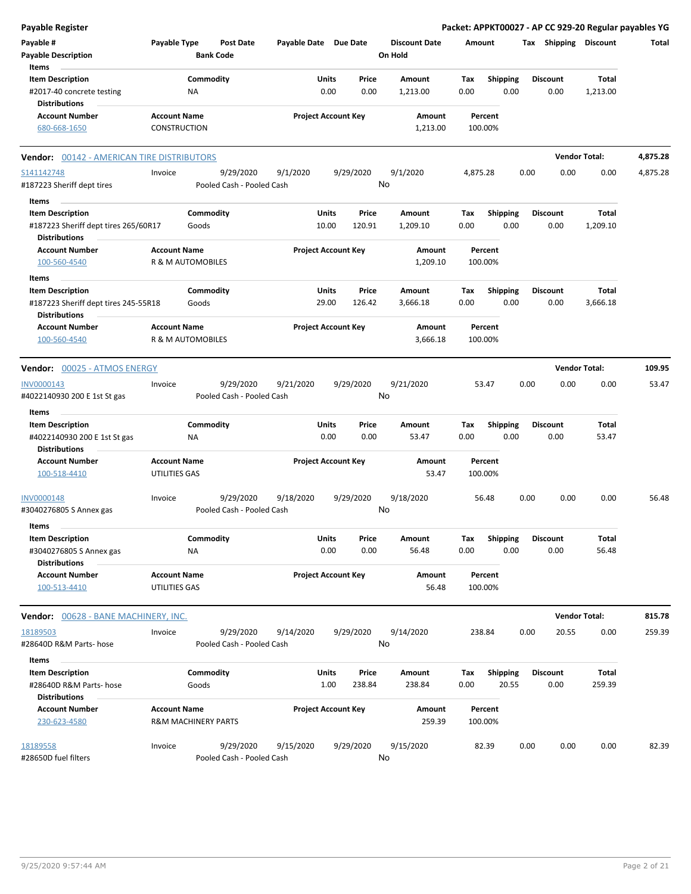| <b>Payable Register</b>                                                                 |                                                       |                                        |                       |                                   |                                 | Packet: APPKT00027 - AP CC 929-20 Regular payables YG |      |                         |                      |          |
|-----------------------------------------------------------------------------------------|-------------------------------------------------------|----------------------------------------|-----------------------|-----------------------------------|---------------------------------|-------------------------------------------------------|------|-------------------------|----------------------|----------|
| Payable #<br><b>Payable Description</b>                                                 | Payable Type                                          | <b>Post Date</b><br><b>Bank Code</b>   | Payable Date Due Date |                                   | <b>Discount Date</b><br>On Hold | Amount                                                |      | Tax Shipping            | <b>Discount</b>      | Total    |
| Items<br><b>Item Description</b><br>#2017-40 concrete testing                           | <b>NA</b>                                             | Commodity                              |                       | Units<br>Price<br>0.00<br>0.00    | Amount<br>1,213.00              | <b>Shipping</b><br>Tax<br>0.00<br>0.00                |      | <b>Discount</b><br>0.00 | Total<br>1,213.00    |          |
| <b>Distributions</b>                                                                    |                                                       |                                        |                       |                                   |                                 |                                                       |      |                         |                      |          |
| <b>Account Number</b><br>680-668-1650                                                   | <b>Account Name</b><br>CONSTRUCTION                   |                                        |                       | <b>Project Account Key</b>        | Amount<br>1,213.00              | Percent<br>100.00%                                    |      |                         |                      |          |
| <b>Vendor: 00142 - AMERICAN TIRE DISTRIBUTORS</b>                                       |                                                       |                                        |                       |                                   |                                 |                                                       |      |                         | <b>Vendor Total:</b> | 4,875.28 |
| S141142748<br>#187223 Sheriff dept tires                                                | Invoice                                               | 9/29/2020<br>Pooled Cash - Pooled Cash | 9/1/2020              | 9/29/2020                         | 9/1/2020<br>No                  | 4,875.28                                              | 0.00 | 0.00                    | 0.00                 | 4,875.28 |
| Items                                                                                   |                                                       |                                        |                       |                                   |                                 |                                                       |      |                         |                      |          |
| <b>Item Description</b><br>#187223 Sheriff dept tires 265/60R17<br><b>Distributions</b> |                                                       | Commodity<br>Goods                     |                       | Units<br>Price<br>120.91<br>10.00 | Amount<br>1,209.10              | <b>Shipping</b><br>Tax<br>0.00<br>0.00                |      | <b>Discount</b><br>0.00 | Total<br>1,209.10    |          |
| <b>Account Number</b><br>100-560-4540                                                   | <b>Account Name</b><br>R & M AUTOMOBILES              |                                        |                       | <b>Project Account Key</b>        | Amount<br>1,209.10              | Percent<br>100.00%                                    |      |                         |                      |          |
| <b>Items</b>                                                                            |                                                       |                                        |                       |                                   |                                 |                                                       |      |                         |                      |          |
| <b>Item Description</b><br>#187223 Sheriff dept tires 245-55R18                         |                                                       | Commodity<br>Goods                     |                       | Units<br>Price<br>29.00<br>126.42 | Amount<br>3,666.18              | Tax<br><b>Shipping</b><br>0.00<br>0.00                |      | <b>Discount</b><br>0.00 | Total<br>3,666.18    |          |
| <b>Distributions</b><br><b>Account Number</b>                                           | <b>Account Name</b>                                   |                                        |                       | <b>Project Account Key</b>        | Amount                          | Percent                                               |      |                         |                      |          |
| 100-560-4540                                                                            | R & M AUTOMOBILES                                     |                                        |                       |                                   | 3,666.18                        | 100.00%                                               |      |                         |                      |          |
| Vendor: 00025 - ATMOS ENERGY                                                            |                                                       |                                        |                       |                                   |                                 |                                                       |      |                         | <b>Vendor Total:</b> | 109.95   |
| INV0000143                                                                              | Invoice                                               | 9/29/2020                              | 9/21/2020             | 9/29/2020                         | 9/21/2020                       | 53.47                                                 | 0.00 | 0.00                    | 0.00                 | 53.47    |
| #4022140930 200 E 1st St gas<br>Items                                                   |                                                       | Pooled Cash - Pooled Cash              |                       |                                   | No                              |                                                       |      |                         |                      |          |
| <b>Item Description</b>                                                                 |                                                       | Commodity                              |                       | Units<br>Price                    | Amount                          | <b>Shipping</b><br>Tax                                |      | <b>Discount</b>         | Total                |          |
| #4022140930 200 E 1st St gas<br><b>Distributions</b>                                    | ΝA                                                    |                                        |                       | 0.00<br>0.00                      | 53.47                           | 0.00<br>0.00                                          |      | 0.00                    | 53.47                |          |
| <b>Account Number</b><br>100-518-4410                                                   | <b>Account Name</b><br>UTILITIES GAS                  |                                        |                       | <b>Project Account Key</b>        | Amount<br>53.47                 | Percent<br>100.00%                                    |      |                         |                      |          |
| <b>INV0000148</b><br>#3040276805 S Annex gas                                            | Invoice                                               | 9/29/2020<br>Pooled Cash - Pooled Cash | 9/18/2020             | 9/29/2020                         | 9/18/2020<br>No                 | 56.48                                                 | 0.00 | 0.00                    | 0.00                 | 56.48    |
| items<br><b>Item Description</b><br>#3040276805 S Annex gas                             |                                                       | Commodity                              |                       | Units<br>Price<br>0.00<br>0.00    | Amount                          | <b>Shipping</b><br>Тах<br>0.00<br>0.00                |      | <b>Discount</b><br>0.00 | Total<br>56.48       |          |
| <b>Distributions</b>                                                                    | ΝA                                                    |                                        |                       |                                   | 56.48                           |                                                       |      |                         |                      |          |
| <b>Account Number</b><br>100-513-4410                                                   | <b>Account Name</b><br>UTILITIES GAS                  |                                        |                       | <b>Project Account Key</b>        | Amount<br>56.48                 | Percent<br>100.00%                                    |      |                         |                      |          |
| <b>Vendor:</b> 00628 - BANE MACHINERY, INC.                                             |                                                       |                                        |                       |                                   |                                 |                                                       |      |                         | <b>Vendor Total:</b> | 815.78   |
| 18189503<br>#28640D R&M Parts- hose                                                     | Invoice                                               | 9/29/2020<br>Pooled Cash - Pooled Cash | 9/14/2020             | 9/29/2020                         | 9/14/2020<br>No                 | 238.84                                                | 0.00 | 20.55                   | 0.00                 | 259.39   |
| Items                                                                                   |                                                       |                                        |                       |                                   |                                 |                                                       |      |                         |                      |          |
| <b>Item Description</b><br>#28640D R&M Parts- hose                                      |                                                       | Commodity<br>Goods                     |                       | Units<br>Price<br>1.00<br>238.84  | Amount<br>238.84                | <b>Shipping</b><br>Tax<br>0.00<br>20.55               |      | <b>Discount</b><br>0.00 | Total<br>259.39      |          |
| <b>Distributions</b><br><b>Account Number</b><br>230-623-4580                           | <b>Account Name</b><br><b>R&amp;M MACHINERY PARTS</b> |                                        |                       | <b>Project Account Key</b>        | Amount<br>259.39                | Percent<br>100.00%                                    |      |                         |                      |          |
| 18189558<br>#28650D fuel filters                                                        | Invoice                                               | 9/29/2020<br>Pooled Cash - Pooled Cash | 9/15/2020             | 9/29/2020                         | 9/15/2020<br>No                 | 82.39                                                 | 0.00 | 0.00                    | 0.00                 | 82.39    |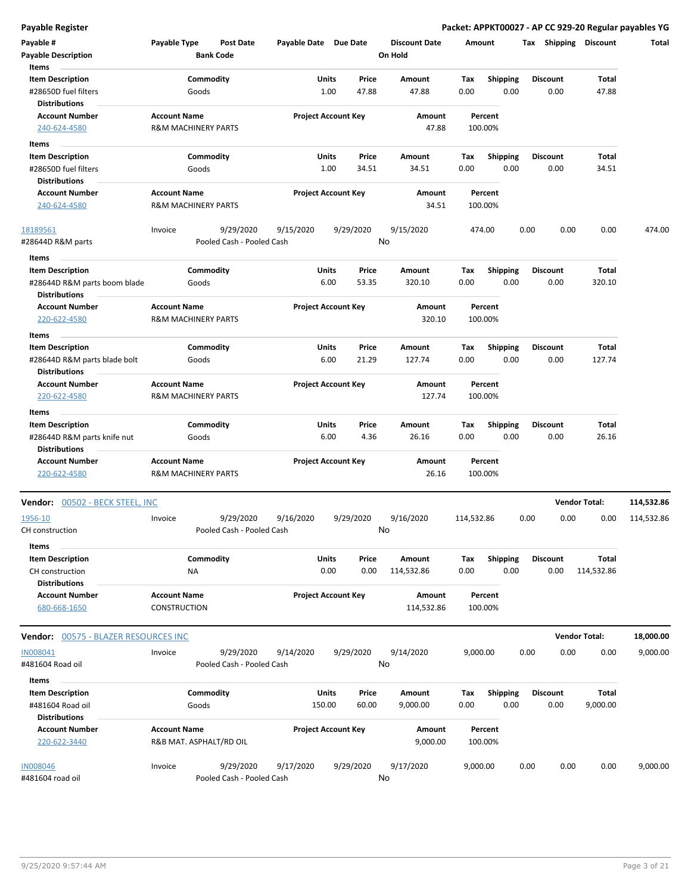**Payable Register Packet: APPKT00027 - AP CC 929-20 Regular payables YG**

| Payable #<br><b>Payable Description</b>                       | Payable Type                                          | Post Date<br><b>Bank Code</b> | Payable Date Due Date |                                       | <b>Discount Date</b><br>On Hold | Amount             |                         |      | Tax Shipping            | <b>Discount</b>      | Total      |
|---------------------------------------------------------------|-------------------------------------------------------|-------------------------------|-----------------------|---------------------------------------|---------------------------------|--------------------|-------------------------|------|-------------------------|----------------------|------------|
| Items<br><b>Item Description</b><br>#28650D fuel filters      | Goods                                                 | Commodity                     |                       | Units<br>Price<br>1.00<br>47.88       | Amount<br>47.88                 | Tax<br>0.00        | Shipping<br>0.00        |      | <b>Discount</b><br>0.00 | Total<br>47.88       |            |
| <b>Distributions</b><br><b>Account Number</b><br>240-624-4580 | <b>Account Name</b><br><b>R&amp;M MACHINERY PARTS</b> |                               |                       | <b>Project Account Key</b>            | Amount<br>47.88                 | Percent<br>100.00% |                         |      |                         |                      |            |
|                                                               |                                                       |                               |                       |                                       |                                 |                    |                         |      |                         |                      |            |
| Items<br><b>Item Description</b>                              |                                                       | Commodity                     | Units                 | Price                                 | Amount                          | Tax                | <b>Shipping</b>         |      | <b>Discount</b>         | Total                |            |
| #28650D fuel filters                                          | Goods                                                 |                               |                       | 1.00<br>34.51                         | 34.51                           | 0.00               | 0.00                    |      | 0.00                    | 34.51                |            |
| <b>Distributions</b>                                          |                                                       |                               |                       |                                       |                                 |                    |                         |      |                         |                      |            |
| <b>Account Number</b>                                         | <b>Account Name</b>                                   |                               |                       | <b>Project Account Key</b>            | Amount                          | Percent            |                         |      |                         |                      |            |
| 240-624-4580                                                  | <b>R&amp;M MACHINERY PARTS</b>                        |                               |                       |                                       | 34.51                           | 100.00%            |                         |      |                         |                      |            |
| 18189561                                                      | Invoice                                               | 9/29/2020                     | 9/15/2020             | 9/29/2020                             | 9/15/2020                       | 474.00             |                         | 0.00 | 0.00                    | 0.00                 | 474.00     |
| #28644D R&M parts                                             |                                                       | Pooled Cash - Pooled Cash     |                       |                                       | No                              |                    |                         |      |                         |                      |            |
| Items                                                         |                                                       |                               |                       |                                       |                                 |                    |                         |      |                         |                      |            |
| <b>Item Description</b>                                       |                                                       | Commodity                     | Units                 | Price                                 | Amount                          | Tax                | <b>Shipping</b>         |      | <b>Discount</b>         | Total                |            |
| #28644D R&M parts boom blade<br><b>Distributions</b>          | Goods                                                 |                               |                       | 53.35<br>6.00                         | 320.10                          | 0.00               | 0.00                    |      | 0.00                    | 320.10               |            |
| <b>Account Number</b><br>220-622-4580                         | <b>Account Name</b><br><b>R&amp;M MACHINERY PARTS</b> |                               |                       | <b>Project Account Key</b>            | Amount<br>320.10                | Percent<br>100.00% |                         |      |                         |                      |            |
|                                                               |                                                       |                               |                       |                                       |                                 |                    |                         |      |                         |                      |            |
| Items<br><b>Item Description</b>                              |                                                       | Commodity                     | Units                 | Price                                 | Amount                          | Tax                |                         |      | <b>Discount</b>         | Total                |            |
| #28644D R&M parts blade bolt                                  | Goods                                                 |                               |                       | 6.00<br>21.29                         | 127.74                          | 0.00               | <b>Shipping</b><br>0.00 |      | 0.00                    | 127.74               |            |
| <b>Distributions</b>                                          |                                                       |                               |                       |                                       |                                 |                    |                         |      |                         |                      |            |
| <b>Account Number</b>                                         | <b>Account Name</b>                                   |                               |                       | <b>Project Account Key</b>            | Amount                          | Percent            |                         |      |                         |                      |            |
| 220-622-4580                                                  | <b>R&amp;M MACHINERY PARTS</b>                        |                               |                       |                                       | 127.74                          | 100.00%            |                         |      |                         |                      |            |
| <b>Items</b>                                                  |                                                       |                               |                       |                                       |                                 |                    |                         |      |                         |                      |            |
| <b>Item Description</b><br>#28644D R&M parts knife nut        | Goods                                                 | Commodity                     |                       | Units<br>Price<br>6.00<br>4.36        | Amount<br>26.16                 | Tax<br>0.00        | <b>Shipping</b><br>0.00 |      | <b>Discount</b><br>0.00 | Total<br>26.16       |            |
| <b>Distributions</b>                                          |                                                       |                               |                       |                                       |                                 |                    |                         |      |                         |                      |            |
| <b>Account Number</b><br>220-622-4580                         | <b>Account Name</b><br><b>R&amp;M MACHINERY PARTS</b> |                               |                       | <b>Project Account Key</b>            | Amount<br>26.16                 | Percent<br>100.00% |                         |      |                         |                      |            |
| <b>Vendor:</b> 00502 - BECK STEEL, INC                        |                                                       |                               |                       |                                       |                                 |                    |                         |      |                         | <b>Vendor Total:</b> | 114,532.86 |
| 1956-10                                                       | Invoice                                               | 9/29/2020                     | 9/16/2020             | 9/29/2020                             | 9/16/2020                       | 114,532.86         |                         | 0.00 | 0.00                    | 0.00                 | 114,532.86 |
| CH construction                                               |                                                       | Pooled Cash - Pooled Cash     |                       |                                       | No                              |                    |                         |      |                         |                      |            |
| Items                                                         |                                                       |                               |                       |                                       |                                 |                    |                         |      |                         |                      |            |
| <b>Item Description</b><br>CH construction                    | ΝA                                                    | Commodity                     |                       | <b>Units</b><br>Price<br>0.00<br>0.00 | Amount                          | Tax<br>0.00        | <b>Shipping</b><br>0.00 |      | <b>Discount</b><br>0.00 | <b>Total</b>         |            |
| <b>Distributions</b>                                          |                                                       |                               |                       |                                       | 114,532.86                      |                    |                         |      |                         | 114,532.86           |            |
| <b>Account Number</b>                                         | <b>Account Name</b>                                   |                               |                       | <b>Project Account Key</b>            | Amount                          | Percent            |                         |      |                         |                      |            |
| 680-668-1650                                                  | <b>CONSTRUCTION</b>                                   |                               |                       |                                       | 114,532.86                      | 100.00%            |                         |      |                         |                      |            |
| <b>Vendor:</b> 00575 - BLAZER RESOURCES INC                   |                                                       |                               |                       |                                       |                                 |                    |                         |      |                         | <b>Vendor Total:</b> | 18,000.00  |
| IN008041                                                      | Invoice                                               | 9/29/2020                     | 9/14/2020             | 9/29/2020                             | 9/14/2020                       | 9,000.00           |                         | 0.00 | 0.00                    | 0.00                 | 9,000.00   |
| #481604 Road oil                                              |                                                       | Pooled Cash - Pooled Cash     |                       |                                       | No                              |                    |                         |      |                         |                      |            |
| Items                                                         |                                                       |                               |                       |                                       |                                 |                    |                         |      |                         |                      |            |
| <b>Item Description</b>                                       |                                                       | Commodity                     | <b>Units</b>          | Price                                 | Amount                          | Tax                | <b>Shipping</b>         |      | <b>Discount</b>         | <b>Total</b>         |            |
| #481604 Road oil                                              | Goods                                                 |                               | 150.00                | 60.00                                 | 9,000.00                        | 0.00               | 0.00                    |      | 0.00                    | 9,000.00             |            |
| <b>Distributions</b>                                          |                                                       |                               |                       |                                       |                                 |                    |                         |      |                         |                      |            |
| <b>Account Number</b>                                         | <b>Account Name</b>                                   |                               |                       | <b>Project Account Key</b>            | Amount                          | Percent            |                         |      |                         |                      |            |
| 220-622-3440                                                  | R&B MAT. ASPHALT/RD OIL                               |                               |                       |                                       | 9,000.00                        | 100.00%            |                         |      |                         |                      |            |
| <b>IN008046</b>                                               | Invoice                                               | 9/29/2020                     | 9/17/2020             | 9/29/2020                             | 9/17/2020                       | 9,000.00           |                         | 0.00 | 0.00                    | 0.00                 | 9,000.00   |
| #481604 road oil                                              |                                                       | Pooled Cash - Pooled Cash     |                       |                                       | No                              |                    |                         |      |                         |                      |            |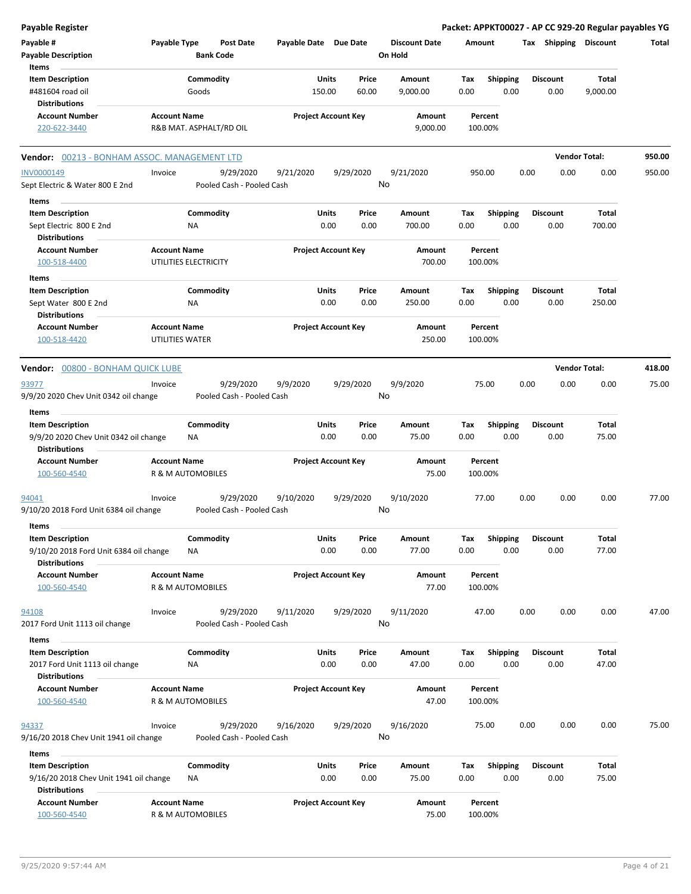| <b>Payable Register</b>                                          |                     |                        |                                      |                       |                            |               |                                 |             |                         |      |                         | Packet: APPKT00027 - AP CC 929-20 Regular payables YG |        |
|------------------------------------------------------------------|---------------------|------------------------|--------------------------------------|-----------------------|----------------------------|---------------|---------------------------------|-------------|-------------------------|------|-------------------------|-------------------------------------------------------|--------|
| Payable #<br><b>Payable Description</b>                          | Payable Type        |                        | <b>Post Date</b><br><b>Bank Code</b> | Payable Date Due Date |                            |               | <b>Discount Date</b><br>On Hold | Amount      |                         |      | Tax Shipping Discount   |                                                       | Total  |
| Items                                                            |                     |                        |                                      |                       |                            |               |                                 |             |                         |      |                         |                                                       |        |
|                                                                  |                     |                        |                                      |                       | Units                      | Price         | Amount                          |             |                         |      | <b>Discount</b>         | <b>Total</b>                                          |        |
| <b>Item Description</b><br>#481604 road oil                      |                     | Commodity<br>Goods     |                                      |                       | 150.00                     | 60.00         | 9,000.00                        | Tax<br>0.00 | <b>Shipping</b><br>0.00 |      | 0.00                    | 9,000.00                                              |        |
| <b>Distributions</b>                                             |                     |                        |                                      |                       |                            |               |                                 |             |                         |      |                         |                                                       |        |
| <b>Account Number</b><br>220-622-3440                            | <b>Account Name</b> |                        | R&B MAT. ASPHALT/RD OIL              |                       | <b>Project Account Key</b> |               | Amount<br>9,000.00              |             | Percent<br>100.00%      |      |                         |                                                       |        |
| Vendor: 00213 - BONHAM ASSOC. MANAGEMENT LTD                     |                     |                        |                                      |                       |                            |               |                                 |             |                         |      |                         | <b>Vendor Total:</b>                                  | 950.00 |
| <b>INV0000149</b>                                                | Invoice             |                        | 9/29/2020                            | 9/21/2020             |                            | 9/29/2020     | 9/21/2020                       |             | 950.00                  | 0.00 | 0.00                    | 0.00                                                  | 950.00 |
| Sept Electric & Water 800 E 2nd                                  |                     |                        | Pooled Cash - Pooled Cash            |                       |                            |               | No                              |             |                         |      |                         |                                                       |        |
| Items                                                            |                     |                        |                                      |                       |                            |               |                                 |             |                         |      |                         |                                                       |        |
| <b>Item Description</b>                                          |                     | Commodity              |                                      |                       | Units                      | Price         | Amount                          | Tax         | Shipping                |      | <b>Discount</b>         | <b>Total</b>                                          |        |
| Sept Electric 800 E 2nd<br><b>Distributions</b>                  |                     | <b>NA</b>              |                                      |                       | 0.00                       | 0.00          | 700.00                          | 0.00        | 0.00                    |      | 0.00                    | 700.00                                                |        |
| <b>Account Number</b>                                            | <b>Account Name</b> |                        |                                      |                       | <b>Project Account Key</b> |               | Amount                          |             | Percent                 |      |                         |                                                       |        |
| 100-518-4400                                                     |                     | UTILITIES ELECTRICITY  |                                      |                       |                            |               | 700.00                          |             | 100.00%                 |      |                         |                                                       |        |
| Items                                                            |                     |                        |                                      |                       |                            |               |                                 |             |                         |      |                         |                                                       |        |
| <b>Item Description</b>                                          |                     | Commodity              |                                      |                       | Units                      | Price         | Amount                          | Tax         | <b>Shipping</b>         |      | <b>Discount</b>         | Total                                                 |        |
| Sept Water 800 E 2nd<br><b>Distributions</b>                     |                     | <b>NA</b>              |                                      |                       | 0.00                       | 0.00          | 250.00                          | 0.00        | 0.00                    |      | 0.00                    | 250.00                                                |        |
| <b>Account Number</b>                                            | <b>Account Name</b> |                        |                                      |                       | <b>Project Account Key</b> |               | <b>Amount</b>                   |             | Percent                 |      |                         |                                                       |        |
| 100-518-4420                                                     | UTILITIES WATER     |                        |                                      |                       |                            |               | 250.00                          |             | 100.00%                 |      |                         |                                                       |        |
| Vendor: 00800 - BONHAM QUICK LUBE                                |                     |                        |                                      |                       |                            |               |                                 |             |                         |      |                         | <b>Vendor Total:</b>                                  | 418.00 |
| 93977                                                            | Invoice             |                        | 9/29/2020                            | 9/9/2020              |                            | 9/29/2020     | 9/9/2020                        |             | 75.00                   | 0.00 | 0.00                    | 0.00                                                  | 75.00  |
| 9/9/20 2020 Chev Unit 0342 oil change                            |                     |                        | Pooled Cash - Pooled Cash            |                       |                            |               | No                              |             |                         |      |                         |                                                       |        |
| Items                                                            |                     |                        |                                      |                       |                            |               |                                 |             |                         |      |                         |                                                       |        |
| <b>Item Description</b><br>9/9/20 2020 Chev Unit 0342 oil change |                     | Commodity<br><b>NA</b> |                                      |                       | Units<br>0.00              | Price<br>0.00 | Amount<br>75.00                 | Tax<br>0.00 | <b>Shipping</b><br>0.00 |      | <b>Discount</b><br>0.00 | <b>Total</b><br>75.00                                 |        |
| <b>Distributions</b><br><b>Account Number</b>                    | <b>Account Name</b> |                        |                                      |                       | <b>Project Account Key</b> |               | Amount                          |             | Percent                 |      |                         |                                                       |        |
| 100-560-4540                                                     |                     | R & M AUTOMOBILES      |                                      |                       |                            |               | 75.00                           |             | 100.00%                 |      |                         |                                                       |        |
| 94041                                                            | Invoice             |                        | 9/29/2020                            | 9/10/2020             |                            | 9/29/2020     | 9/10/2020                       |             | 77.00                   | 0.00 | 0.00                    | 0.00                                                  | 77.00  |
| 9/10/20 2018 Ford Unit 6384 oil change                           |                     |                        | Pooled Cash - Pooled Cash            |                       |                            |               | No                              |             |                         |      |                         |                                                       |        |
| items                                                            |                     |                        |                                      |                       |                            |               |                                 |             |                         |      |                         |                                                       |        |
| <b>Item Description</b>                                          |                     | Commodity              |                                      |                       | Units                      | Price         | Amount                          | Tax         | <b>Shipping</b>         |      | <b>Discount</b>         | Total                                                 |        |
| 9/10/20 2018 Ford Unit 6384 oil change<br><b>Distributions</b>   |                     | ΝA                     |                                      |                       | 0.00                       | 0.00          | 77.00                           | 0.00        | 0.00                    |      | 0.00                    | 77.00                                                 |        |
| <b>Account Number</b>                                            | <b>Account Name</b> |                        |                                      |                       | <b>Project Account Key</b> |               | Amount                          |             | Percent                 |      |                         |                                                       |        |
| 100-560-4540                                                     |                     | R & M AUTOMOBILES      |                                      |                       |                            |               | 77.00                           |             | 100.00%                 |      |                         |                                                       |        |
| 94108                                                            | Invoice             |                        | 9/29/2020                            | 9/11/2020             |                            | 9/29/2020     | 9/11/2020                       |             | 47.00                   | 0.00 | 0.00                    | 0.00                                                  | 47.00  |
| 2017 Ford Unit 1113 oil change                                   |                     |                        | Pooled Cash - Pooled Cash            |                       |                            |               | No                              |             |                         |      |                         |                                                       |        |
| Items                                                            |                     |                        |                                      |                       |                            |               |                                 |             |                         |      |                         |                                                       |        |
| <b>Item Description</b>                                          |                     | Commodity              |                                      |                       | Units                      | Price         | Amount                          | Tax         | <b>Shipping</b>         |      | <b>Discount</b>         | Total                                                 |        |
| 2017 Ford Unit 1113 oil change                                   |                     | ΝA                     |                                      |                       | 0.00                       | 0.00          | 47.00                           | 0.00        | 0.00                    |      | 0.00                    | 47.00                                                 |        |
| <b>Distributions</b>                                             |                     |                        |                                      |                       |                            |               |                                 |             |                         |      |                         |                                                       |        |
| <b>Account Number</b>                                            | <b>Account Name</b> |                        |                                      |                       | <b>Project Account Key</b> |               | Amount                          |             | Percent                 |      |                         |                                                       |        |
| 100-560-4540                                                     |                     | R & M AUTOMOBILES      |                                      |                       |                            |               | 47.00                           |             | 100.00%                 |      |                         |                                                       |        |
| 94337                                                            | Invoice             |                        | 9/29/2020                            | 9/16/2020             |                            | 9/29/2020     | 9/16/2020                       |             | 75.00                   | 0.00 | 0.00                    | 0.00                                                  | 75.00  |
| 9/16/20 2018 Chev Unit 1941 oil change                           |                     |                        | Pooled Cash - Pooled Cash            |                       |                            |               | No                              |             |                         |      |                         |                                                       |        |
| Items                                                            |                     |                        |                                      |                       |                            |               |                                 |             |                         |      |                         |                                                       |        |
| <b>Item Description</b>                                          |                     | Commodity              |                                      |                       | Units                      | Price         | Amount                          | Tax         | Shipping                |      | <b>Discount</b>         | Total                                                 |        |
| 9/16/20 2018 Chev Unit 1941 oil change<br><b>Distributions</b>   |                     | NA                     |                                      |                       | 0.00                       | 0.00          | 75.00                           | 0.00        | 0.00                    |      | 0.00                    | 75.00                                                 |        |
| <b>Account Number</b>                                            | <b>Account Name</b> |                        |                                      |                       | <b>Project Account Key</b> |               | Amount                          |             | Percent                 |      |                         |                                                       |        |
| 100-560-4540                                                     |                     | R & M AUTOMOBILES      |                                      |                       |                            |               | 75.00                           |             | 100.00%                 |      |                         |                                                       |        |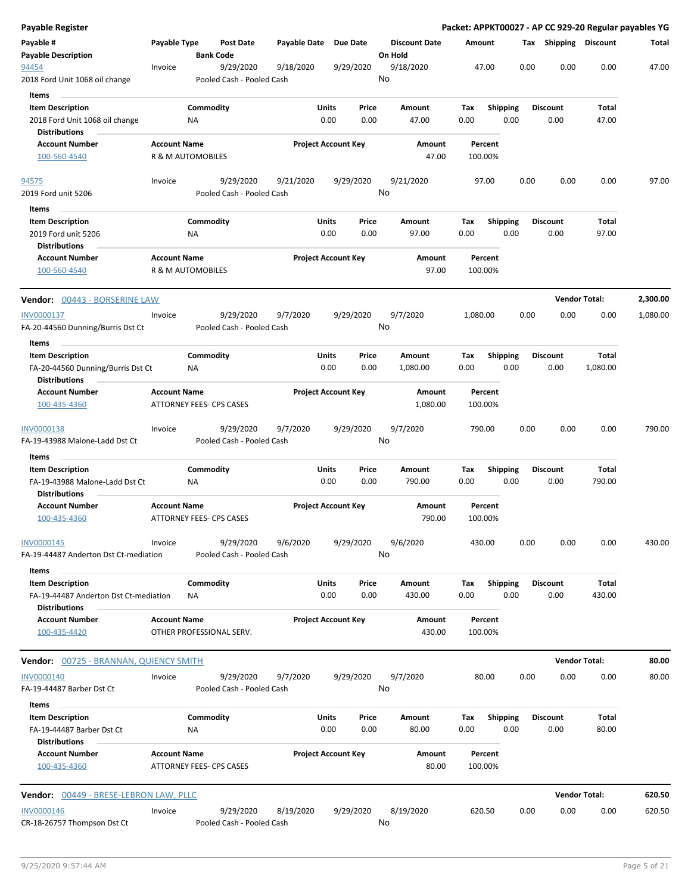| Payable Register                                                   |                                                 |                        |                                        |              |                            |               |                                 |        |                    |                         |      |                         | Packet: APPKT00027 - AP CC 929-20 Regular payables YG |          |
|--------------------------------------------------------------------|-------------------------------------------------|------------------------|----------------------------------------|--------------|----------------------------|---------------|---------------------------------|--------|--------------------|-------------------------|------|-------------------------|-------------------------------------------------------|----------|
| Payable #<br><b>Payable Description</b>                            | Payable Type                                    | <b>Bank Code</b>       | <b>Post Date</b>                       | Payable Date |                            | Due Date      | <b>Discount Date</b><br>On Hold |        | Amount             |                         |      | Tax Shipping            | <b>Discount</b>                                       | Total    |
| 94454<br>2018 Ford Unit 1068 oil change                            | Invoice                                         |                        | 9/29/2020<br>Pooled Cash - Pooled Cash | 9/18/2020    |                            | 9/29/2020     | 9/18/2020<br>No                 |        | 47.00              |                         | 0.00 | 0.00                    | 0.00                                                  | 47.00    |
| Items<br><b>Item Description</b><br>2018 Ford Unit 1068 oil change |                                                 | Commodity<br><b>NA</b> |                                        |              | Units<br>0.00              | Price<br>0.00 | Amount<br>47.00                 |        | Tax<br>0.00        | <b>Shipping</b><br>0.00 |      | <b>Discount</b><br>0.00 | Total<br>47.00                                        |          |
| <b>Distributions</b><br><b>Account Number</b>                      | <b>Account Name</b>                             |                        |                                        |              | <b>Project Account Key</b> |               | <b>Amount</b>                   |        | Percent            |                         |      |                         |                                                       |          |
| 100-560-4540                                                       | R & M AUTOMOBILES                               |                        |                                        |              |                            |               |                                 | 47.00  | 100.00%            |                         |      |                         |                                                       |          |
| 94575                                                              | Invoice                                         |                        | 9/29/2020                              | 9/21/2020    |                            | 9/29/2020     | 9/21/2020                       |        | 97.00              |                         | 0.00 | 0.00                    | 0.00                                                  | 97.00    |
| 2019 Ford unit 5206                                                |                                                 |                        | Pooled Cash - Pooled Cash              |              |                            |               | No                              |        |                    |                         |      |                         |                                                       |          |
| Items                                                              |                                                 |                        |                                        |              |                            |               |                                 |        |                    |                         |      |                         |                                                       |          |
| <b>Item Description</b>                                            |                                                 | Commodity              |                                        |              | Units                      | Price         | Amount                          |        | Tax                | <b>Shipping</b>         |      | <b>Discount</b>         | Total                                                 |          |
| 2019 Ford unit 5206<br><b>Distributions</b>                        |                                                 | ΝA                     |                                        |              | 0.00                       | 0.00          | 97.00                           |        | 0.00               | 0.00                    |      | 0.00                    | 97.00                                                 |          |
| <b>Account Number</b><br>100-560-4540                              | <b>Account Name</b><br>R & M AUTOMOBILES        |                        |                                        |              | <b>Project Account Key</b> |               | Amount                          | 97.00  | Percent<br>100.00% |                         |      |                         |                                                       |          |
| Vendor: 00443 - BORSERINE LAW                                      |                                                 |                        |                                        |              |                            |               |                                 |        |                    |                         |      |                         | <b>Vendor Total:</b>                                  | 2,300.00 |
| INV0000137<br>FA-20-44560 Dunning/Burris Dst Ct                    | Invoice                                         |                        | 9/29/2020<br>Pooled Cash - Pooled Cash | 9/7/2020     |                            | 9/29/2020     | 9/7/2020<br>No                  |        | 1,080.00           |                         | 0.00 | 0.00                    | 0.00                                                  | 1,080.00 |
| Items                                                              |                                                 |                        |                                        |              |                            |               |                                 |        |                    |                         |      |                         |                                                       |          |
| <b>Item Description</b><br>FA-20-44560 Dunning/Burris Dst Ct       |                                                 | Commodity<br><b>NA</b> |                                        |              | Units<br>0.00              | Price<br>0.00 | Amount<br>1,080.00              |        | Tax<br>0.00        | <b>Shipping</b><br>0.00 |      | <b>Discount</b><br>0.00 | Total<br>1,080.00                                     |          |
| <b>Distributions</b><br><b>Account Number</b>                      | <b>Account Name</b>                             |                        |                                        |              | <b>Project Account Key</b> |               | Amount                          |        | Percent<br>100.00% |                         |      |                         |                                                       |          |
| 100-435-4360                                                       | ATTORNEY FEES- CPS CASES                        |                        |                                        |              |                            |               | 1,080.00                        |        |                    |                         |      |                         |                                                       |          |
| <b>INV0000138</b><br>FA-19-43988 Malone-Ladd Dst Ct                | Invoice                                         |                        | 9/29/2020<br>Pooled Cash - Pooled Cash | 9/7/2020     |                            | 9/29/2020     | 9/7/2020<br>No                  |        | 790.00             |                         | 0.00 | 0.00                    | 0.00                                                  | 790.00   |
| Items                                                              |                                                 |                        |                                        |              |                            |               |                                 |        |                    |                         |      |                         |                                                       |          |
| <b>Item Description</b><br>FA-19-43988 Malone-Ladd Dst Ct          |                                                 | Commodity<br>ΝA        |                                        |              | Units<br>0.00              | Price<br>0.00 | Amount<br>790.00                |        | Tax<br>0.00        | <b>Shipping</b><br>0.00 |      | <b>Discount</b><br>0.00 | Total<br>790.00                                       |          |
| <b>Distributions</b>                                               |                                                 |                        |                                        |              |                            |               |                                 |        |                    |                         |      |                         |                                                       |          |
| <b>Account Number</b><br>100-435-4360                              | <b>Account Name</b><br>ATTORNEY FEES- CPS CASES |                        |                                        |              | <b>Project Account Key</b> |               | Amount<br>790.00                |        | Percent<br>100.00% |                         |      |                         |                                                       |          |
| INV0000145<br>FA-19-44487 Anderton Dst Ct-mediation                | Invoice                                         |                        | 9/29/2020<br>Pooled Cash - Pooled Cash | 9/6/2020     |                            | 9/29/2020     | 9/6/2020<br>No                  |        | 430.00             |                         | 0.00 | 0.00                    | 0.00                                                  | 430.00   |
| Items                                                              |                                                 |                        |                                        |              |                            |               |                                 |        |                    |                         |      |                         |                                                       |          |
| <b>Item Description</b><br>FA-19-44487 Anderton Dst Ct-mediation   |                                                 | Commodity<br>ΝA        |                                        |              | Units<br>0.00              | Price<br>0.00 | Amount<br>430.00                |        | Tax<br>0.00        | <b>Shipping</b><br>0.00 |      | Discount<br>0.00        | Total<br>430.00                                       |          |
| <b>Distributions</b><br><b>Account Number</b><br>100-435-4420      | <b>Account Name</b><br>OTHER PROFESSIONAL SERV. |                        |                                        |              | <b>Project Account Key</b> |               | Amount                          | 430.00 | Percent<br>100.00% |                         |      |                         |                                                       |          |
| <b>Vendor:</b> 00725 - BRANNAN, QUIENCY SMITH                      |                                                 |                        |                                        |              |                            |               |                                 |        |                    |                         |      |                         | <b>Vendor Total:</b>                                  | 80.00    |
| INV0000140                                                         | Invoice                                         |                        | 9/29/2020                              | 9/7/2020     |                            | 9/29/2020     | 9/7/2020                        |        | 80.00              |                         | 0.00 | 0.00                    | 0.00                                                  | 80.00    |
| FA-19-44487 Barber Dst Ct<br>Items                                 |                                                 |                        | Pooled Cash - Pooled Cash              |              |                            |               | No                              |        |                    |                         |      |                         |                                                       |          |
| <b>Item Description</b><br>FA-19-44487 Barber Dst Ct               |                                                 | Commodity<br>ΝA        |                                        |              | Units<br>0.00              | Price<br>0.00 | Amount<br>80.00                 |        | Tax<br>0.00        | <b>Shipping</b><br>0.00 |      | <b>Discount</b><br>0.00 | Total<br>80.00                                        |          |
| <b>Distributions</b><br><b>Account Number</b><br>100-435-4360      | <b>Account Name</b><br>ATTORNEY FEES- CPS CASES |                        |                                        |              | <b>Project Account Key</b> |               | Amount                          | 80.00  | Percent<br>100.00% |                         |      |                         |                                                       |          |
| <b>Vendor:</b> 00449 - BRESE-LEBRON LAW, PLLC                      |                                                 |                        |                                        |              |                            |               |                                 |        |                    |                         |      |                         | <b>Vendor Total:</b>                                  | 620.50   |
| <b>INV0000146</b>                                                  | Invoice                                         |                        | 9/29/2020                              | 8/19/2020    |                            | 9/29/2020     | 8/19/2020                       |        | 620.50             |                         | 0.00 | 0.00                    | 0.00                                                  | 620.50   |
| CR-18-26757 Thompson Dst Ct                                        |                                                 |                        | Pooled Cash - Pooled Cash              |              |                            |               | No                              |        |                    |                         |      |                         |                                                       |          |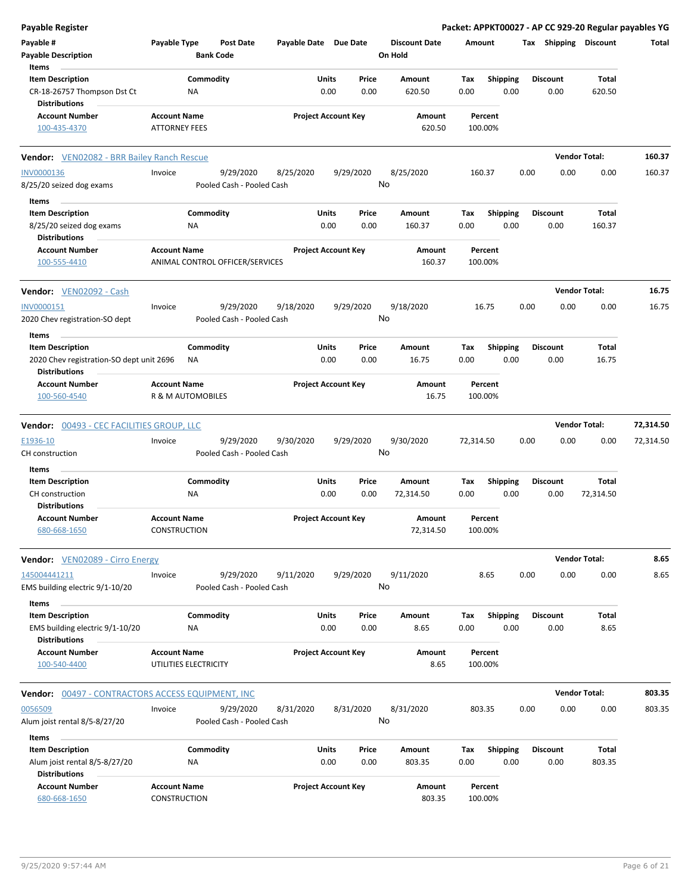| <b>Payable Register</b>                                                                     |                                            |                        |                                        |                       |                            |               |                                 |             |                         |      |                         |                       | Packet: APPKT00027 - AP CC 929-20 Regular payables YG |
|---------------------------------------------------------------------------------------------|--------------------------------------------|------------------------|----------------------------------------|-----------------------|----------------------------|---------------|---------------------------------|-------------|-------------------------|------|-------------------------|-----------------------|-------------------------------------------------------|
| Payable #<br><b>Payable Description</b>                                                     | Payable Type                               | <b>Bank Code</b>       | <b>Post Date</b>                       | Payable Date Due Date |                            |               | <b>Discount Date</b><br>On Hold |             | Amount                  |      |                         | Tax Shipping Discount | Total                                                 |
| Items<br><b>Item Description</b>                                                            |                                            | Commodity              |                                        |                       | Units                      | Price         | <b>Amount</b>                   | Tax         | <b>Shipping</b>         |      | <b>Discount</b>         | Total                 |                                                       |
| CR-18-26757 Thompson Dst Ct<br><b>Distributions</b>                                         |                                            | NA                     |                                        |                       | 0.00                       | 0.00          | 620.50                          | 0.00        | 0.00                    |      | 0.00                    | 620.50                |                                                       |
| <b>Account Number</b>                                                                       | <b>Account Name</b>                        |                        |                                        |                       | <b>Project Account Key</b> |               | Amount                          |             | Percent                 |      |                         |                       |                                                       |
| 100-435-4370                                                                                | <b>ATTORNEY FEES</b>                       |                        |                                        |                       |                            |               | 620.50                          |             | 100.00%                 |      |                         |                       |                                                       |
| <b>Vendor:</b> VEN02082 - BRR Bailey Ranch Rescue                                           |                                            |                        |                                        |                       |                            |               |                                 |             |                         |      |                         | <b>Vendor Total:</b>  | 160.37                                                |
| <b>INV0000136</b>                                                                           | Invoice                                    |                        | 9/29/2020                              | 8/25/2020             |                            | 9/29/2020     | 8/25/2020                       |             | 160.37                  | 0.00 | 0.00                    | 0.00                  | 160.37                                                |
| 8/25/20 seized dog exams                                                                    |                                            |                        | Pooled Cash - Pooled Cash              |                       |                            |               | No                              |             |                         |      |                         |                       |                                                       |
| Items                                                                                       |                                            |                        |                                        |                       |                            |               |                                 |             |                         |      |                         |                       |                                                       |
| <b>Item Description</b><br>8/25/20 seized dog exams                                         |                                            | Commodity<br><b>NA</b> |                                        |                       | Units<br>0.00              | Price<br>0.00 | Amount<br>160.37                | Tax<br>0.00 | <b>Shipping</b><br>0.00 |      | <b>Discount</b><br>0.00 | Total<br>160.37       |                                                       |
| <b>Distributions</b>                                                                        |                                            |                        |                                        |                       |                            |               |                                 |             |                         |      |                         |                       |                                                       |
| <b>Account Number</b><br>100-555-4410                                                       | <b>Account Name</b>                        |                        | ANIMAL CONTROL OFFICER/SERVICES        |                       | <b>Project Account Key</b> |               | Amount<br>160.37                |             | Percent<br>100.00%      |      |                         |                       |                                                       |
| <b>Vendor:</b> VEN02092 - Cash                                                              |                                            |                        |                                        |                       |                            |               |                                 |             |                         |      |                         | <b>Vendor Total:</b>  | 16.75                                                 |
| INV0000151                                                                                  | Invoice                                    |                        | 9/29/2020                              | 9/18/2020             |                            | 9/29/2020     | 9/18/2020                       |             | 16.75                   | 0.00 | 0.00                    | 0.00                  | 16.75                                                 |
| 2020 Chev registration-SO dept                                                              |                                            |                        | Pooled Cash - Pooled Cash              |                       |                            |               | No                              |             |                         |      |                         |                       |                                                       |
| Items                                                                                       |                                            |                        |                                        |                       |                            |               |                                 |             |                         |      |                         |                       |                                                       |
| <b>Item Description</b><br>2020 Chev registration-SO dept unit 2696<br><b>Distributions</b> |                                            | Commodity<br>NA        |                                        |                       | Units<br>0.00              | Price<br>0.00 | Amount<br>16.75                 | Tax<br>0.00 | <b>Shipping</b><br>0.00 |      | <b>Discount</b><br>0.00 | Total<br>16.75        |                                                       |
| <b>Account Number</b>                                                                       | <b>Account Name</b>                        |                        |                                        |                       | <b>Project Account Key</b> |               | Amount                          |             | Percent                 |      |                         |                       |                                                       |
| 100-560-4540                                                                                | R & M AUTOMOBILES                          |                        |                                        |                       |                            |               | 16.75                           |             | 100.00%                 |      |                         |                       |                                                       |
| <b>Vendor: 00493 - CEC FACILITIES GROUP, LLC</b>                                            |                                            |                        |                                        |                       |                            |               |                                 |             |                         |      |                         | <b>Vendor Total:</b>  | 72,314.50                                             |
| E1936-10<br>CH construction                                                                 | Invoice                                    |                        | 9/29/2020<br>Pooled Cash - Pooled Cash | 9/30/2020             |                            | 9/29/2020     | 9/30/2020<br>No                 | 72,314.50   |                         | 0.00 | 0.00                    | 0.00                  | 72,314.50                                             |
| Items                                                                                       |                                            |                        |                                        |                       |                            |               |                                 |             |                         |      |                         |                       |                                                       |
| <b>Item Description</b>                                                                     |                                            | Commodity              |                                        |                       | Units                      | Price         | Amount                          | Tax         | <b>Shipping</b>         |      | <b>Discount</b>         | Total                 |                                                       |
| CH construction                                                                             |                                            | <b>NA</b>              |                                        |                       | 0.00                       | 0.00          | 72,314.50                       | 0.00        | 0.00                    |      | 0.00                    | 72,314.50             |                                                       |
| <b>Distributions</b>                                                                        |                                            |                        |                                        |                       |                            |               |                                 |             |                         |      |                         |                       |                                                       |
| <b>Account Number</b><br>680-668-1650                                                       | <b>Account Name</b><br><b>CONSTRUCTION</b> |                        |                                        |                       | <b>Project Account Key</b> |               | Amount<br>72,314.50             |             | Percent<br>100.00%      |      |                         |                       |                                                       |
| <b>Vendor:</b> VEN02089 - Cirro Energy                                                      |                                            |                        |                                        |                       |                            |               |                                 |             |                         |      |                         | <b>Vendor Total:</b>  | 8.65                                                  |
| 145004441211                                                                                | Invoice                                    |                        | 9/29/2020                              | 9/11/2020             |                            | 9/29/2020     | 9/11/2020                       |             | 8.65                    | 0.00 | 0.00                    | 0.00                  | 8.65                                                  |
| EMS building electric 9/1-10/20                                                             |                                            |                        | Pooled Cash - Pooled Cash              |                       |                            |               | No                              |             |                         |      |                         |                       |                                                       |
| Items                                                                                       |                                            |                        |                                        |                       |                            |               |                                 |             |                         |      |                         |                       |                                                       |
| <b>Item Description</b><br>EMS building electric 9/1-10/20                                  |                                            | Commodity<br>NA        |                                        |                       | Units<br>0.00              | Price<br>0.00 | Amount<br>8.65                  | Tax<br>0.00 | <b>Shipping</b><br>0.00 |      | <b>Discount</b><br>0.00 | <b>Total</b><br>8.65  |                                                       |
| <b>Distributions</b>                                                                        |                                            |                        |                                        |                       |                            |               |                                 |             |                         |      |                         |                       |                                                       |
| <b>Account Number</b>                                                                       | <b>Account Name</b>                        |                        |                                        |                       | <b>Project Account Key</b> |               | Amount                          |             | Percent                 |      |                         |                       |                                                       |
| 100-540-4400                                                                                | UTILITIES ELECTRICITY                      |                        |                                        |                       |                            |               | 8.65                            |             | 100.00%                 |      |                         |                       |                                                       |
| <b>Vendor: 00497 - CONTRACTORS ACCESS EQUIPMENT, INC</b>                                    |                                            |                        |                                        |                       |                            |               |                                 |             |                         |      |                         | <b>Vendor Total:</b>  | 803.35                                                |
| 0056509                                                                                     | Invoice                                    |                        | 9/29/2020                              | 8/31/2020             |                            | 8/31/2020     | 8/31/2020                       |             | 803.35                  | 0.00 | 0.00                    | 0.00                  | 803.35                                                |
| Alum joist rental 8/5-8/27/20                                                               |                                            |                        | Pooled Cash - Pooled Cash              |                       |                            |               | No                              |             |                         |      |                         |                       |                                                       |
| Items<br><b>Item Description</b>                                                            |                                            | Commodity              |                                        |                       | Units                      | Price         | Amount                          | Tax         | Shipping                |      | <b>Discount</b>         | Total                 |                                                       |
| Alum joist rental 8/5-8/27/20                                                               |                                            | NA                     |                                        |                       | 0.00                       | 0.00          | 803.35                          | 0.00        | 0.00                    |      | 0.00                    | 803.35                |                                                       |
| <b>Distributions</b>                                                                        |                                            |                        |                                        |                       |                            |               |                                 |             |                         |      |                         |                       |                                                       |
| <b>Account Number</b>                                                                       | <b>Account Name</b>                        |                        |                                        |                       | <b>Project Account Key</b> |               | Amount                          |             | Percent                 |      |                         |                       |                                                       |
| 680-668-1650                                                                                | CONSTRUCTION                               |                        |                                        |                       |                            |               | 803.35                          |             | 100.00%                 |      |                         |                       |                                                       |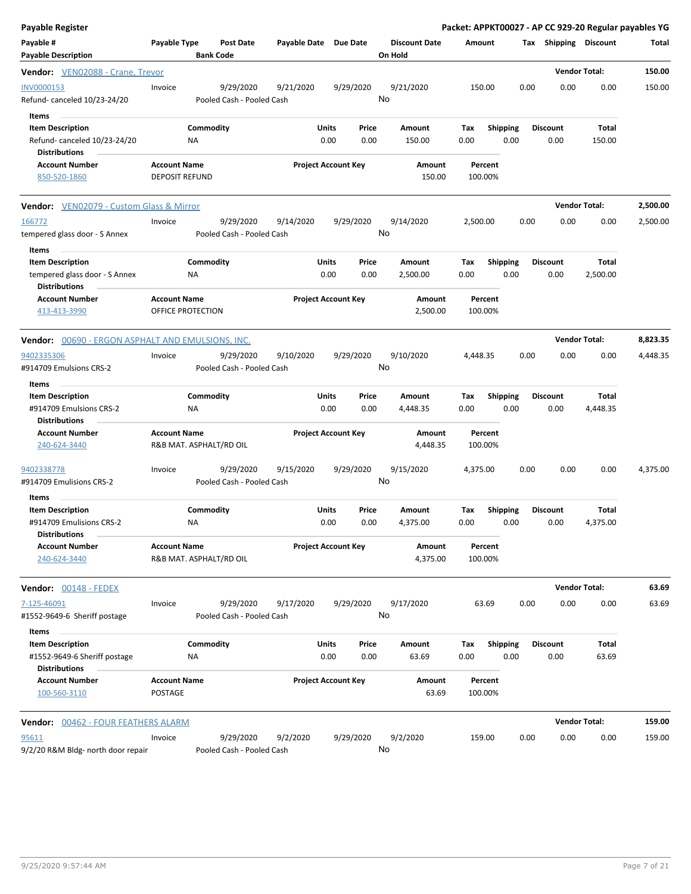| <b>Payable Register</b>                                                                  |                                              |                                        |                       |                                       |         |                      |                    |                         |      |                         | Packet: APPKT00027 - AP CC 929-20 Regular payables YG |          |
|------------------------------------------------------------------------------------------|----------------------------------------------|----------------------------------------|-----------------------|---------------------------------------|---------|----------------------|--------------------|-------------------------|------|-------------------------|-------------------------------------------------------|----------|
| Payable #<br><b>Payable Description</b>                                                  | Payable Type                                 | Post Date<br><b>Bank Code</b>          | Payable Date Due Date |                                       | On Hold | <b>Discount Date</b> | Amount             |                         |      | Tax Shipping Discount   |                                                       | Total    |
| Vendor: VEN02088 - Crane, Trevor                                                         |                                              |                                        |                       |                                       |         |                      |                    |                         |      | <b>Vendor Total:</b>    |                                                       | 150.00   |
| INV0000153<br>Refund-canceled 10/23-24/20                                                | Invoice                                      | 9/29/2020<br>Pooled Cash - Pooled Cash | 9/21/2020             | 9/29/2020                             | No      | 9/21/2020            | 150.00             |                         | 0.00 | 0.00                    | 0.00                                                  | 150.00   |
| Items<br><b>Item Description</b><br>Refund-canceled 10/23-24/20<br><b>Distributions</b>  | NA                                           | Commodity                              |                       | Units<br>Price<br>0.00<br>0.00        |         | Amount<br>150.00     | Tax<br>0.00        | <b>Shipping</b><br>0.00 |      | <b>Discount</b><br>0.00 | Total<br>150.00                                       |          |
| <b>Account Number</b><br>850-520-1860                                                    | <b>Account Name</b><br><b>DEPOSIT REFUND</b> |                                        |                       | <b>Project Account Key</b>            |         | Amount<br>150.00     | Percent<br>100.00% |                         |      |                         |                                                       |          |
| <b>Vendor:</b> VEN02079 - Custom Glass & Mirror                                          |                                              |                                        |                       |                                       |         |                      |                    |                         |      | <b>Vendor Total:</b>    |                                                       | 2,500.00 |
| 166772<br>tempered glass door - S Annex                                                  | Invoice                                      | 9/29/2020<br>Pooled Cash - Pooled Cash | 9/14/2020             | 9/29/2020                             | No      | 9/14/2020            | 2,500.00           |                         | 0.00 | 0.00                    | 0.00                                                  | 2,500.00 |
| Items<br><b>Item Description</b><br>tempered glass door - S Annex                        | NA                                           | Commodity                              |                       | Units<br>Price<br>0.00<br>0.00        |         | Amount<br>2,500.00   | Tax<br>0.00        | <b>Shipping</b><br>0.00 |      | <b>Discount</b><br>0.00 | Total<br>2,500.00                                     |          |
| <b>Distributions</b><br><b>Account Number</b><br>413-413-3990                            | <b>Account Name</b><br>OFFICE PROTECTION     |                                        |                       | <b>Project Account Key</b>            |         | Amount<br>2,500.00   | Percent<br>100.00% |                         |      |                         |                                                       |          |
| <b>Vendor:</b> 00690 - ERGON ASPHALT AND EMULSIONS, INC.                                 |                                              |                                        |                       |                                       |         |                      |                    |                         |      |                         | <b>Vendor Total:</b>                                  | 8,823.35 |
| 9402335306<br>#914709 Emulsions CRS-2<br>Items                                           | Invoice                                      | 9/29/2020<br>Pooled Cash - Pooled Cash | 9/10/2020             | 9/29/2020                             | No      | 9/10/2020            | 4,448.35           |                         | 0.00 | 0.00                    | 0.00                                                  | 4,448.35 |
| <b>Item Description</b><br>#914709 Emulsions CRS-2<br><b>Distributions</b>               | NA                                           | Commodity                              |                       | Units<br>Price<br>0.00<br>0.00        |         | Amount<br>4,448.35   | Tax<br>0.00        | <b>Shipping</b><br>0.00 |      | <b>Discount</b><br>0.00 | Total<br>4,448.35                                     |          |
| <b>Account Number</b><br>240-624-3440                                                    | <b>Account Name</b>                          | R&B MAT. ASPHALT/RD OIL                |                       | <b>Project Account Key</b>            |         | Amount<br>4,448.35   | Percent<br>100.00% |                         |      |                         |                                                       |          |
| 9402338778<br>#914709 Emulisions CRS-2                                                   | Invoice                                      | 9/29/2020<br>Pooled Cash - Pooled Cash | 9/15/2020             | 9/29/2020                             | No      | 9/15/2020            | 4,375.00           |                         | 0.00 | 0.00                    | 0.00                                                  | 4,375.00 |
| Items<br><b>Item Description</b><br>#914709 Emulisions CRS-2                             | ΝA                                           | Commodity                              |                       | <b>Units</b><br>Price<br>0.00<br>0.00 |         | Amount<br>4,375.00   | Tax<br>0.00        | <b>Shipping</b><br>0.00 |      | <b>Discount</b><br>0.00 | Total<br>4,375.00                                     |          |
| <b>Distributions</b><br><b>Account Number</b><br>240-624-3440                            | <b>Account Name</b>                          | R&B MAT. ASPHALT/RD OIL                |                       | <b>Project Account Key</b>            |         | Amount<br>4,375.00   | Percent<br>100.00% |                         |      |                         |                                                       |          |
| Vendor: 00148 - FEDEX                                                                    |                                              |                                        |                       |                                       |         |                      |                    |                         |      |                         | <b>Vendor Total:</b>                                  | 63.69    |
| 7-125-46091<br>#1552-9649-6 Sheriff postage                                              | Invoice                                      | 9/29/2020<br>Pooled Cash - Pooled Cash | 9/17/2020             | 9/29/2020                             | No      | 9/17/2020            | 63.69              |                         | 0.00 | 0.00                    | 0.00                                                  | 63.69    |
| Items<br><b>Item Description</b><br>#1552-9649-6 Sheriff postage<br><b>Distributions</b> | <b>NA</b>                                    | Commodity                              |                       | <b>Units</b><br>Price<br>0.00<br>0.00 |         | Amount<br>63.69      | Tax<br>0.00        | <b>Shipping</b><br>0.00 |      | <b>Discount</b><br>0.00 | Total<br>63.69                                        |          |
| <b>Account Number</b><br>100-560-3110                                                    | <b>Account Name</b><br>POSTAGE               |                                        |                       | <b>Project Account Key</b>            |         | Amount<br>63.69      | Percent<br>100.00% |                         |      |                         |                                                       |          |
| Vendor: 00462 - FOUR FEATHERS ALARM                                                      |                                              |                                        |                       |                                       |         |                      |                    |                         |      | <b>Vendor Total:</b>    |                                                       | 159.00   |
| 95611<br>9/2/20 R&M Bldg- north door repair                                              | Invoice                                      | 9/29/2020<br>Pooled Cash - Pooled Cash | 9/2/2020              | 9/29/2020                             | No      | 9/2/2020             | 159.00             |                         | 0.00 | 0.00                    | 0.00                                                  | 159.00   |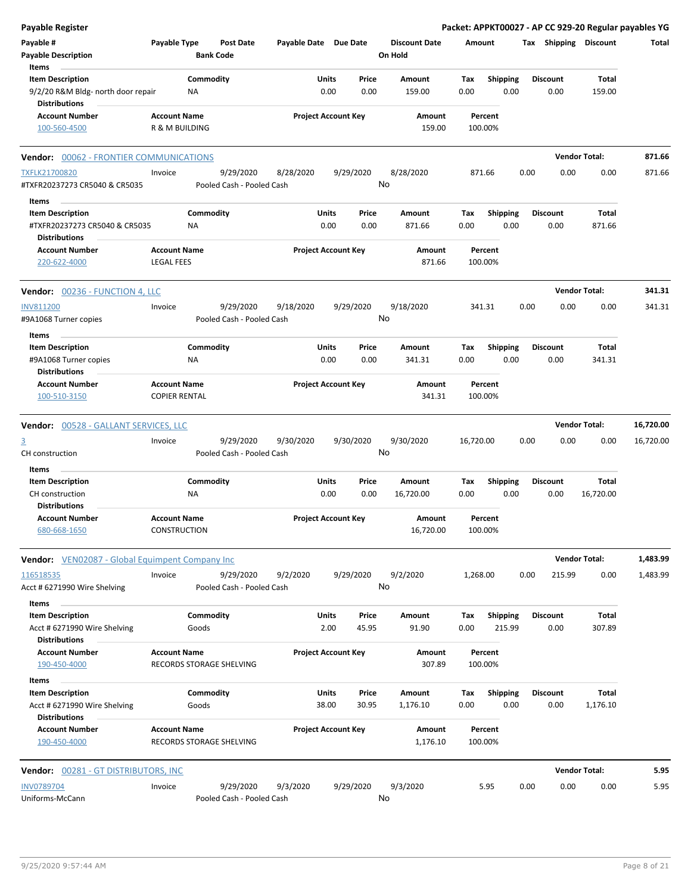| <b>Payable Register</b>                                                                 |                      |                                      |                       |                            |               |                                 |             |                         |      |                         | Packet: APPKT00027 - AP CC 929-20 Regular payables YG |           |
|-----------------------------------------------------------------------------------------|----------------------|--------------------------------------|-----------------------|----------------------------|---------------|---------------------------------|-------------|-------------------------|------|-------------------------|-------------------------------------------------------|-----------|
| Payable #<br><b>Payable Description</b>                                                 | Payable Type         | <b>Post Date</b><br><b>Bank Code</b> | Payable Date Due Date |                            |               | <b>Discount Date</b><br>On Hold | Amount      |                         |      |                         | Tax Shipping Discount                                 | Total     |
| Items<br><b>Item Description</b><br>9/2/20 R&M Bldg- north door repair<br>Distributions | ΝA                   | Commodity                            |                       | Units<br>0.00              | Price<br>0.00 | Amount<br>159.00                | Tax<br>0.00 | <b>Shipping</b><br>0.00 |      | <b>Discount</b><br>0.00 | Total<br>159.00                                       |           |
| <b>Account Number</b>                                                                   | <b>Account Name</b>  |                                      |                       | <b>Project Account Key</b> |               | Amount                          |             | Percent                 |      |                         |                                                       |           |
| 100-560-4500                                                                            | R & M BUILDING       |                                      |                       |                            |               | 159.00                          |             | 100.00%                 |      |                         |                                                       |           |
| Vendor: 00062 - FRONTIER COMMUNICATIONS                                                 |                      |                                      |                       |                            |               |                                 |             |                         |      |                         | <b>Vendor Total:</b>                                  | 871.66    |
| <b>TXFLK21700820</b>                                                                    | Invoice              | 9/29/2020                            | 8/28/2020             |                            | 9/29/2020     | 8/28/2020                       |             | 871.66                  | 0.00 | 0.00                    | 0.00                                                  | 871.66    |
| #TXFR20237273 CR5040 & CR5035                                                           |                      | Pooled Cash - Pooled Cash            |                       |                            |               | No                              |             |                         |      |                         |                                                       |           |
| Items                                                                                   |                      |                                      |                       |                            |               |                                 |             |                         |      |                         |                                                       |           |
| <b>Item Description</b><br>#TXFR20237273 CR5040 & CR5035                                | ΝA                   | Commodity                            |                       | Units<br>0.00              | Price<br>0.00 | Amount<br>871.66                | Tax<br>0.00 | <b>Shipping</b><br>0.00 |      | <b>Discount</b><br>0.00 | Total<br>871.66                                       |           |
| <b>Distributions</b>                                                                    |                      |                                      |                       |                            |               |                                 |             |                         |      |                         |                                                       |           |
| <b>Account Number</b>                                                                   | <b>Account Name</b>  |                                      |                       | <b>Project Account Key</b> |               | Amount                          |             | Percent                 |      |                         |                                                       |           |
| 220-622-4000                                                                            | <b>LEGAL FEES</b>    |                                      |                       |                            |               | 871.66                          |             | 100.00%                 |      |                         |                                                       |           |
| <b>Vendor: 00236 - FUNCTION 4, LLC</b>                                                  |                      |                                      |                       |                            |               |                                 |             |                         |      |                         | <b>Vendor Total:</b>                                  | 341.31    |
| <b>INV811200</b>                                                                        | Invoice              | 9/29/2020                            | 9/18/2020             |                            | 9/29/2020     | 9/18/2020                       |             | 341.31                  | 0.00 | 0.00                    | 0.00                                                  | 341.31    |
| #9A1068 Turner copies                                                                   |                      | Pooled Cash - Pooled Cash            |                       |                            |               | No                              |             |                         |      |                         |                                                       |           |
| Items                                                                                   |                      |                                      |                       |                            |               |                                 |             |                         |      |                         |                                                       |           |
| <b>Item Description</b><br>#9A1068 Turner copies                                        | NA                   | Commodity                            |                       | Units<br>0.00              | Price<br>0.00 | Amount<br>341.31                | Tax<br>0.00 | <b>Shipping</b><br>0.00 |      | Discount<br>0.00        | Total<br>341.31                                       |           |
| Distributions                                                                           |                      |                                      |                       |                            |               |                                 |             |                         |      |                         |                                                       |           |
| <b>Account Number</b>                                                                   | <b>Account Name</b>  |                                      |                       | <b>Project Account Key</b> |               | Amount                          |             | Percent                 |      |                         |                                                       |           |
| 100-510-3150                                                                            | <b>COPIER RENTAL</b> |                                      |                       |                            |               | 341.31                          |             | 100.00%                 |      |                         |                                                       |           |
| Vendor: 00528 - GALLANT SERVICES, LLC                                                   |                      |                                      |                       |                            |               |                                 |             |                         |      |                         | <b>Vendor Total:</b>                                  | 16,720.00 |
| $\overline{3}$                                                                          | Invoice              | 9/29/2020                            | 9/30/2020             |                            | 9/30/2020     | 9/30/2020                       | 16,720.00   |                         | 0.00 | 0.00                    | 0.00                                                  | 16,720.00 |
| CH construction                                                                         |                      | Pooled Cash - Pooled Cash            |                       |                            |               | No                              |             |                         |      |                         |                                                       |           |
| Items                                                                                   |                      |                                      |                       |                            |               |                                 |             |                         |      |                         |                                                       |           |
| <b>Item Description</b>                                                                 |                      | Commodity                            |                       | Units                      | Price         | Amount                          | Tax         | <b>Shipping</b>         |      | <b>Discount</b>         | Total                                                 |           |
| CH construction                                                                         | ΝA                   |                                      |                       | 0.00                       | 0.00          | 16,720.00                       | 0.00        | 0.00                    |      | 0.00                    | 16,720.00                                             |           |
| Distributions<br><b>Account Number</b>                                                  | <b>Account Name</b>  |                                      |                       | <b>Project Account Key</b> |               | Amount                          |             | Percent                 |      |                         |                                                       |           |
| 680-668-1650                                                                            | CONSTRUCTION         |                                      |                       |                            |               | 16,720.00                       |             | 100.00%                 |      |                         |                                                       |           |
| <b>Vendor:</b> VEN02087 - Global Equimpent Company Inc                                  |                      |                                      |                       |                            |               |                                 |             |                         |      |                         | <b>Vendor Total:</b>                                  | 1,483.99  |
| 116518535                                                                               | Invoice              | 9/29/2020                            | 9/2/2020              |                            | 9/29/2020     | 9/2/2020                        | 1,268.00    |                         | 0.00 | 215.99                  | 0.00                                                  | 1,483.99  |
| Acct # 6271990 Wire Shelving                                                            |                      | Pooled Cash - Pooled Cash            |                       |                            |               | No                              |             |                         |      |                         |                                                       |           |
| Items                                                                                   |                      |                                      |                       |                            |               |                                 |             |                         |      |                         |                                                       |           |
| <b>Item Description</b>                                                                 |                      | Commodity                            |                       | Units                      | Price         | Amount                          | Tax         | <b>Shipping</b>         |      | <b>Discount</b>         | Total                                                 |           |
| Acct # 6271990 Wire Shelving                                                            |                      | Goods                                |                       | 2.00                       | 45.95         | 91.90                           | 0.00        | 215.99                  |      | 0.00                    | 307.89                                                |           |
| <b>Distributions</b><br><b>Account Number</b>                                           | <b>Account Name</b>  |                                      |                       | <b>Project Account Key</b> |               | Amount                          |             | Percent                 |      |                         |                                                       |           |
| 190-450-4000                                                                            |                      | RECORDS STORAGE SHELVING             |                       |                            |               | 307.89                          |             | 100.00%                 |      |                         |                                                       |           |
| Items                                                                                   |                      |                                      |                       |                            |               |                                 |             |                         |      |                         |                                                       |           |
| <b>Item Description</b>                                                                 |                      | Commodity                            |                       | Units                      | Price         | Amount                          | Tax         | <b>Shipping</b>         |      | <b>Discount</b>         | Total                                                 |           |
| Acct # 6271990 Wire Shelving<br><b>Distributions</b>                                    |                      | Goods                                |                       | 38.00                      | 30.95         | 1,176.10                        | 0.00        | 0.00                    |      | 0.00                    | 1,176.10                                              |           |
| <b>Account Number</b>                                                                   | <b>Account Name</b>  |                                      |                       | <b>Project Account Key</b> |               | Amount                          |             | Percent                 |      |                         |                                                       |           |
| 190-450-4000                                                                            |                      | RECORDS STORAGE SHELVING             |                       |                            |               | 1,176.10                        |             | 100.00%                 |      |                         |                                                       |           |
| Vendor: 00281 - GT DISTRIBUTORS, INC                                                    |                      |                                      |                       |                            |               |                                 |             |                         |      |                         | <b>Vendor Total:</b>                                  | 5.95      |
| <b>INV0789704</b>                                                                       | Invoice              | 9/29/2020                            | 9/3/2020              |                            | 9/29/2020     | 9/3/2020                        |             | 5.95                    | 0.00 | 0.00                    | 0.00                                                  | 5.95      |
| Uniforms-McCann                                                                         |                      | Pooled Cash - Pooled Cash            |                       |                            |               | No                              |             |                         |      |                         |                                                       |           |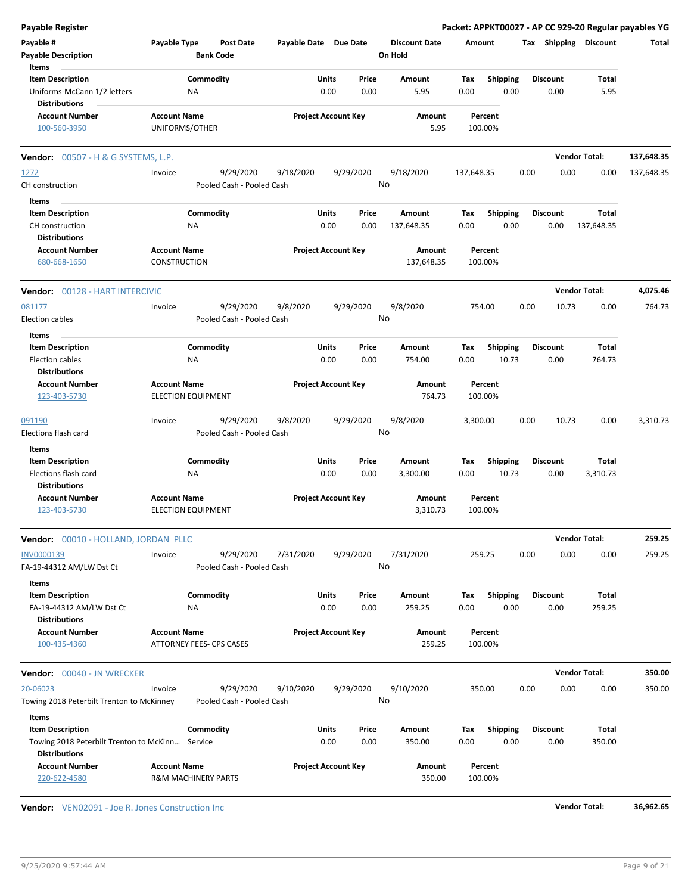| <b>Payable Register</b>                                                 |                                                  |                                                     |               |                            |                                 |             |                          |      |                         |                       | Packet: APPKT00027 - AP CC 929-20 Regular payables YG |
|-------------------------------------------------------------------------|--------------------------------------------------|-----------------------------------------------------|---------------|----------------------------|---------------------------------|-------------|--------------------------|------|-------------------------|-----------------------|-------------------------------------------------------|
| Payable #<br><b>Payable Description</b>                                 | Payable Type<br><b>Bank Code</b>                 | <b>Post Date</b>                                    |               | Payable Date Due Date      | <b>Discount Date</b><br>On Hold | Amount      |                          |      |                         | Tax Shipping Discount | Total                                                 |
| Items                                                                   |                                                  |                                                     |               |                            |                                 |             |                          |      |                         |                       |                                                       |
| <b>Item Description</b>                                                 | Commodity                                        |                                                     | Units         | Price                      | Amount                          | Tax         | <b>Shipping</b>          |      | <b>Discount</b>         | Total                 |                                                       |
| Uniforms-McCann 1/2 letters<br><b>Distributions</b>                     | <b>NA</b>                                        |                                                     | 0.00          | 0.00                       | 5.95                            | 0.00        | 0.00                     |      | 0.00                    | 5.95                  |                                                       |
| <b>Account Number</b>                                                   | <b>Account Name</b>                              |                                                     |               | <b>Project Account Key</b> | Amount                          |             | Percent                  |      |                         |                       |                                                       |
| 100-560-3950                                                            | UNIFORMS/OTHER                                   |                                                     |               |                            | 5.95                            | 100.00%     |                          |      |                         |                       |                                                       |
| Vendor: 00507 - H & G SYSTEMS, L.P.                                     |                                                  |                                                     |               |                            |                                 |             |                          |      |                         | <b>Vendor Total:</b>  | 137,648.35                                            |
| 1272                                                                    | Invoice                                          | 9/29/2020<br>9/18/2020                              |               | 9/29/2020                  | 9/18/2020                       | 137,648.35  |                          | 0.00 | 0.00                    | 0.00                  | 137,648.35                                            |
| CH construction                                                         |                                                  | Pooled Cash - Pooled Cash                           |               |                            | No                              |             |                          |      |                         |                       |                                                       |
| Items                                                                   |                                                  |                                                     |               |                            |                                 |             |                          |      |                         |                       |                                                       |
| <b>Item Description</b>                                                 | Commodity                                        |                                                     | Units         | Price                      | Amount                          | Tax         | <b>Shipping</b>          |      | <b>Discount</b>         | Total                 |                                                       |
| CH construction                                                         | NA                                               |                                                     | 0.00          | 0.00                       | 137,648.35                      | 0.00        | 0.00                     |      | 0.00                    | 137,648.35            |                                                       |
| <b>Distributions</b>                                                    |                                                  |                                                     |               |                            |                                 |             |                          |      |                         |                       |                                                       |
| <b>Account Number</b><br>680-668-1650                                   | <b>Account Name</b><br><b>CONSTRUCTION</b>       |                                                     |               | <b>Project Account Key</b> | Amount<br>137,648.35            | 100.00%     | Percent                  |      |                         |                       |                                                       |
| Vendor: 00128 - HART INTERCIVIC                                         |                                                  |                                                     |               |                            |                                 |             |                          |      |                         | <b>Vendor Total:</b>  | 4,075.46                                              |
| 081177                                                                  | Invoice                                          | 9/29/2020<br>9/8/2020                               |               | 9/29/2020                  | 9/8/2020                        | 754.00      |                          | 0.00 | 10.73                   | 0.00                  | 764.73                                                |
| <b>Election cables</b>                                                  |                                                  | Pooled Cash - Pooled Cash                           |               |                            | No                              |             |                          |      |                         |                       |                                                       |
| Items                                                                   |                                                  |                                                     |               |                            |                                 |             |                          |      |                         |                       |                                                       |
| <b>Item Description</b>                                                 | Commodity                                        |                                                     | Units         | Price                      | Amount                          | Tax         | <b>Shipping</b>          |      | <b>Discount</b>         | Total                 |                                                       |
| <b>Election cables</b>                                                  | <b>NA</b>                                        |                                                     | 0.00          | 0.00                       | 754.00                          | 0.00        | 10.73                    |      | 0.00                    | 764.73                |                                                       |
| <b>Distributions</b>                                                    |                                                  |                                                     |               |                            |                                 |             |                          |      |                         |                       |                                                       |
| <b>Account Number</b>                                                   | <b>Account Name</b>                              |                                                     |               | <b>Project Account Key</b> | Amount                          |             | Percent                  |      |                         |                       |                                                       |
| 123-403-5730                                                            | <b>ELECTION EQUIPMENT</b>                        |                                                     |               |                            | 764.73                          | 100.00%     |                          |      |                         |                       |                                                       |
| 091190                                                                  | Invoice                                          | 9/29/2020<br>9/8/2020                               |               | 9/29/2020                  | 9/8/2020                        | 3,300.00    |                          | 0.00 | 10.73                   | 0.00                  | 3,310.73                                              |
| Elections flash card                                                    |                                                  | Pooled Cash - Pooled Cash                           |               |                            | No                              |             |                          |      |                         |                       |                                                       |
| Items                                                                   |                                                  |                                                     |               |                            |                                 |             |                          |      |                         |                       |                                                       |
| <b>Item Description</b><br>Elections flash card                         | Commodity<br><b>NA</b>                           |                                                     | Units<br>0.00 | Price<br>0.00              | Amount<br>3,300.00              | Tax<br>0.00 | <b>Shipping</b><br>10.73 |      | <b>Discount</b><br>0.00 | Total<br>3,310.73     |                                                       |
| <b>Distributions</b>                                                    |                                                  |                                                     |               |                            |                                 |             |                          |      |                         |                       |                                                       |
| <b>Account Number</b><br>123-403-5730                                   | <b>Account Name</b><br><b>ELECTION EQUIPMENT</b> |                                                     |               | <b>Project Account Key</b> | Amount<br>3,310.73              | 100.00%     | Percent                  |      |                         |                       |                                                       |
| Vendor: 00010 - HOLLAND, JORDAN PLLC                                    |                                                  |                                                     |               |                            |                                 |             |                          |      |                         | <b>Vendor Total:</b>  | 259.25                                                |
| INV0000139<br>FA-19-44312 AM/LW Dst Ct                                  | Invoice                                          | 9/29/2020<br>7/31/2020<br>Pooled Cash - Pooled Cash |               | 9/29/2020                  | 7/31/2020<br>No                 | 259.25      |                          | 0.00 | 0.00                    | 0.00                  | 259.25                                                |
| Items                                                                   |                                                  |                                                     |               |                            |                                 |             |                          |      |                         |                       |                                                       |
| <b>Item Description</b>                                                 | Commodity                                        |                                                     | Units         | Price                      | Amount                          | Тах         | <b>Shipping</b>          |      | <b>Discount</b>         | Total                 |                                                       |
| FA-19-44312 AM/LW Dst Ct                                                | ΝA                                               |                                                     | 0.00          | 0.00                       | 259.25                          | 0.00        | 0.00                     |      | 0.00                    | 259.25                |                                                       |
| <b>Distributions</b>                                                    |                                                  |                                                     |               |                            |                                 |             |                          |      |                         |                       |                                                       |
| <b>Account Number</b>                                                   | <b>Account Name</b>                              |                                                     |               | <b>Project Account Key</b> | Amount                          |             | Percent                  |      |                         |                       |                                                       |
| 100-435-4360                                                            | ATTORNEY FEES- CPS CASES                         |                                                     |               |                            | 259.25                          | 100.00%     |                          |      |                         |                       |                                                       |
| Vendor: 00040 - JN WRECKER                                              |                                                  |                                                     |               |                            |                                 |             |                          |      |                         | <b>Vendor Total:</b>  | 350.00                                                |
| 20-06023                                                                | Invoice                                          | 9/29/2020<br>9/10/2020                              |               | 9/29/2020                  | 9/10/2020                       | 350.00      |                          | 0.00 | 0.00                    | 0.00                  | 350.00                                                |
| Towing 2018 Peterbilt Trenton to McKinney                               |                                                  | Pooled Cash - Pooled Cash                           |               |                            | No                              |             |                          |      |                         |                       |                                                       |
| Items                                                                   |                                                  |                                                     |               |                            |                                 |             |                          |      |                         |                       |                                                       |
| <b>Item Description</b>                                                 | Commodity                                        |                                                     | Units         | Price                      | Amount                          | Tax         | <b>Shipping</b>          |      | <b>Discount</b>         | Total                 |                                                       |
| Towing 2018 Peterbilt Trenton to McKinn Service<br><b>Distributions</b> |                                                  |                                                     | 0.00          | 0.00                       | 350.00                          | 0.00        | 0.00                     |      | 0.00                    | 350.00                |                                                       |
| <b>Account Number</b><br>220-622-4580                                   | <b>Account Name</b><br>R&M MACHINERY PARTS       |                                                     |               | <b>Project Account Key</b> | Amount<br>350.00                | 100.00%     | Percent                  |      |                         |                       |                                                       |
|                                                                         |                                                  |                                                     |               |                            |                                 |             |                          |      |                         |                       |                                                       |

**Vendor:** VEN02091 - Joe R. Jones Construction Inc **Vendor Total: 36,962.65**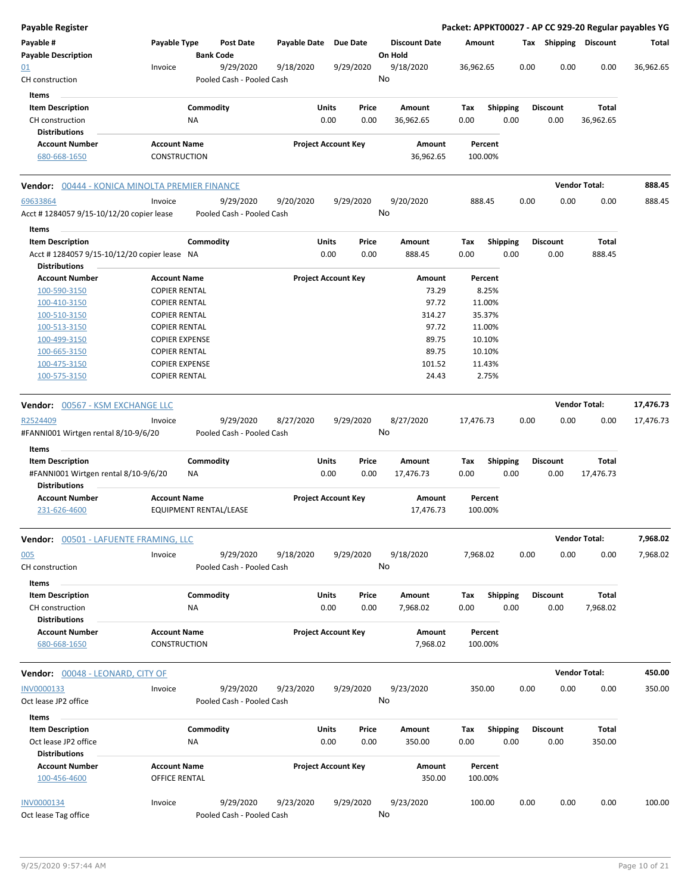| <b>Payable Register</b>                                         |                                                      |                  |                                        |                     |                            |               |                                 |             |                    |      |                         | Packet: APPKT00027 - AP CC 929-20 Regular payables YG |           |
|-----------------------------------------------------------------|------------------------------------------------------|------------------|----------------------------------------|---------------------|----------------------------|---------------|---------------------------------|-------------|--------------------|------|-------------------------|-------------------------------------------------------|-----------|
| Payable #<br><b>Payable Description</b>                         | Payable Type                                         | <b>Bank Code</b> | <b>Post Date</b>                       | <b>Payable Date</b> | <b>Due Date</b>            |               | <b>Discount Date</b><br>On Hold |             | Amount             |      | Tax Shipping Discount   |                                                       | Total     |
| <u>01</u><br>CH construction                                    | Invoice                                              |                  | 9/29/2020<br>Pooled Cash - Pooled Cash | 9/18/2020           | 9/29/2020                  |               | 9/18/2020<br>No                 | 36,962.65   |                    | 0.00 | 0.00                    | 0.00                                                  | 36,962.65 |
| Items                                                           |                                                      |                  |                                        |                     |                            |               |                                 |             |                    |      |                         |                                                       |           |
| <b>Item Description</b><br>CH construction                      |                                                      | Commodity<br>ΝA  |                                        |                     | Units<br>0.00              | Price<br>0.00 | Amount<br>36,962.65             | Tax<br>0.00 | <b>Shipping</b>    | 0.00 | <b>Discount</b><br>0.00 | <b>Total</b><br>36,962.65                             |           |
| <b>Distributions</b>                                            |                                                      |                  |                                        |                     |                            |               |                                 |             |                    |      |                         |                                                       |           |
| <b>Account Number</b>                                           | <b>Account Name</b>                                  |                  |                                        |                     | <b>Project Account Key</b> |               | Amount                          |             | Percent            |      |                         |                                                       |           |
| 680-668-1650                                                    | <b>CONSTRUCTION</b>                                  |                  |                                        |                     |                            |               | 36,962.65                       |             | 100.00%            |      |                         |                                                       |           |
| Vendor: 00444 - KONICA MINOLTA PREMIER FINANCE                  |                                                      |                  |                                        |                     |                            |               |                                 |             |                    |      |                         | <b>Vendor Total:</b>                                  | 888.45    |
| 69633864                                                        | Invoice                                              |                  | 9/29/2020                              | 9/20/2020           | 9/29/2020                  |               | 9/20/2020                       |             | 888.45             | 0.00 | 0.00                    | 0.00                                                  | 888.45    |
| Acct # 1284057 9/15-10/12/20 copier lease                       |                                                      |                  | Pooled Cash - Pooled Cash              |                     |                            |               | No                              |             |                    |      |                         |                                                       |           |
| Items                                                           |                                                      |                  |                                        |                     |                            |               |                                 |             |                    |      |                         |                                                       |           |
| <b>Item Description</b>                                         |                                                      | Commodity        |                                        |                     | Units                      | Price         | Amount                          | Tax         | <b>Shipping</b>    |      | <b>Discount</b>         | Total                                                 |           |
| Acct #1284057 9/15-10/12/20 copier lease NA                     |                                                      |                  |                                        |                     | 0.00                       | 0.00          | 888.45                          | 0.00        |                    | 0.00 | 0.00                    | 888.45                                                |           |
| <b>Distributions</b>                                            |                                                      |                  |                                        |                     |                            |               |                                 |             |                    |      |                         |                                                       |           |
| <b>Account Number</b>                                           | <b>Account Name</b>                                  |                  |                                        |                     | <b>Project Account Key</b> |               | Amount                          |             | Percent            |      |                         |                                                       |           |
| 100-590-3150                                                    | <b>COPIER RENTAL</b>                                 |                  |                                        |                     |                            |               | 73.29                           |             | 8.25%              |      |                         |                                                       |           |
| 100-410-3150                                                    | <b>COPIER RENTAL</b>                                 |                  |                                        |                     |                            |               | 97.72                           |             | 11.00%             |      |                         |                                                       |           |
| 100-510-3150                                                    | <b>COPIER RENTAL</b>                                 |                  |                                        |                     |                            |               | 314.27                          |             | 35.37%             |      |                         |                                                       |           |
| 100-513-3150                                                    | <b>COPIER RENTAL</b>                                 |                  |                                        |                     |                            |               | 97.72                           |             | 11.00%             |      |                         |                                                       |           |
| 100-499-3150                                                    | <b>COPIER EXPENSE</b>                                |                  |                                        |                     |                            |               | 89.75                           |             | 10.10%             |      |                         |                                                       |           |
| 100-665-3150                                                    | <b>COPIER RENTAL</b>                                 |                  |                                        |                     |                            |               | 89.75                           |             | 10.10%             |      |                         |                                                       |           |
| 100-475-3150                                                    | <b>COPIER EXPENSE</b>                                |                  |                                        |                     |                            |               | 101.52                          |             | 11.43%             |      |                         |                                                       |           |
| 100-575-3150                                                    | <b>COPIER RENTAL</b>                                 |                  |                                        |                     |                            |               | 24.43                           |             | 2.75%              |      |                         |                                                       |           |
| <b>Vendor:</b> 00567 - KSM EXCHANGE LLC                         |                                                      |                  |                                        |                     |                            |               |                                 |             |                    |      |                         | <b>Vendor Total:</b>                                  | 17,476.73 |
| R2524409                                                        | Invoice                                              |                  | 9/29/2020                              | 8/27/2020           | 9/29/2020                  |               | 8/27/2020                       | 17,476.73   |                    | 0.00 | 0.00                    | 0.00                                                  | 17,476.73 |
| #FANNI001 Wirtgen rental 8/10-9/6/20                            |                                                      |                  | Pooled Cash - Pooled Cash              |                     |                            |               | No                              |             |                    |      |                         |                                                       |           |
| Items                                                           |                                                      |                  |                                        |                     |                            |               |                                 |             |                    |      |                         |                                                       |           |
| <b>Item Description</b><br>#FANNI001 Wirtgen rental 8/10-9/6/20 |                                                      | Commodity<br>ΝA  |                                        |                     | Units<br>0.00              | Price<br>0.00 | Amount<br>17,476.73             | Tax<br>0.00 | Shipping           | 0.00 | <b>Discount</b><br>0.00 | Total<br>17,476.73                                    |           |
| <b>Distributions</b>                                            |                                                      |                  |                                        |                     |                            |               |                                 |             |                    |      |                         |                                                       |           |
| <b>Account Number</b><br>231-626-4600                           | <b>Account Name</b><br><b>EQUIPMENT RENTAL/LEASE</b> |                  |                                        |                     | <b>Project Account Key</b> |               | Amount<br>17,476.73             |             | Percent<br>100.00% |      |                         |                                                       |           |
| <b>Vendor:</b> 00501 - LAFUENTE FRAMING, LLC                    |                                                      |                  |                                        |                     |                            |               |                                 |             |                    |      |                         | <b>Vendor Total:</b>                                  | 7,968.02  |
| 005                                                             | Invoice                                              |                  | 9/29/2020                              | 9/18/2020           | 9/29/2020                  |               | 9/18/2020                       |             | 7,968.02           | 0.00 | 0.00                    | 0.00                                                  | 7,968.02  |
| CH construction                                                 |                                                      |                  | Pooled Cash - Pooled Cash              |                     |                            |               | No                              |             |                    |      |                         |                                                       |           |
| Items                                                           |                                                      |                  |                                        |                     |                            |               |                                 |             |                    |      |                         |                                                       |           |
| <b>Item Description</b><br>CH construction                      |                                                      | Commodity<br>NA  |                                        |                     | Units<br>0.00              | Price<br>0.00 | Amount<br>7,968.02              | Tax<br>0.00 | <b>Shipping</b>    | 0.00 | <b>Discount</b><br>0.00 | <b>Total</b><br>7,968.02                              |           |
| <b>Distributions</b><br><b>Account Number</b>                   |                                                      |                  |                                        |                     |                            |               |                                 |             |                    |      |                         |                                                       |           |
| 680-668-1650                                                    | <b>Account Name</b><br>CONSTRUCTION                  |                  |                                        |                     | <b>Project Account Key</b> |               | Amount<br>7,968.02              |             | Percent<br>100.00% |      |                         |                                                       |           |
| Vendor: 00048 - LEONARD, CITY OF                                |                                                      |                  |                                        |                     |                            |               |                                 |             |                    |      |                         | <b>Vendor Total:</b>                                  | 450.00    |
| INV0000133                                                      | Invoice                                              |                  | 9/29/2020                              | 9/23/2020           | 9/29/2020                  |               | 9/23/2020                       |             | 350.00             | 0.00 | 0.00                    | 0.00                                                  | 350.00    |
| Oct lease JP2 office                                            |                                                      |                  | Pooled Cash - Pooled Cash              |                     |                            |               | No                              |             |                    |      |                         |                                                       |           |
| Items                                                           |                                                      |                  |                                        |                     |                            |               |                                 |             |                    |      |                         |                                                       |           |
| <b>Item Description</b>                                         |                                                      | Commodity        |                                        |                     | Units                      | Price         | Amount                          | Tax         | Shipping           |      | <b>Discount</b>         | Total                                                 |           |
| Oct lease JP2 office                                            |                                                      | <b>NA</b>        |                                        |                     | 0.00                       | 0.00          | 350.00                          | 0.00        |                    | 0.00 | 0.00                    | 350.00                                                |           |
| <b>Distributions</b>                                            |                                                      |                  |                                        |                     |                            |               |                                 |             |                    |      |                         |                                                       |           |
| <b>Account Number</b><br>100-456-4600                           | <b>Account Name</b><br><b>OFFICE RENTAL</b>          |                  |                                        |                     | <b>Project Account Key</b> |               | Amount<br>350.00                |             | Percent<br>100.00% |      |                         |                                                       |           |
|                                                                 |                                                      |                  |                                        |                     |                            |               |                                 |             |                    |      |                         |                                                       |           |
| INV0000134                                                      | Invoice                                              |                  | 9/29/2020<br>Pooled Cash - Pooled Cash | 9/23/2020           | 9/29/2020                  |               | 9/23/2020<br>No                 |             | 100.00             | 0.00 | 0.00                    | 0.00                                                  | 100.00    |
| Oct lease Tag office                                            |                                                      |                  |                                        |                     |                            |               |                                 |             |                    |      |                         |                                                       |           |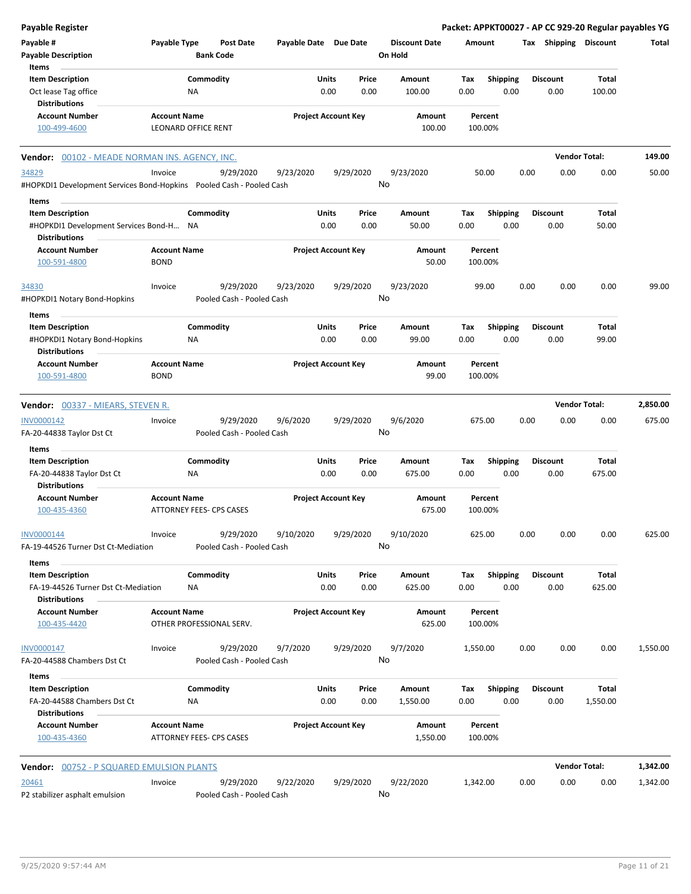| <b>Payable Register</b>                                                 |                                                 |                                        |                            |                      |                 |                                 |                    |                         |      |                         | Packet: APPKT00027 - AP CC 929-20 Regular payables YG |          |
|-------------------------------------------------------------------------|-------------------------------------------------|----------------------------------------|----------------------------|----------------------|-----------------|---------------------------------|--------------------|-------------------------|------|-------------------------|-------------------------------------------------------|----------|
| Payable #<br><b>Payable Description</b>                                 | Payable Type                                    | <b>Post Date</b><br><b>Bank Code</b>   | Payable Date Due Date      |                      |                 | <b>Discount Date</b><br>On Hold | Amount             |                         |      | Tax Shipping Discount   |                                                       | Total    |
| Items<br><b>Item Description</b>                                        |                                                 | Commodity                              |                            | Units                | Price           | Amount                          | Tax                | <b>Shipping</b>         |      | <b>Discount</b>         | <b>Total</b>                                          |          |
| Oct lease Tag office                                                    | NA                                              |                                        |                            | 0.00                 | 0.00            | 100.00                          | 0.00               | 0.00                    |      | 0.00                    | 100.00                                                |          |
| <b>Distributions</b>                                                    |                                                 |                                        |                            |                      |                 |                                 |                    |                         |      |                         |                                                       |          |
| <b>Account Number</b>                                                   | <b>Account Name</b>                             |                                        | <b>Project Account Key</b> |                      |                 | Amount                          | Percent            |                         |      |                         |                                                       |          |
| 100-499-4600                                                            | <b>LEONARD OFFICE RENT</b>                      |                                        |                            |                      |                 | 100.00                          | 100.00%            |                         |      |                         |                                                       |          |
| <b>Vendor:</b> 00102 - MEADE NORMAN INS. AGENCY, INC.                   |                                                 |                                        |                            |                      |                 |                                 |                    |                         |      |                         | <b>Vendor Total:</b>                                  | 149.00   |
| 34829                                                                   | Invoice                                         | 9/29/2020                              | 9/23/2020                  |                      | 9/29/2020       | 9/23/2020                       | 50.00              |                         | 0.00 | 0.00                    | 0.00                                                  | 50.00    |
| #HOPKDI1 Development Services Bond-Hopkins    Pooled Cash - Pooled Cash |                                                 |                                        |                            |                      | No              |                                 |                    |                         |      |                         |                                                       |          |
| Items                                                                   |                                                 |                                        |                            |                      |                 |                                 |                    |                         |      |                         |                                                       |          |
| <b>Item Description</b>                                                 |                                                 | Commodity                              |                            | Units<br>0.00        | Price<br>0.00   | Amount<br>50.00                 | Tax<br>0.00        | <b>Shipping</b><br>0.00 |      | <b>Discount</b><br>0.00 | <b>Total</b><br>50.00                                 |          |
| #HOPKDI1 Development Services Bond-H NA<br><b>Distributions</b>         |                                                 |                                        |                            |                      |                 |                                 |                    |                         |      |                         |                                                       |          |
| <b>Account Number</b><br>100-591-4800                                   | <b>Account Name</b><br><b>BOND</b>              |                                        | <b>Project Account Key</b> |                      |                 | <b>Amount</b><br>50.00          | Percent<br>100.00% |                         |      |                         |                                                       |          |
|                                                                         |                                                 |                                        |                            |                      |                 |                                 |                    |                         |      |                         |                                                       |          |
| 34830<br>#HOPKDI1 Notary Bond-Hopkins                                   | Invoice                                         | 9/29/2020<br>Pooled Cash - Pooled Cash | 9/23/2020                  |                      | 9/29/2020<br>No | 9/23/2020                       | 99.00              |                         | 0.00 | 0.00                    | 0.00                                                  | 99.00    |
|                                                                         |                                                 |                                        |                            |                      |                 |                                 |                    |                         |      |                         |                                                       |          |
| Items<br><b>Item Description</b>                                        |                                                 | Commodity                              |                            | Units                | Price           | Amount                          | Tax                | <b>Shipping</b>         |      | <b>Discount</b>         | <b>Total</b>                                          |          |
| #HOPKDI1 Notary Bond-Hopkins                                            | ΝA                                              |                                        |                            | 0.00                 | 0.00            | 99.00                           | 0.00               | 0.00                    |      | 0.00                    | 99.00                                                 |          |
| <b>Distributions</b>                                                    |                                                 |                                        |                            |                      |                 |                                 |                    |                         |      |                         |                                                       |          |
| <b>Account Number</b><br>100-591-4800                                   | <b>Account Name</b><br><b>BOND</b>              |                                        | <b>Project Account Key</b> |                      |                 | Amount<br>99.00                 | Percent<br>100.00% |                         |      |                         |                                                       |          |
|                                                                         |                                                 |                                        |                            |                      |                 |                                 |                    |                         |      |                         |                                                       |          |
| <b>Vendor: 00337 - MIEARS, STEVEN R.</b>                                |                                                 |                                        |                            |                      |                 |                                 |                    |                         |      |                         | <b>Vendor Total:</b>                                  | 2,850.00 |
| INV0000142                                                              | Invoice                                         | 9/29/2020                              | 9/6/2020                   |                      | 9/29/2020       | 9/6/2020                        | 675.00             |                         | 0.00 | 0.00                    | 0.00                                                  | 675.00   |
| FA-20-44838 Taylor Dst Ct                                               |                                                 | Pooled Cash - Pooled Cash              |                            |                      |                 | No                              |                    |                         |      |                         |                                                       |          |
| Items                                                                   |                                                 |                                        |                            |                      |                 |                                 |                    |                         |      |                         |                                                       |          |
| <b>Item Description</b><br>FA-20-44838 Taylor Dst Ct                    |                                                 | Commodity                              |                            | <b>Units</b><br>0.00 | Price<br>0.00   | Amount<br>675.00                | Tax<br>0.00        | <b>Shipping</b><br>0.00 |      | <b>Discount</b><br>0.00 | Total<br>675.00                                       |          |
| <b>Distributions</b>                                                    | ΝA                                              |                                        |                            |                      |                 |                                 |                    |                         |      |                         |                                                       |          |
| <b>Account Number</b>                                                   | <b>Account Name</b>                             |                                        | <b>Project Account Key</b> |                      |                 | <b>Amount</b>                   | Percent            |                         |      |                         |                                                       |          |
| 100-435-4360                                                            | <b>ATTORNEY FEES- CPS CASES</b>                 |                                        |                            |                      |                 | 675.00                          | 100.00%            |                         |      |                         |                                                       |          |
| INV0000144                                                              | Invoice                                         | 9/29/2020                              | 9/10/2020                  |                      | 9/29/2020       | 9/10/2020                       | 625.00             |                         | 0.00 | 0.00                    | 0.00                                                  | 625.00   |
| FA-19-44526 Turner Dst Ct-Mediation                                     |                                                 | Pooled Cash - Pooled Cash              |                            |                      | No              |                                 |                    |                         |      |                         |                                                       |          |
| Items                                                                   |                                                 |                                        |                            |                      |                 |                                 |                    |                         |      |                         |                                                       |          |
| <b>Item Description</b>                                                 |                                                 | Commodity                              |                            | Units                | Price           | Amount                          | Tax                | <b>Shipping</b>         |      | <b>Discount</b>         | Total                                                 |          |
| FA-19-44526 Turner Dst Ct-Mediation                                     | NA                                              |                                        |                            | 0.00                 | 0.00            | 625.00                          | 0.00               | 0.00                    |      | 0.00                    | 625.00                                                |          |
| <b>Distributions</b>                                                    |                                                 |                                        |                            |                      |                 |                                 |                    |                         |      |                         |                                                       |          |
| <b>Account Number</b><br>100-435-4420                                   | <b>Account Name</b>                             | OTHER PROFESSIONAL SERV.               | <b>Project Account Key</b> |                      |                 | Amount<br>625.00                | Percent<br>100.00% |                         |      |                         |                                                       |          |
| INV0000147                                                              | Invoice                                         | 9/29/2020                              | 9/7/2020                   |                      | 9/29/2020       | 9/7/2020                        | 1,550.00           |                         | 0.00 | 0.00                    | 0.00                                                  | 1,550.00 |
| FA-20-44588 Chambers Dst Ct                                             |                                                 | Pooled Cash - Pooled Cash              |                            |                      | No              |                                 |                    |                         |      |                         |                                                       |          |
| Items                                                                   |                                                 |                                        |                            |                      |                 |                                 |                    |                         |      |                         |                                                       |          |
| <b>Item Description</b>                                                 |                                                 | Commodity                              |                            | Units                | Price           | Amount                          | Tax                | <b>Shipping</b>         |      | <b>Discount</b>         | Total                                                 |          |
| FA-20-44588 Chambers Dst Ct<br><b>Distributions</b>                     | NA                                              |                                        |                            | 0.00                 | 0.00            | 1,550.00                        | 0.00               | 0.00                    |      | 0.00                    | 1,550.00                                              |          |
| <b>Account Number</b><br>100-435-4360                                   | <b>Account Name</b><br>ATTORNEY FEES- CPS CASES |                                        | <b>Project Account Key</b> |                      |                 | Amount<br>1,550.00              | Percent<br>100.00% |                         |      |                         |                                                       |          |
| <b>Vendor: 00752 - P SQUARED EMULSION PLANTS</b>                        |                                                 |                                        |                            |                      |                 |                                 |                    |                         |      |                         | <b>Vendor Total:</b>                                  | 1,342.00 |
| 20461                                                                   | Invoice                                         |                                        |                            |                      |                 |                                 | 1,342.00           |                         |      | 0.00                    | 0.00                                                  |          |
| P2 stabilizer asphalt emulsion                                          |                                                 | 9/29/2020<br>Pooled Cash - Pooled Cash | 9/22/2020                  |                      | 9/29/2020<br>No | 9/22/2020                       |                    |                         | 0.00 |                         |                                                       | 1,342.00 |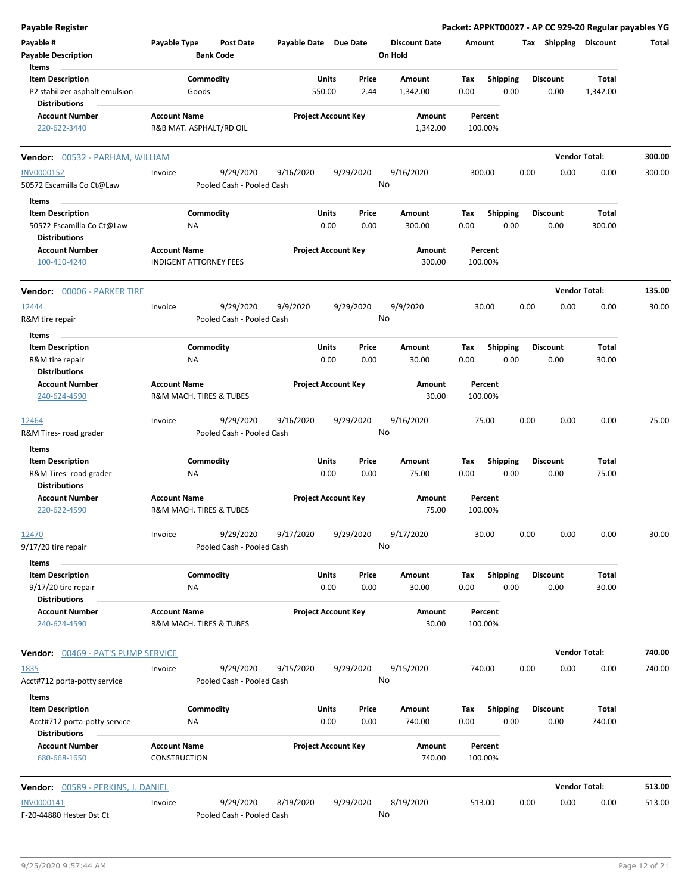| <b>Payable Register</b>                                                      |                                                      |                        |                                        |                       |                            |                 |                                 |             |                         |      |                         | Packet: APPKT00027 - AP CC 929-20 Regular payables YG |        |
|------------------------------------------------------------------------------|------------------------------------------------------|------------------------|----------------------------------------|-----------------------|----------------------------|-----------------|---------------------------------|-------------|-------------------------|------|-------------------------|-------------------------------------------------------|--------|
| Payable #<br><b>Payable Description</b>                                      | Payable Type                                         |                        | <b>Post Date</b><br><b>Bank Code</b>   | Payable Date Due Date |                            |                 | <b>Discount Date</b><br>On Hold | Amount      |                         |      | Tax Shipping            | <b>Discount</b>                                       | Total  |
| Items<br><b>Item Description</b><br>P2 stabilizer asphalt emulsion           |                                                      | Commodity<br>Goods     |                                        |                       | Units<br>550.00            | Price<br>2.44   | Amount<br>1,342.00              | Tax<br>0.00 | <b>Shipping</b><br>0.00 |      | <b>Discount</b><br>0.00 | Total<br>1,342.00                                     |        |
| <b>Distributions</b>                                                         |                                                      |                        |                                        |                       |                            |                 |                                 |             |                         |      |                         |                                                       |        |
| <b>Account Number</b><br>220-622-3440                                        | <b>Account Name</b><br>R&B MAT. ASPHALT/RD OIL       |                        |                                        |                       | <b>Project Account Key</b> |                 | Amount<br>1,342.00              |             | Percent<br>100.00%      |      |                         |                                                       |        |
| <b>Vendor:</b> 00532 - PARHAM, WILLIAM                                       |                                                      |                        |                                        |                       |                            |                 |                                 |             |                         |      |                         | <b>Vendor Total:</b>                                  | 300.00 |
| <b>INV0000152</b><br>50572 Escamilla Co Ct@Law                               | Invoice                                              |                        | 9/29/2020<br>Pooled Cash - Pooled Cash | 9/16/2020             |                            | 9/29/2020<br>No | 9/16/2020                       |             | 300.00                  | 0.00 | 0.00                    | 0.00                                                  | 300.00 |
| Items                                                                        |                                                      |                        |                                        |                       |                            |                 |                                 |             |                         |      |                         |                                                       |        |
| <b>Item Description</b><br>50572 Escamilla Co Ct@Law<br><b>Distributions</b> |                                                      | Commodity<br>NA        |                                        |                       | Units<br>0.00              | Price<br>0.00   | Amount<br>300.00                | Tax<br>0.00 | Shipping<br>0.00        |      | <b>Discount</b><br>0.00 | Total<br>300.00                                       |        |
| <b>Account Number</b><br>100-410-4240                                        | <b>Account Name</b><br><b>INDIGENT ATTORNEY FEES</b> |                        |                                        |                       | <b>Project Account Key</b> |                 | Amount<br>300.00                |             | Percent<br>100.00%      |      |                         |                                                       |        |
| <b>Vendor: 00006 - PARKER TIRE</b>                                           |                                                      |                        |                                        |                       |                            |                 |                                 |             |                         |      |                         | <b>Vendor Total:</b>                                  | 135.00 |
| 12444<br>R&M tire repair                                                     | Invoice                                              |                        | 9/29/2020<br>Pooled Cash - Pooled Cash | 9/9/2020              |                            | 9/29/2020<br>No | 9/9/2020                        |             | 30.00                   | 0.00 | 0.00                    | 0.00                                                  | 30.00  |
| Items                                                                        |                                                      |                        |                                        |                       |                            |                 |                                 |             |                         |      |                         |                                                       |        |
| <b>Item Description</b><br>R&M tire repair                                   |                                                      | Commodity<br><b>NA</b> |                                        |                       | Units<br>0.00              | Price<br>0.00   | Amount<br>30.00                 | Tax<br>0.00 | <b>Shipping</b><br>0.00 |      | <b>Discount</b><br>0.00 | Total<br>30.00                                        |        |
| <b>Distributions</b><br><b>Account Number</b><br>240-624-4590                | <b>Account Name</b><br>R&M MACH. TIRES & TUBES       |                        |                                        |                       | <b>Project Account Key</b> |                 | Amount<br>30.00                 |             | Percent<br>100.00%      |      |                         |                                                       |        |
| 12464                                                                        | Invoice                                              |                        | 9/29/2020                              | 9/16/2020             |                            | 9/29/2020       | 9/16/2020                       |             | 75.00                   | 0.00 | 0.00                    | 0.00                                                  | 75.00  |
| R&M Tires-road grader                                                        |                                                      |                        | Pooled Cash - Pooled Cash              |                       |                            | No              |                                 |             |                         |      |                         |                                                       |        |
| Items                                                                        |                                                      |                        |                                        |                       |                            |                 |                                 |             |                         |      |                         |                                                       |        |
| <b>Item Description</b><br>R&M Tires-road grader<br><b>Distributions</b>     |                                                      | Commodity<br>ΝA        |                                        |                       | Units<br>0.00              | Price<br>0.00   | <b>Amount</b><br>75.00          | Tax<br>0.00 | <b>Shipping</b><br>0.00 |      | <b>Discount</b><br>0.00 | Total<br>75.00                                        |        |
| <b>Account Number</b><br>220-622-4590                                        | <b>Account Name</b><br>R&M MACH. TIRES & TUBES       |                        |                                        |                       | <b>Project Account Key</b> |                 | Amount<br>75.00                 |             | Percent<br>100.00%      |      |                         |                                                       |        |
| 12470<br>$9/17/20$ tire repair                                               | Invoice                                              |                        | 9/29/2020<br>Pooled Cash - Pooled Cash | 9/17/2020             |                            | 9/29/2020<br>No | 9/17/2020                       |             | 30.00                   | 0.00 | 0.00                    | 0.00                                                  | 30.00  |
| Items                                                                        |                                                      |                        |                                        |                       |                            |                 |                                 |             |                         |      |                         |                                                       |        |
| <b>Item Description</b><br>9/17/20 tire repair                               |                                                      | Commodity<br>NA        |                                        |                       | Units<br>0.00              | Price<br>0.00   | Amount<br>30.00                 | Tax<br>0.00 | Shipping<br>0.00        |      | <b>Discount</b><br>0.00 | Total<br>30.00                                        |        |
| <b>Distributions</b><br><b>Account Number</b><br>240-624-4590                | <b>Account Name</b><br>R&M MACH. TIRES & TUBES       |                        |                                        |                       | <b>Project Account Key</b> |                 | Amount<br>30.00                 |             | Percent<br>100.00%      |      |                         |                                                       |        |
| <b>Vendor: 00469 - PAT'S PUMP SERVICE</b>                                    |                                                      |                        |                                        |                       |                            |                 |                                 |             |                         |      |                         | <b>Vendor Total:</b>                                  | 740.00 |
| 1835<br>Acct#712 porta-potty service                                         | Invoice                                              |                        | 9/29/2020<br>Pooled Cash - Pooled Cash | 9/15/2020             |                            | 9/29/2020<br>No | 9/15/2020                       |             | 740.00                  | 0.00 | 0.00                    | 0.00                                                  | 740.00 |
| Items                                                                        |                                                      |                        |                                        |                       |                            |                 |                                 |             |                         |      |                         |                                                       |        |
| <b>Item Description</b><br>Acct#712 porta-potty service                      |                                                      | Commodity<br>NA        |                                        |                       | Units<br>0.00              | Price<br>0.00   | Amount<br>740.00                | Tax<br>0.00 | <b>Shipping</b><br>0.00 |      | <b>Discount</b><br>0.00 | Total<br>740.00                                       |        |
| <b>Distributions</b><br><b>Account Number</b><br>680-668-1650                | <b>Account Name</b><br><b>CONSTRUCTION</b>           |                        |                                        |                       | <b>Project Account Key</b> |                 | Amount<br>740.00                |             | Percent<br>100.00%      |      |                         |                                                       |        |
| Vendor: 00589 - PERKINS, J. DANIEL                                           |                                                      |                        |                                        |                       |                            |                 |                                 |             |                         |      |                         | <b>Vendor Total:</b>                                  | 513.00 |
| INV0000141                                                                   | Invoice                                              |                        | 9/29/2020                              | 8/19/2020             |                            | 9/29/2020<br>No | 8/19/2020                       |             | 513.00                  | 0.00 | 0.00                    | 0.00                                                  | 513.00 |
| F-20-44880 Hester Dst Ct                                                     |                                                      |                        | Pooled Cash - Pooled Cash              |                       |                            |                 |                                 |             |                         |      |                         |                                                       |        |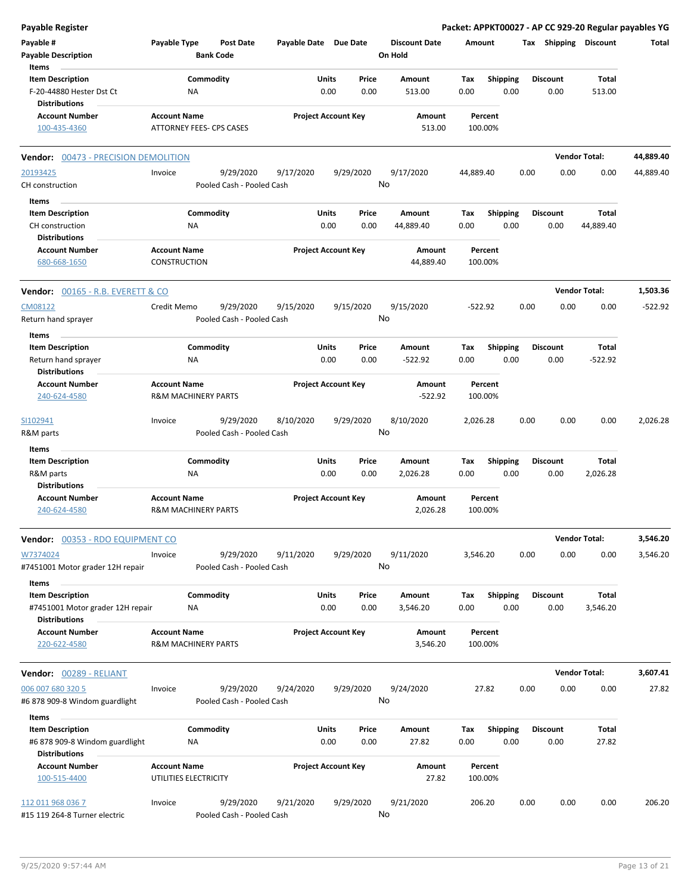| <b>Payable Register</b>                                     |                                                       |                                        |                       |                            |               |                      |             |                  |      |                         |                      | Packet: APPKT00027 - AP CC 929-20 Regular payables YG |
|-------------------------------------------------------------|-------------------------------------------------------|----------------------------------------|-----------------------|----------------------------|---------------|----------------------|-------------|------------------|------|-------------------------|----------------------|-------------------------------------------------------|
| Payable #                                                   | Payable Type                                          | <b>Post Date</b>                       | Payable Date Due Date |                            |               | <b>Discount Date</b> | Amount      |                  |      | Tax Shipping            | <b>Discount</b>      | Total                                                 |
| <b>Payable Description</b>                                  |                                                       | <b>Bank Code</b>                       |                       |                            |               | On Hold              |             |                  |      |                         |                      |                                                       |
| Items                                                       |                                                       |                                        |                       |                            |               |                      |             |                  |      |                         |                      |                                                       |
| <b>Item Description</b>                                     | Commodity                                             |                                        |                       | Units                      | Price         | Amount               | Tax         | <b>Shipping</b>  |      | <b>Discount</b>         | Total                |                                                       |
| F-20-44880 Hester Dst Ct                                    | <b>NA</b>                                             |                                        |                       | 0.00                       | 0.00          | 513.00               | 0.00        | 0.00             |      | 0.00                    | 513.00               |                                                       |
| <b>Distributions</b>                                        |                                                       |                                        |                       |                            |               |                      |             |                  |      |                         |                      |                                                       |
| <b>Account Number</b>                                       | <b>Account Name</b>                                   |                                        |                       | <b>Project Account Key</b> |               | Amount               |             | Percent          |      |                         |                      |                                                       |
| 100-435-4360                                                | ATTORNEY FEES- CPS CASES                              |                                        |                       |                            |               | 513.00               | 100.00%     |                  |      |                         |                      |                                                       |
| 00473 - PRECISION DEMOLITION<br>Vendor:                     |                                                       |                                        |                       |                            |               |                      |             |                  |      |                         | <b>Vendor Total:</b> | 44,889.40                                             |
| 20193425                                                    | Invoice                                               | 9/29/2020                              | 9/17/2020             | 9/29/2020                  |               | 9/17/2020            | 44.889.40   |                  | 0.00 | 0.00                    | 0.00                 | 44,889.40                                             |
| CH construction                                             |                                                       | Pooled Cash - Pooled Cash              |                       |                            | No            |                      |             |                  |      |                         |                      |                                                       |
| Items                                                       |                                                       |                                        |                       |                            |               |                      |             |                  |      |                         |                      |                                                       |
| <b>Item Description</b>                                     | Commodity                                             |                                        |                       | Units                      | Price         | Amount               | Tax         | Shipping         |      | <b>Discount</b>         | Total                |                                                       |
| CH construction                                             | <b>NA</b>                                             |                                        |                       | 0.00                       | 0.00          | 44,889.40            | 0.00        | 0.00             |      | 0.00                    | 44,889.40            |                                                       |
| <b>Distributions</b>                                        |                                                       |                                        |                       |                            |               |                      |             |                  |      |                         |                      |                                                       |
| <b>Account Number</b>                                       | <b>Account Name</b>                                   |                                        |                       | <b>Project Account Key</b> |               | Amount               |             | Percent          |      |                         |                      |                                                       |
| 680-668-1650                                                | <b>CONSTRUCTION</b>                                   |                                        |                       |                            |               | 44,889.40            | 100.00%     |                  |      |                         |                      |                                                       |
| <b>Vendor: 00165 - R.B. EVERETT &amp; CO</b>                |                                                       |                                        |                       |                            |               |                      |             |                  |      |                         | <b>Vendor Total:</b> | 1,503.36                                              |
| CM08122                                                     | Credit Memo                                           | 9/29/2020                              | 9/15/2020             | 9/15/2020                  |               | 9/15/2020            | $-522.92$   |                  | 0.00 | 0.00                    | 0.00                 | $-522.92$                                             |
| Return hand sprayer                                         |                                                       | Pooled Cash - Pooled Cash              |                       |                            | No            |                      |             |                  |      |                         |                      |                                                       |
| Items                                                       |                                                       |                                        |                       |                            |               |                      |             |                  |      |                         |                      |                                                       |
| <b>Item Description</b>                                     | Commodity                                             |                                        |                       | Units                      | Price         | Amount               | Tax         | <b>Shipping</b>  |      | <b>Discount</b>         | Total                |                                                       |
| Return hand sprayer                                         | ΝA                                                    |                                        |                       | 0.00                       | 0.00          | $-522.92$            | 0.00        | 0.00             |      | 0.00                    | $-522.92$            |                                                       |
| <b>Distributions</b>                                        |                                                       |                                        |                       |                            |               |                      |             |                  |      |                         |                      |                                                       |
| <b>Account Number</b>                                       | <b>Account Name</b>                                   |                                        |                       | <b>Project Account Key</b> |               | Amount               |             | Percent          |      |                         |                      |                                                       |
| 240-624-4580                                                | <b>R&amp;M MACHINERY PARTS</b>                        |                                        |                       |                            |               | $-522.92$            | 100.00%     |                  |      |                         |                      |                                                       |
| SI102941                                                    | Invoice                                               | 9/29/2020                              | 8/10/2020             | 9/29/2020                  |               | 8/10/2020            | 2,026.28    |                  | 0.00 | 0.00                    | 0.00                 | 2,026.28                                              |
| R&M parts                                                   |                                                       | Pooled Cash - Pooled Cash              |                       |                            | No            |                      |             |                  |      |                         |                      |                                                       |
| <b>Items</b>                                                |                                                       |                                        |                       |                            |               |                      |             |                  |      |                         |                      |                                                       |
| <b>Item Description</b>                                     | Commodity                                             |                                        |                       | Units                      | Price         | Amount               | Tax         | <b>Shipping</b>  |      | <b>Discount</b>         | Total                |                                                       |
| R&M parts                                                   | <b>NA</b>                                             |                                        |                       | 0.00                       | 0.00          | 2,026.28             | 0.00        | 0.00             |      | 0.00                    | 2,026.28             |                                                       |
| <b>Distributions</b>                                        |                                                       |                                        |                       |                            |               |                      |             |                  |      |                         |                      |                                                       |
| <b>Account Number</b><br>240-624-4580                       | <b>Account Name</b><br><b>R&amp;M MACHINERY PARTS</b> |                                        |                       | <b>Project Account Key</b> |               | Amount<br>2,026.28   | 100.00%     | Percent          |      |                         |                      |                                                       |
|                                                             |                                                       |                                        |                       |                            |               |                      |             |                  |      |                         |                      |                                                       |
| <b>Vendor: 00353 - RDO EQUIPMENT CO</b>                     |                                                       |                                        |                       |                            |               |                      |             |                  |      |                         | <b>Vendor Total:</b> | 3,546.20                                              |
| W7374024<br>#7451001 Motor grader 12H repair                | Invoice                                               | 9/29/2020<br>Pooled Cash - Pooled Cash | 9/11/2020             | 9/29/2020                  | No            | 9/11/2020            | 3,546.20    |                  | 0.00 | 0.00                    | 0.00                 | 3,546.20                                              |
| Items                                                       |                                                       |                                        |                       |                            |               |                      |             |                  |      |                         |                      |                                                       |
| <b>Item Description</b><br>#7451001 Motor grader 12H repair | Commodity<br>NA                                       |                                        |                       | Units<br>0.00              | Price<br>0.00 | Amount<br>3,546.20   | Tax<br>0.00 | Shipping<br>0.00 |      | <b>Discount</b><br>0.00 | Total<br>3,546.20    |                                                       |
| <b>Distributions</b>                                        |                                                       |                                        |                       |                            |               |                      |             |                  |      |                         |                      |                                                       |
| <b>Account Number</b><br>220-622-4580                       | <b>Account Name</b><br>R&M MACHINERY PARTS            |                                        |                       | <b>Project Account Key</b> |               | Amount<br>3,546.20   | 100.00%     | Percent          |      |                         |                      |                                                       |
| <b>Vendor: 00289 - RELIANT</b>                              |                                                       |                                        |                       |                            |               |                      |             |                  |      |                         | <b>Vendor Total:</b> | 3,607.41                                              |
| 006 007 680 320 5                                           | Invoice                                               | 9/29/2020                              | 9/24/2020             | 9/29/2020                  |               | 9/24/2020            |             | 27.82            | 0.00 | 0.00                    | 0.00                 | 27.82                                                 |
| #6 878 909-8 Windom guardlight                              |                                                       | Pooled Cash - Pooled Cash              |                       |                            | No            |                      |             |                  |      |                         |                      |                                                       |
| Items                                                       |                                                       |                                        |                       |                            |               |                      |             |                  |      |                         |                      |                                                       |
| <b>Item Description</b>                                     | Commodity                                             |                                        |                       | Units                      | Price         | Amount               | Tax         | <b>Shipping</b>  |      | <b>Discount</b>         | Total                |                                                       |
| #6 878 909-8 Windom guardlight<br><b>Distributions</b>      | NA                                                    |                                        |                       | 0.00                       | 0.00          | 27.82                | 0.00        | 0.00             |      | 0.00                    | 27.82                |                                                       |
| <b>Account Number</b>                                       | <b>Account Name</b>                                   |                                        |                       | <b>Project Account Key</b> |               | Amount               |             | Percent          |      |                         |                      |                                                       |
| 100-515-4400                                                | UTILITIES ELECTRICITY                                 |                                        |                       |                            |               | 27.82                | 100.00%     |                  |      |                         |                      |                                                       |
| 112 011 968 036 7                                           | Invoice                                               | 9/29/2020                              | 9/21/2020             | 9/29/2020                  |               | 9/21/2020            | 206.20      |                  | 0.00 | 0.00                    | 0.00                 | 206.20                                                |
| #15 119 264-8 Turner electric                               |                                                       | Pooled Cash - Pooled Cash              |                       |                            | No            |                      |             |                  |      |                         |                      |                                                       |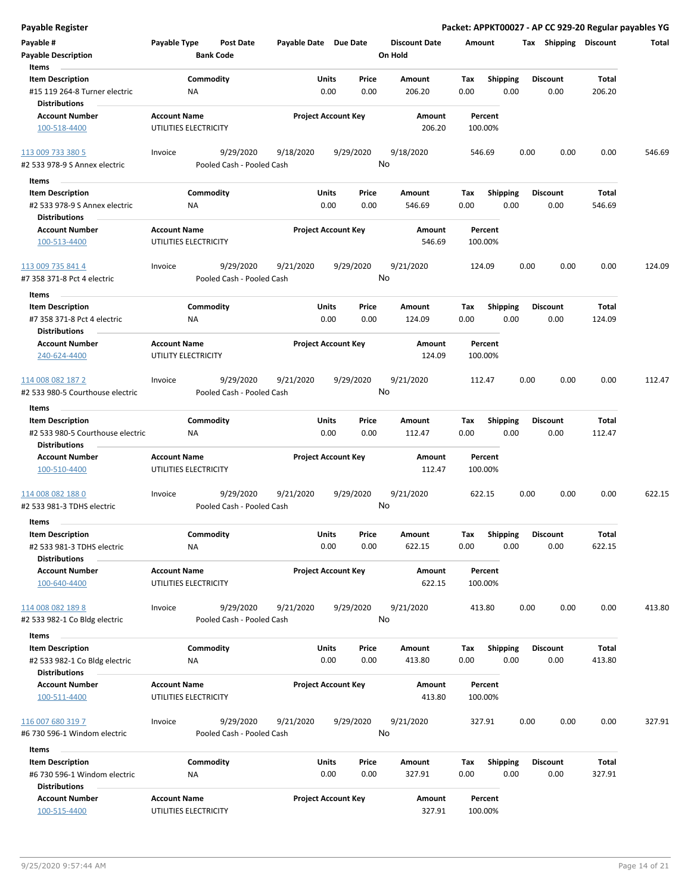**Payable Register Packet: APPKT00027 - AP CC 929-20 Regular payables YG**

| Payable #                                             | Payable Type                                 | Post Date                              | Payable Date Due Date |                            | <b>Discount Date</b> | Amount             |                 |      | Tax Shipping    | <b>Discount</b> | Total  |
|-------------------------------------------------------|----------------------------------------------|----------------------------------------|-----------------------|----------------------------|----------------------|--------------------|-----------------|------|-----------------|-----------------|--------|
| <b>Payable Description</b>                            |                                              | <b>Bank Code</b>                       |                       |                            | On Hold              |                    |                 |      |                 |                 |        |
| Items                                                 |                                              |                                        |                       |                            |                      |                    |                 |      |                 |                 |        |
| <b>Item Description</b>                               |                                              | Commodity                              | Units                 | Price                      | Amount               | Tax                | <b>Shipping</b> |      | <b>Discount</b> | Total           |        |
| #15 119 264-8 Turner electric<br><b>Distributions</b> | <b>NA</b>                                    |                                        |                       | 0.00<br>0.00               | 206.20               | 0.00               | 0.00            |      | 0.00            | 206.20          |        |
| <b>Account Number</b>                                 | <b>Account Name</b>                          |                                        |                       | <b>Project Account Key</b> | Amount               | Percent            |                 |      |                 |                 |        |
| 100-518-4400                                          | UTILITIES ELECTRICITY                        |                                        |                       |                            | 206.20               | 100.00%            |                 |      |                 |                 |        |
| 113 009 733 380 5<br>#2 533 978-9 S Annex electric    | Invoice                                      | 9/29/2020<br>Pooled Cash - Pooled Cash | 9/18/2020             | 9/29/2020                  | 9/18/2020<br>No      | 546.69             |                 | 0.00 | 0.00            | 0.00            | 546.69 |
|                                                       |                                              |                                        |                       |                            |                      |                    |                 |      |                 |                 |        |
| Items                                                 |                                              |                                        |                       |                            |                      |                    |                 |      |                 |                 |        |
| <b>Item Description</b>                               |                                              | Commodity                              | Units                 | Price                      | Amount               | Tax                | <b>Shipping</b> |      | <b>Discount</b> | Total           |        |
| #2 533 978-9 S Annex electric                         |                                              | NA                                     |                       | 0.00<br>0.00               | 546.69               | 0.00               | 0.00            |      | 0.00            | 546.69          |        |
| <b>Distributions</b>                                  |                                              |                                        |                       |                            |                      |                    |                 |      |                 |                 |        |
| <b>Account Number</b><br>100-513-4400                 | <b>Account Name</b><br>UTILITIES ELECTRICITY |                                        |                       | <b>Project Account Key</b> | Amount<br>546.69     | Percent<br>100.00% |                 |      |                 |                 |        |
|                                                       |                                              |                                        |                       |                            |                      |                    |                 |      |                 |                 |        |
| <u>113 009 735 841 4</u>                              | Invoice                                      | 9/29/2020                              | 9/21/2020             | 9/29/2020                  | 9/21/2020            | 124.09             |                 | 0.00 | 0.00            | 0.00            | 124.09 |
| #7 358 371-8 Pct 4 electric<br><b>Items</b>           |                                              | Pooled Cash - Pooled Cash              |                       |                            | No                   |                    |                 |      |                 |                 |        |
| <b>Item Description</b>                               |                                              | Commodity                              | Units                 | Price                      | Amount               | Tax                | <b>Shipping</b> |      | <b>Discount</b> | Total           |        |
| #7 358 371-8 Pct 4 electric                           | <b>NA</b>                                    |                                        |                       | 0.00<br>0.00               | 124.09               | 0.00               | 0.00            |      | 0.00            | 124.09          |        |
| <b>Distributions</b>                                  |                                              |                                        |                       |                            |                      |                    |                 |      |                 |                 |        |
| <b>Account Number</b>                                 | <b>Account Name</b>                          |                                        |                       | <b>Project Account Key</b> | Amount               | Percent            |                 |      |                 |                 |        |
| 240-624-4400                                          | UTILITY ELECTRICITY                          |                                        |                       |                            | 124.09               | 100.00%            |                 |      |                 |                 |        |
| 114 008 082 187 2                                     | Invoice                                      | 9/29/2020                              | 9/21/2020             | 9/29/2020                  | 9/21/2020<br>No      | 112.47             |                 | 0.00 | 0.00            | 0.00            | 112.47 |
| #2 533 980-5 Courthouse electric                      |                                              | Pooled Cash - Pooled Cash              |                       |                            |                      |                    |                 |      |                 |                 |        |
| Items                                                 |                                              |                                        |                       |                            |                      |                    |                 |      |                 |                 |        |
| <b>Item Description</b>                               |                                              | Commodity                              | Units                 | Price                      | Amount               | Tax                | <b>Shipping</b> |      | <b>Discount</b> | Total           |        |
| #2 533 980-5 Courthouse electric                      |                                              | NA                                     |                       | 0.00<br>0.00               | 112.47               | 0.00               | 0.00            |      | 0.00            | 112.47          |        |
| <b>Distributions</b>                                  |                                              |                                        |                       |                            |                      |                    |                 |      |                 |                 |        |
| <b>Account Number</b>                                 | <b>Account Name</b>                          |                                        |                       | <b>Project Account Key</b> | Amount               | Percent            |                 |      |                 |                 |        |
| 100-510-4400                                          | UTILITIES ELECTRICITY                        |                                        |                       |                            | 112.47               | 100.00%            |                 |      |                 |                 |        |
| 114 008 082 188 0                                     | Invoice                                      | 9/29/2020                              | 9/21/2020             | 9/29/2020                  | 9/21/2020            | 622.15             |                 | 0.00 | 0.00            | 0.00            | 622.15 |
| #2 533 981-3 TDHS electric                            |                                              | Pooled Cash - Pooled Cash              |                       |                            | No                   |                    |                 |      |                 |                 |        |
|                                                       |                                              |                                        |                       |                            |                      |                    |                 |      |                 |                 |        |
| Items                                                 |                                              |                                        |                       |                            |                      |                    |                 |      |                 |                 |        |
| <b>Item Description</b>                               |                                              | Commodity                              |                       | Units<br>Price             | Amount               | Tax                | <b>Shipping</b> |      | <b>Discount</b> | Total           |        |
| #2 533 981-3 TDHS electric<br><b>Distributions</b>    | <b>NA</b>                                    |                                        |                       | 0.00<br>0.00               | 622.15               | 0.00               | 0.00            |      | 0.00            | 622.15          |        |
|                                                       | <b>Account Name</b>                          |                                        |                       |                            |                      |                    |                 |      |                 |                 |        |
| <b>Account Number</b><br>100-640-4400                 | UTILITIES ELECTRICITY                        |                                        |                       | <b>Project Account Key</b> | Amount<br>622.15     | Percent<br>100.00% |                 |      |                 |                 |        |
|                                                       |                                              |                                        |                       |                            |                      |                    |                 |      |                 |                 |        |
| 114 008 082 1898                                      | Invoice                                      | 9/29/2020                              | 9/21/2020             | 9/29/2020                  | 9/21/2020            | 413.80             |                 | 0.00 | 0.00            | 0.00            | 413.80 |
| #2 533 982-1 Co Bldg electric                         |                                              | Pooled Cash - Pooled Cash              |                       |                            | No                   |                    |                 |      |                 |                 |        |
|                                                       |                                              |                                        |                       |                            |                      |                    |                 |      |                 |                 |        |
| Items                                                 |                                              |                                        |                       |                            |                      |                    |                 |      |                 |                 |        |
| <b>Item Description</b>                               |                                              | Commodity                              | Units                 | Price                      | Amount               | Tax                | <b>Shipping</b> |      | <b>Discount</b> | Total           |        |
| #2 533 982-1 Co Bldg electric                         |                                              | NA                                     |                       | 0.00<br>0.00               | 413.80               | 0.00               | 0.00            |      | 0.00            | 413.80          |        |
| <b>Distributions</b>                                  |                                              |                                        |                       |                            |                      |                    |                 |      |                 |                 |        |
| <b>Account Number</b>                                 | <b>Account Name</b>                          |                                        |                       | <b>Project Account Key</b> | Amount               | Percent            |                 |      |                 |                 |        |
| 100-511-4400                                          | UTILITIES ELECTRICITY                        |                                        |                       |                            | 413.80               | 100.00%            |                 |      |                 |                 |        |
|                                                       | Invoice                                      | 9/29/2020                              | 9/21/2020             | 9/29/2020                  | 9/21/2020            | 327.91             |                 | 0.00 | 0.00            | 0.00            | 327.91 |
| 116 007 680 319 7<br>#6 730 596-1 Windom electric     |                                              | Pooled Cash - Pooled Cash              |                       |                            | No                   |                    |                 |      |                 |                 |        |
|                                                       |                                              |                                        |                       |                            |                      |                    |                 |      |                 |                 |        |
| Items                                                 |                                              |                                        |                       |                            |                      |                    |                 |      |                 |                 |        |
| <b>Item Description</b>                               |                                              | Commodity                              | Units                 | Price                      | Amount               | Tax                | <b>Shipping</b> |      | <b>Discount</b> | Total           |        |
| #6 730 596-1 Windom electric                          | ΝA                                           |                                        |                       | 0.00<br>0.00               | 327.91               | 0.00               | 0.00            |      | 0.00            | 327.91          |        |
| <b>Distributions</b>                                  |                                              |                                        |                       |                            |                      |                    |                 |      |                 |                 |        |
| <b>Account Number</b>                                 | <b>Account Name</b>                          |                                        |                       | <b>Project Account Key</b> | Amount               | Percent            |                 |      |                 |                 |        |
| 100-515-4400                                          | UTILITIES ELECTRICITY                        |                                        |                       |                            | 327.91               | 100.00%            |                 |      |                 |                 |        |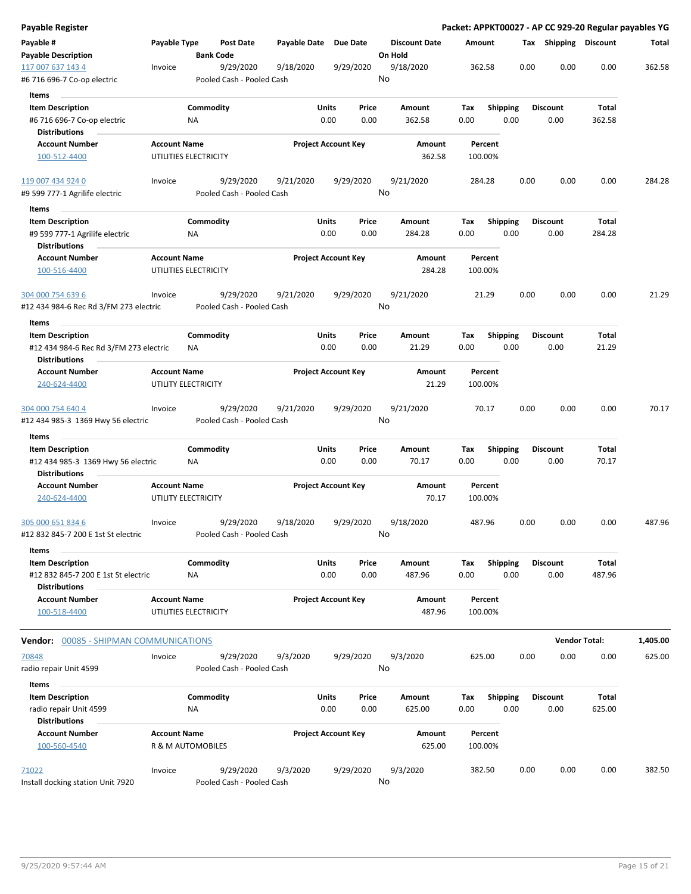| <b>Payable Register</b>                       |                     |                       |                           |                       |                            |           |         |                      |      |                    |                 |      |                       |                      | Packet: APPKT00027 - AP CC 929-20 Regular payables YG |
|-----------------------------------------------|---------------------|-----------------------|---------------------------|-----------------------|----------------------------|-----------|---------|----------------------|------|--------------------|-----------------|------|-----------------------|----------------------|-------------------------------------------------------|
| Payable #<br><b>Payable Description</b>       | Payable Type        | <b>Bank Code</b>      | <b>Post Date</b>          | Payable Date Due Date |                            |           | On Hold | <b>Discount Date</b> |      | Amount             |                 |      | Tax Shipping Discount |                      | Total                                                 |
| 117 007 637 143 4                             | Invoice             |                       | 9/29/2020                 | 9/18/2020             |                            | 9/29/2020 | No      | 9/18/2020            |      | 362.58             |                 | 0.00 | 0.00                  | 0.00                 | 362.58                                                |
| #6 716 696-7 Co-op electric                   |                     |                       | Pooled Cash - Pooled Cash |                       |                            |           |         |                      |      |                    |                 |      |                       |                      |                                                       |
| Items                                         |                     |                       |                           |                       |                            |           |         |                      |      |                    |                 |      |                       |                      |                                                       |
| <b>Item Description</b>                       |                     | Commodity             |                           |                       | Units                      | Price     |         | Amount               | Tax  |                    | <b>Shipping</b> |      | <b>Discount</b>       | Total                |                                                       |
| #6 716 696-7 Co-op electric                   |                     | ΝA                    |                           |                       | 0.00                       | 0.00      |         | 362.58               | 0.00 |                    | 0.00            |      | 0.00                  | 362.58               |                                                       |
| <b>Distributions</b>                          |                     |                       |                           |                       |                            |           |         |                      |      |                    |                 |      |                       |                      |                                                       |
| <b>Account Number</b>                         | <b>Account Name</b> |                       |                           |                       | <b>Project Account Key</b> |           |         | Amount               |      | Percent            |                 |      |                       |                      |                                                       |
| 100-512-4400                                  |                     | UTILITIES ELECTRICITY |                           |                       |                            |           |         | 362.58               |      | 100.00%            |                 |      |                       |                      |                                                       |
| 119 007 434 924 0                             | Invoice             |                       | 9/29/2020                 | 9/21/2020             |                            | 9/29/2020 | No      | 9/21/2020            |      | 284.28             |                 | 0.00 | 0.00                  | 0.00                 | 284.28                                                |
| #9 599 777-1 Agrilife electric                |                     |                       | Pooled Cash - Pooled Cash |                       |                            |           |         |                      |      |                    |                 |      |                       |                      |                                                       |
| Items                                         |                     |                       |                           |                       |                            |           |         |                      |      |                    |                 |      |                       |                      |                                                       |
| <b>Item Description</b>                       |                     | Commodity             |                           |                       | Units                      | Price     |         | Amount               | Tax  |                    | <b>Shipping</b> |      | <b>Discount</b>       | Total                |                                                       |
| #9 599 777-1 Agrilife electric                |                     | <b>NA</b>             |                           |                       | 0.00                       | 0.00      |         | 284.28               | 0.00 |                    | 0.00            |      | 0.00                  | 284.28               |                                                       |
| <b>Distributions</b>                          |                     |                       |                           |                       |                            |           |         |                      |      |                    |                 |      |                       |                      |                                                       |
| <b>Account Number</b><br>100-516-4400         | <b>Account Name</b> | UTILITIES ELECTRICITY |                           |                       | <b>Project Account Key</b> |           |         | Amount<br>284.28     |      | Percent<br>100.00% |                 |      |                       |                      |                                                       |
| 304 000 754 639 6                             | Invoice             |                       | 9/29/2020                 | 9/21/2020             |                            | 9/29/2020 |         | 9/21/2020            |      | 21.29              |                 | 0.00 | 0.00                  | 0.00                 | 21.29                                                 |
| #12 434 984-6 Rec Rd 3/FM 273 electric        |                     |                       | Pooled Cash - Pooled Cash |                       |                            |           | No      |                      |      |                    |                 |      |                       |                      |                                                       |
| Items                                         |                     |                       |                           |                       |                            |           |         |                      |      |                    |                 |      |                       |                      |                                                       |
| <b>Item Description</b>                       |                     | Commodity             |                           |                       | Units                      | Price     |         | Amount               | Tax  |                    | <b>Shipping</b> |      | <b>Discount</b>       | Total                |                                                       |
| #12 434 984-6 Rec Rd 3/FM 273 electric        |                     | ΝA                    |                           |                       | 0.00                       | 0.00      |         | 21.29                | 0.00 |                    | 0.00            |      | 0.00                  | 21.29                |                                                       |
| <b>Distributions</b>                          |                     |                       |                           |                       |                            |           |         |                      |      |                    |                 |      |                       |                      |                                                       |
| <b>Account Number</b>                         | <b>Account Name</b> |                       |                           |                       | <b>Project Account Key</b> |           |         | Amount               |      | Percent            |                 |      |                       |                      |                                                       |
| 240-624-4400                                  |                     | UTILITY ELECTRICITY   |                           |                       |                            |           |         | 21.29                |      | 100.00%            |                 |      |                       |                      |                                                       |
|                                               |                     |                       |                           |                       |                            |           |         |                      |      |                    |                 |      |                       |                      |                                                       |
| 304 000 754 640 4                             | Invoice             |                       | 9/29/2020                 | 9/21/2020             |                            | 9/29/2020 |         | 9/21/2020            |      | 70.17              |                 | 0.00 | 0.00                  | 0.00                 | 70.17                                                 |
| #12 434 985-3 1369 Hwy 56 electric            |                     |                       | Pooled Cash - Pooled Cash |                       |                            |           | No      |                      |      |                    |                 |      |                       |                      |                                                       |
| Items                                         |                     |                       |                           |                       |                            |           |         |                      |      |                    |                 |      |                       |                      |                                                       |
| <b>Item Description</b>                       |                     | Commodity             |                           |                       | Units                      | Price     |         | Amount               | Tax  |                    | <b>Shipping</b> |      | <b>Discount</b>       | Total                |                                                       |
| #12 434 985-3 1369 Hwy 56 electric            |                     | ΝA                    |                           |                       | 0.00                       | 0.00      |         | 70.17                | 0.00 |                    | 0.00            |      | 0.00                  | 70.17                |                                                       |
| <b>Distributions</b>                          |                     |                       |                           |                       |                            |           |         |                      |      |                    |                 |      |                       |                      |                                                       |
| <b>Account Number</b>                         | <b>Account Name</b> |                       |                           |                       | <b>Project Account Key</b> |           |         | Amount               |      | Percent            |                 |      |                       |                      |                                                       |
| 240-624-4400                                  |                     | UTILITY ELECTRICITY   |                           |                       |                            |           |         | 70.17                |      | 100.00%            |                 |      |                       |                      |                                                       |
|                                               |                     |                       |                           |                       |                            |           |         |                      |      |                    |                 |      |                       |                      |                                                       |
| 305 000 651 834 6                             | Invoice             |                       | 9/29/2020                 | 9/18/2020             |                            | 9/29/2020 |         | 9/18/2020            |      | 487.96             |                 | 0.00 | 0.00                  | 0.00                 | 487.96                                                |
| #12 832 845-7 200 E 1st St electric           |                     |                       | Pooled Cash - Pooled Cash |                       |                            |           | No      |                      |      |                    |                 |      |                       |                      |                                                       |
| Items                                         |                     |                       |                           |                       |                            |           |         |                      |      |                    |                 |      |                       |                      |                                                       |
| <b>Item Description</b>                       |                     | Commodity             |                           |                       | Units                      | Price     |         | Amount               | Тах  |                    | Shipping        |      | <b>Discount</b>       | Total                |                                                       |
| #12 832 845-7 200 E 1st St electric           |                     | NA                    |                           |                       | 0.00                       | 0.00      |         | 487.96               | 0.00 |                    | 0.00            |      | 0.00                  | 487.96               |                                                       |
| <b>Distributions</b>                          |                     |                       |                           |                       |                            |           |         |                      |      |                    |                 |      |                       |                      |                                                       |
| <b>Account Number</b>                         | <b>Account Name</b> |                       |                           |                       | <b>Project Account Key</b> |           |         | Amount               |      | Percent            |                 |      |                       |                      |                                                       |
| 100-518-4400                                  |                     | UTILITIES ELECTRICITY |                           |                       |                            |           |         | 487.96               |      | 100.00%            |                 |      |                       |                      |                                                       |
|                                               |                     |                       |                           |                       |                            |           |         |                      |      |                    |                 |      |                       |                      |                                                       |
| <b>Vendor: 00085 - SHIPMAN COMMUNICATIONS</b> |                     |                       |                           |                       |                            |           |         |                      |      |                    |                 |      |                       | <b>Vendor Total:</b> | 1,405.00                                              |
| 70848                                         | Invoice             |                       | 9/29/2020                 | 9/3/2020              |                            | 9/29/2020 |         | 9/3/2020             |      | 625.00             |                 | 0.00 | 0.00                  | 0.00                 | 625.00                                                |
| radio repair Unit 4599                        |                     |                       | Pooled Cash - Pooled Cash |                       |                            |           | No      |                      |      |                    |                 |      |                       |                      |                                                       |
| Items                                         |                     |                       |                           |                       |                            |           |         |                      |      |                    |                 |      |                       |                      |                                                       |
| <b>Item Description</b>                       |                     | Commodity             |                           |                       | Units                      | Price     |         | Amount               | Tax  |                    | <b>Shipping</b> |      | <b>Discount</b>       | Total                |                                                       |
| radio repair Unit 4599                        |                     | ΝA                    |                           |                       | 0.00                       | 0.00      |         | 625.00               | 0.00 |                    | 0.00            |      | 0.00                  | 625.00               |                                                       |
| <b>Distributions</b>                          |                     |                       |                           |                       |                            |           |         |                      |      |                    |                 |      |                       |                      |                                                       |
| <b>Account Number</b>                         | <b>Account Name</b> |                       |                           |                       | <b>Project Account Key</b> |           |         | Amount               |      | Percent            |                 |      |                       |                      |                                                       |
| 100-560-4540                                  |                     | R & M AUTOMOBILES     |                           |                       |                            |           |         | 625.00               |      | 100.00%            |                 |      |                       |                      |                                                       |
|                                               |                     |                       |                           |                       |                            |           |         |                      |      |                    |                 |      |                       |                      |                                                       |
| 71022                                         | Invoice             |                       | 9/29/2020                 | 9/3/2020              |                            | 9/29/2020 |         | 9/3/2020             |      | 382.50             |                 | 0.00 | 0.00                  | 0.00                 | 382.50                                                |
| Install docking station Unit 7920             |                     |                       | Pooled Cash - Pooled Cash |                       |                            |           | No      |                      |      |                    |                 |      |                       |                      |                                                       |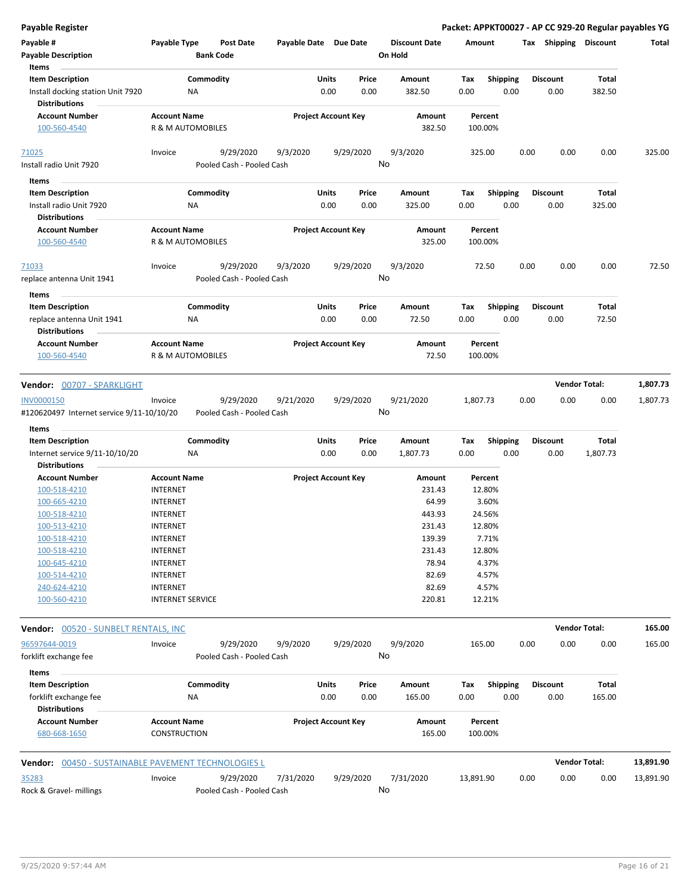**Payable Register Packet: APPKT00027 - AP CC 929-20 Regular payables YG**

| Items<br><b>Item Description</b><br>Install docking station Unit 7920<br><b>Distributions</b><br><b>Account Number</b><br>100-560-4540<br>71025<br>Install radio Unit 7920<br>Items<br><b>Item Description</b><br>Install radio Unit 7920<br><b>Distributions</b><br><b>Account Number</b><br>100-560-4540<br>71033 | ΝA<br><b>Account Name</b><br>R & M AUTOMOBILES<br>Invoice<br>ΝA<br><b>Account Name</b> | Commodity<br>9/29/2020<br>Pooled Cash - Pooled Cash<br>Commodity | 9/3/2020  | Units<br>0.00<br><b>Project Account Key</b> | Price<br>0.00 | Amount<br>382.50<br>Amount<br>382.50 | Tax<br>0.00<br>Percent<br>100.00% | Shipping<br>0.00 |      | <b>Discount</b><br>0.00 | Total<br>382.50      |           |
|---------------------------------------------------------------------------------------------------------------------------------------------------------------------------------------------------------------------------------------------------------------------------------------------------------------------|----------------------------------------------------------------------------------------|------------------------------------------------------------------|-----------|---------------------------------------------|---------------|--------------------------------------|-----------------------------------|------------------|------|-------------------------|----------------------|-----------|
|                                                                                                                                                                                                                                                                                                                     |                                                                                        |                                                                  |           |                                             |               |                                      |                                   |                  |      |                         |                      |           |
|                                                                                                                                                                                                                                                                                                                     |                                                                                        |                                                                  |           |                                             |               |                                      |                                   |                  |      |                         |                      |           |
|                                                                                                                                                                                                                                                                                                                     |                                                                                        |                                                                  |           |                                             |               |                                      |                                   |                  |      |                         |                      |           |
|                                                                                                                                                                                                                                                                                                                     |                                                                                        |                                                                  |           |                                             |               |                                      |                                   |                  |      |                         |                      |           |
|                                                                                                                                                                                                                                                                                                                     |                                                                                        |                                                                  |           |                                             | 9/29/2020     | 9/3/2020                             | 325.00                            |                  | 0.00 | 0.00                    | 0.00                 | 325.00    |
|                                                                                                                                                                                                                                                                                                                     |                                                                                        |                                                                  |           |                                             | No            |                                      |                                   |                  |      |                         |                      |           |
|                                                                                                                                                                                                                                                                                                                     |                                                                                        |                                                                  |           |                                             |               |                                      |                                   |                  |      |                         |                      |           |
|                                                                                                                                                                                                                                                                                                                     |                                                                                        |                                                                  |           | Units                                       | Price         | Amount                               | Tax                               | <b>Shipping</b>  |      | <b>Discount</b>         | Total                |           |
|                                                                                                                                                                                                                                                                                                                     |                                                                                        |                                                                  |           | 0.00                                        | 0.00          | 325.00                               | 0.00                              | 0.00             |      | 0.00                    | 325.00               |           |
|                                                                                                                                                                                                                                                                                                                     |                                                                                        |                                                                  |           |                                             |               |                                      |                                   |                  |      |                         |                      |           |
|                                                                                                                                                                                                                                                                                                                     |                                                                                        |                                                                  |           | <b>Project Account Key</b>                  |               | Amount                               | Percent                           |                  |      |                         |                      |           |
|                                                                                                                                                                                                                                                                                                                     | R & M AUTOMOBILES                                                                      |                                                                  |           |                                             |               | 325.00                               | 100.00%                           |                  |      |                         |                      |           |
|                                                                                                                                                                                                                                                                                                                     | Invoice                                                                                | 9/29/2020                                                        | 9/3/2020  |                                             | 9/29/2020     | 9/3/2020                             | 72.50                             |                  | 0.00 | 0.00                    | 0.00                 | 72.50     |
| replace antenna Unit 1941                                                                                                                                                                                                                                                                                           |                                                                                        | Pooled Cash - Pooled Cash                                        |           |                                             |               | No                                   |                                   |                  |      |                         |                      |           |
| Items                                                                                                                                                                                                                                                                                                               |                                                                                        |                                                                  |           |                                             |               |                                      |                                   |                  |      |                         |                      |           |
| <b>Item Description</b>                                                                                                                                                                                                                                                                                             |                                                                                        | Commodity                                                        |           | Units                                       | Price         | Amount                               | Tax                               | <b>Shipping</b>  |      | <b>Discount</b>         | Total                |           |
| replace antenna Unit 1941<br><b>Distributions</b>                                                                                                                                                                                                                                                                   | NA                                                                                     |                                                                  |           | 0.00                                        | 0.00          | 72.50                                | 0.00                              | 0.00             |      | 0.00                    | 72.50                |           |
| <b>Account Number</b>                                                                                                                                                                                                                                                                                               | <b>Account Name</b>                                                                    |                                                                  |           | <b>Project Account Key</b>                  |               | Amount                               | Percent                           |                  |      |                         |                      |           |
| 100-560-4540                                                                                                                                                                                                                                                                                                        | R & M AUTOMOBILES                                                                      |                                                                  |           |                                             |               | 72.50                                | 100.00%                           |                  |      |                         |                      |           |
| Vendor: 00707 - SPARKLIGHT                                                                                                                                                                                                                                                                                          |                                                                                        |                                                                  |           |                                             |               |                                      |                                   |                  |      |                         | <b>Vendor Total:</b> | 1,807.73  |
| INV0000150                                                                                                                                                                                                                                                                                                          | Invoice                                                                                | 9/29/2020                                                        | 9/21/2020 |                                             | 9/29/2020     | 9/21/2020                            | 1,807.73                          |                  | 0.00 | 0.00                    | 0.00                 | 1,807.73  |
| #120620497 Internet service 9/11-10/10/20                                                                                                                                                                                                                                                                           |                                                                                        | Pooled Cash - Pooled Cash                                        |           |                                             | No            |                                      |                                   |                  |      |                         |                      |           |
| Items                                                                                                                                                                                                                                                                                                               |                                                                                        |                                                                  |           |                                             |               |                                      |                                   |                  |      |                         |                      |           |
| <b>Item Description</b>                                                                                                                                                                                                                                                                                             |                                                                                        | Commodity                                                        |           | Units                                       | Price         | Amount                               | Tax                               | <b>Shipping</b>  |      | <b>Discount</b>         | Total                |           |
| Internet service 9/11-10/10/20                                                                                                                                                                                                                                                                                      | ΝA                                                                                     |                                                                  |           | 0.00                                        | 0.00          | 1,807.73                             | 0.00                              | 0.00             |      | 0.00                    | 1,807.73             |           |
| <b>Distributions</b>                                                                                                                                                                                                                                                                                                |                                                                                        |                                                                  |           |                                             |               |                                      |                                   |                  |      |                         |                      |           |
| <b>Account Number</b>                                                                                                                                                                                                                                                                                               | <b>Account Name</b>                                                                    |                                                                  |           | <b>Project Account Key</b>                  |               | Amount                               | Percent                           |                  |      |                         |                      |           |
| 100-518-4210                                                                                                                                                                                                                                                                                                        | <b>INTERNET</b>                                                                        |                                                                  |           |                                             |               | 231.43                               | 12.80%                            |                  |      |                         |                      |           |
| 100-665-4210                                                                                                                                                                                                                                                                                                        | <b>INTERNET</b>                                                                        |                                                                  |           |                                             |               | 64.99                                | 3.60%                             |                  |      |                         |                      |           |
| 100-518-4210                                                                                                                                                                                                                                                                                                        | <b>INTERNET</b>                                                                        |                                                                  |           |                                             |               | 443.93                               | 24.56%                            |                  |      |                         |                      |           |
| 100-513-4210                                                                                                                                                                                                                                                                                                        | <b>INTERNET</b>                                                                        |                                                                  |           |                                             |               | 231.43                               | 12.80%                            |                  |      |                         |                      |           |
| 100-518-4210                                                                                                                                                                                                                                                                                                        | <b>INTERNET</b>                                                                        |                                                                  |           |                                             |               | 139.39                               | 7.71%                             |                  |      |                         |                      |           |
| 100-518-4210                                                                                                                                                                                                                                                                                                        | <b>INTERNET</b>                                                                        |                                                                  |           |                                             |               | 231.43                               | 12.80%                            |                  |      |                         |                      |           |
| 100-645-4210                                                                                                                                                                                                                                                                                                        | <b>INTERNET</b>                                                                        |                                                                  |           |                                             |               | 78.94                                | 4.37%                             |                  |      |                         |                      |           |
| 100-514-4210                                                                                                                                                                                                                                                                                                        | <b>INTERNET</b>                                                                        |                                                                  |           |                                             |               | 82.69                                | 4.57%                             |                  |      |                         |                      |           |
| 240-624-4210                                                                                                                                                                                                                                                                                                        | <b>INTERNET</b>                                                                        |                                                                  |           |                                             |               | 82.69                                | 4.57%                             |                  |      |                         |                      |           |
| 100-560-4210                                                                                                                                                                                                                                                                                                        | <b>INTERNET SERVICE</b>                                                                |                                                                  |           |                                             |               | 220.81                               | 12.21%                            |                  |      |                         |                      |           |
| Vendor: 00520 - SUNBELT RENTALS, INC                                                                                                                                                                                                                                                                                |                                                                                        |                                                                  |           |                                             |               |                                      |                                   |                  |      |                         | <b>Vendor Total:</b> | 165.00    |
| 96597644-0019                                                                                                                                                                                                                                                                                                       | Invoice                                                                                | 9/29/2020                                                        | 9/9/2020  |                                             | 9/29/2020     | 9/9/2020                             | 165.00                            |                  | 0.00 | 0.00                    | 0.00                 | 165.00    |
| forklift exchange fee                                                                                                                                                                                                                                                                                               |                                                                                        | Pooled Cash - Pooled Cash                                        |           |                                             | No            |                                      |                                   |                  |      |                         |                      |           |
| Items                                                                                                                                                                                                                                                                                                               |                                                                                        |                                                                  |           |                                             |               |                                      |                                   |                  |      |                         |                      |           |
| <b>Item Description</b>                                                                                                                                                                                                                                                                                             |                                                                                        | Commodity                                                        |           | Units                                       | Price         | Amount                               | Tax                               | <b>Shipping</b>  |      | <b>Discount</b>         | Total                |           |
| forklift exchange fee                                                                                                                                                                                                                                                                                               | ΝA                                                                                     |                                                                  |           | 0.00                                        | 0.00          | 165.00                               | 0.00                              | 0.00             |      | 0.00                    | 165.00               |           |
|                                                                                                                                                                                                                                                                                                                     |                                                                                        |                                                                  |           |                                             |               |                                      |                                   |                  |      |                         |                      |           |
| <b>Distributions</b>                                                                                                                                                                                                                                                                                                | <b>Account Name</b>                                                                    |                                                                  |           | <b>Project Account Key</b>                  |               | Amount                               | Percent                           |                  |      |                         |                      |           |
| <b>Account Number</b>                                                                                                                                                                                                                                                                                               |                                                                                        |                                                                  |           |                                             |               |                                      |                                   |                  |      |                         |                      |           |
| 680-668-1650                                                                                                                                                                                                                                                                                                        | CONSTRUCTION                                                                           |                                                                  |           |                                             |               | 165.00                               | 100.00%                           |                  |      |                         |                      |           |
| <b>Vendor:</b> 00450 - SUSTAINABLE PAVEMENT TECHNOLOGIES L                                                                                                                                                                                                                                                          |                                                                                        |                                                                  |           |                                             |               |                                      |                                   |                  |      |                         | <b>Vendor Total:</b> | 13,891.90 |
| 35283                                                                                                                                                                                                                                                                                                               | Invoice                                                                                | 9/29/2020                                                        | 7/31/2020 |                                             | 9/29/2020     | 7/31/2020                            | 13,891.90                         |                  | 0.00 | 0.00                    | 0.00                 | 13,891.90 |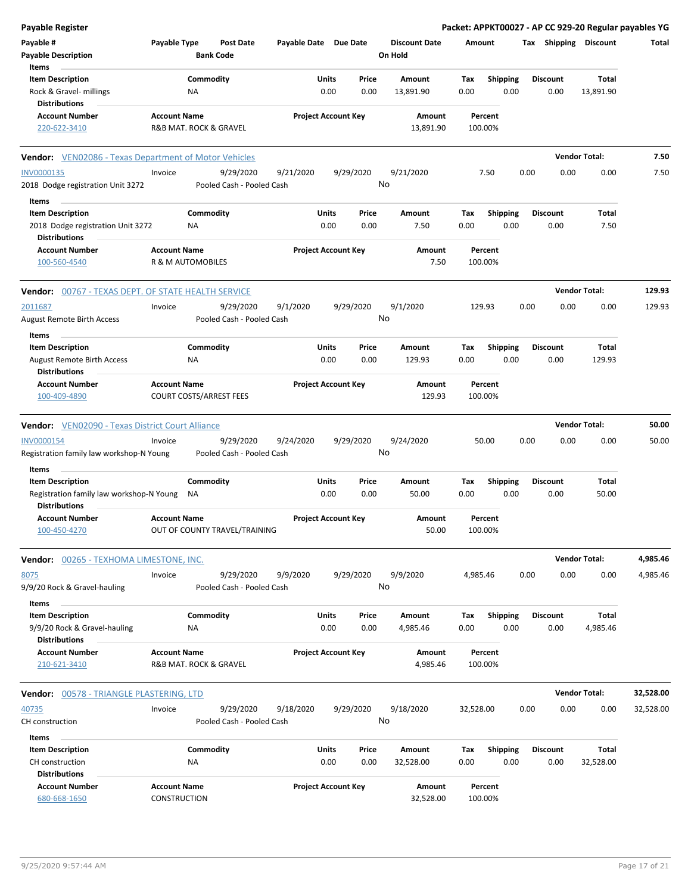| <b>Payable Register</b>                                          |                                     |                                |                            |              |           |                                 |           |                    |      |                 |                       | Packet: APPKT00027 - AP CC 929-20 Regular payables YG |
|------------------------------------------------------------------|-------------------------------------|--------------------------------|----------------------------|--------------|-----------|---------------------------------|-----------|--------------------|------|-----------------|-----------------------|-------------------------------------------------------|
| Payable #<br><b>Payable Description</b>                          | Payable Type                        | Post Date<br><b>Bank Code</b>  | Payable Date Due Date      |              |           | <b>Discount Date</b><br>On Hold | Amount    |                    |      |                 | Tax Shipping Discount | Total                                                 |
| Items                                                            |                                     |                                |                            |              |           |                                 |           |                    |      |                 |                       |                                                       |
| <b>Item Description</b>                                          |                                     | Commodity                      |                            | Units        | Price     | Amount                          | Tax       | <b>Shipping</b>    |      | Discount        | Total                 |                                                       |
| Rock & Gravel- millings                                          |                                     | NA                             |                            | 0.00         | 0.00      | 13,891.90                       | 0.00      | 0.00               |      | 0.00            | 13,891.90             |                                                       |
| <b>Distributions</b>                                             |                                     |                                |                            |              |           |                                 |           |                    |      |                 |                       |                                                       |
| <b>Account Number</b>                                            | <b>Account Name</b>                 |                                | <b>Project Account Key</b> |              |           | Amount                          |           | Percent            |      |                 |                       |                                                       |
| 220-622-3410                                                     |                                     | R&B MAT. ROCK & GRAVEL         |                            |              |           | 13,891.90                       |           | 100.00%            |      |                 |                       |                                                       |
| <b>Vendor:</b> VEN02086 - Texas Department of Motor Vehicles     |                                     |                                |                            |              |           |                                 |           |                    |      |                 | <b>Vendor Total:</b>  | 7.50                                                  |
| <b>INV0000135</b>                                                | Invoice                             | 9/29/2020                      | 9/21/2020                  |              | 9/29/2020 | 9/21/2020                       |           | 7.50               | 0.00 | 0.00            | 0.00                  | 7.50                                                  |
| 2018 Dodge registration Unit 3272                                |                                     | Pooled Cash - Pooled Cash      |                            |              |           | No                              |           |                    |      |                 |                       |                                                       |
| Items                                                            |                                     |                                |                            |              |           |                                 |           |                    |      |                 |                       |                                                       |
| <b>Item Description</b>                                          |                                     | Commodity                      |                            | Units        | Price     | Amount                          | Tax       | <b>Shipping</b>    |      | <b>Discount</b> | Total                 |                                                       |
| 2018 Dodge registration Unit 3272                                |                                     | ΝA                             |                            | 0.00         | 0.00      | 7.50                            | 0.00      | 0.00               |      | 0.00            | 7.50                  |                                                       |
| <b>Distributions</b>                                             |                                     |                                |                            |              |           |                                 |           |                    |      |                 |                       |                                                       |
| <b>Account Number</b>                                            | <b>Account Name</b>                 |                                | <b>Project Account Key</b> |              |           | Amount                          |           | Percent            |      |                 |                       |                                                       |
| 100-560-4540                                                     |                                     | R & M AUTOMOBILES              |                            |              |           | 7.50                            |           | 100.00%            |      |                 |                       |                                                       |
| <b>Vendor:</b> 00767 - TEXAS DEPT. OF STATE HEALTH SERVICE       |                                     |                                |                            |              |           |                                 |           |                    |      |                 | <b>Vendor Total:</b>  | 129.93                                                |
| 2011687                                                          | Invoice                             | 9/29/2020                      | 9/1/2020                   |              | 9/29/2020 | 9/1/2020                        |           | 129.93             | 0.00 | 0.00            | 0.00                  | 129.93                                                |
| <b>August Remote Birth Access</b>                                |                                     | Pooled Cash - Pooled Cash      |                            |              |           | No                              |           |                    |      |                 |                       |                                                       |
| Items                                                            |                                     |                                |                            |              |           |                                 |           |                    |      |                 |                       |                                                       |
| <b>Item Description</b>                                          |                                     | Commodity                      |                            | Units        | Price     | Amount                          | Tax       | <b>Shipping</b>    |      | <b>Discount</b> | Total                 |                                                       |
| <b>August Remote Birth Access</b>                                |                                     | ΝA                             |                            | 0.00         | 0.00      | 129.93                          | 0.00      | 0.00               |      | 0.00            | 129.93                |                                                       |
| <b>Distributions</b>                                             |                                     |                                |                            |              |           |                                 |           |                    |      |                 |                       |                                                       |
| <b>Account Number</b>                                            | <b>Account Name</b>                 |                                | <b>Project Account Key</b> |              |           | Amount                          |           | Percent            |      |                 |                       |                                                       |
| 100-409-4890                                                     |                                     | <b>COURT COSTS/ARREST FEES</b> |                            |              |           | 129.93                          |           | 100.00%            |      |                 |                       |                                                       |
|                                                                  |                                     |                                |                            |              |           |                                 |           |                    |      |                 |                       |                                                       |
| <b>Vendor:</b> VEN02090 - Texas District Court Alliance          |                                     |                                |                            |              |           |                                 |           |                    |      |                 | <b>Vendor Total:</b>  | 50.00                                                 |
| <b>INV0000154</b>                                                | Invoice                             | 9/29/2020                      | 9/24/2020                  |              | 9/29/2020 | 9/24/2020                       |           | 50.00              | 0.00 | 0.00            | 0.00                  | 50.00                                                 |
| Registration family law workshop-N Young                         |                                     | Pooled Cash - Pooled Cash      |                            |              |           | No                              |           |                    |      |                 |                       |                                                       |
| Items                                                            |                                     |                                |                            |              |           |                                 |           |                    |      |                 |                       |                                                       |
| <b>Item Description</b>                                          |                                     | Commodity                      |                            | Units        | Price     | Amount                          | Tax       | Shipping           |      | <b>Discount</b> | Total                 |                                                       |
| Registration family law workshop-N Young<br><b>Distributions</b> |                                     | ΝA                             |                            | 0.00         | 0.00      | 50.00                           | 0.00      | 0.00               |      | 0.00            | 50.00                 |                                                       |
| Account Number                                                   | <b>Account Name</b>                 |                                | <b>Project Account Key</b> |              |           | Amount                          |           | Percent            |      |                 |                       |                                                       |
| 100-450-4270                                                     |                                     | OUT OF COUNTY TRAVEL/TRAINING  |                            |              |           | 50.00                           |           | 100.00%            |      |                 |                       |                                                       |
| <b>Vendor: 00265 - TEXHOMA LIMESTONE, INC.</b>                   |                                     |                                |                            |              |           |                                 |           |                    |      |                 | <b>Vendor Total:</b>  | 4,985.46                                              |
| 8075                                                             | Invoice                             | 9/29/2020                      | 9/9/2020                   |              | 9/29/2020 | 9/9/2020                        | 4,985.46  |                    | 0.00 | 0.00            | 0.00                  | 4,985.46                                              |
| 9/9/20 Rock & Gravel-hauling                                     |                                     | Pooled Cash - Pooled Cash      |                            |              |           | No                              |           |                    |      |                 |                       |                                                       |
| Items                                                            |                                     |                                |                            |              |           |                                 |           |                    |      |                 |                       |                                                       |
| <b>Item Description</b>                                          |                                     | Commodity                      |                            | <b>Units</b> | Price     | Amount                          | Tax       | <b>Shipping</b>    |      | Discount        | Total                 |                                                       |
| 9/9/20 Rock & Gravel-hauling                                     |                                     | ΝA                             |                            | 0.00         | 0.00      | 4,985.46                        | 0.00      | 0.00               |      | 0.00            | 4,985.46              |                                                       |
| <b>Distributions</b>                                             |                                     |                                |                            |              |           |                                 |           |                    |      |                 |                       |                                                       |
| <b>Account Number</b>                                            | <b>Account Name</b>                 |                                | <b>Project Account Key</b> |              |           | Amount                          |           | Percent            |      |                 |                       |                                                       |
| 210-621-3410                                                     |                                     | R&B MAT. ROCK & GRAVEL         |                            |              |           | 4,985.46                        |           | 100.00%            |      |                 |                       |                                                       |
| Vendor: 00578 - TRIANGLE PLASTERING, LTD                         |                                     |                                |                            |              |           |                                 |           |                    |      |                 | <b>Vendor Total:</b>  | 32,528.00                                             |
| 40735                                                            | Invoice                             | 9/29/2020                      | 9/18/2020                  |              | 9/29/2020 | 9/18/2020                       | 32,528.00 |                    | 0.00 | 0.00            | 0.00                  | 32,528.00                                             |
|                                                                  |                                     |                                |                            |              |           | No                              |           |                    |      |                 |                       |                                                       |
| CH construction                                                  |                                     | Pooled Cash - Pooled Cash      |                            |              |           |                                 |           |                    |      |                 |                       |                                                       |
| Items                                                            |                                     |                                |                            |              |           |                                 |           |                    |      |                 |                       |                                                       |
| <b>Item Description</b>                                          |                                     | Commodity                      |                            | <b>Units</b> | Price     | Amount                          | Tax       | <b>Shipping</b>    |      | Discount        | Total                 |                                                       |
| CH construction                                                  |                                     | NA                             |                            | 0.00         | 0.00      | 32,528.00                       | 0.00      | 0.00               |      | 0.00            | 32,528.00             |                                                       |
| Distributions                                                    |                                     |                                |                            |              |           |                                 |           |                    |      |                 |                       |                                                       |
| <b>Account Number</b><br>680-668-1650                            | <b>Account Name</b><br>CONSTRUCTION |                                | <b>Project Account Key</b> |              |           | Amount<br>32,528.00             |           | Percent<br>100.00% |      |                 |                       |                                                       |
|                                                                  |                                     |                                |                            |              |           |                                 |           |                    |      |                 |                       |                                                       |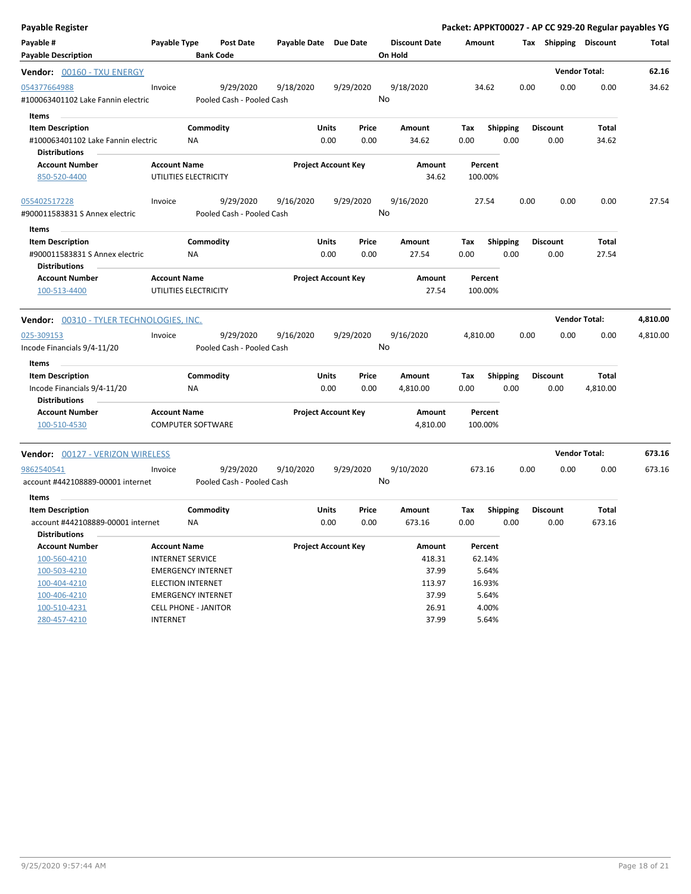| Payable Register                         |                                                |           |                           |                       |                            |           |                      |          |                 |      |                       | Packet: APPKT00027 - AP CC 929-20 Regular payables YG |          |
|------------------------------------------|------------------------------------------------|-----------|---------------------------|-----------------------|----------------------------|-----------|----------------------|----------|-----------------|------|-----------------------|-------------------------------------------------------|----------|
| Payable #                                | Payable Type                                   |           | <b>Post Date</b>          | Payable Date Due Date |                            |           | <b>Discount Date</b> | Amount   |                 |      | Tax Shipping Discount |                                                       | Total    |
| <b>Payable Description</b>               |                                                |           | <b>Bank Code</b>          |                       |                            |           | On Hold              |          |                 |      |                       |                                                       |          |
| Vendor: 00160 - TXU ENERGY               |                                                |           |                           |                       |                            |           |                      |          |                 |      |                       | <b>Vendor Total:</b>                                  | 62.16    |
| 054377664988                             | Invoice                                        |           | 9/29/2020                 | 9/18/2020             |                            | 9/29/2020 | 9/18/2020            |          | 34.62           | 0.00 | 0.00                  | 0.00                                                  | 34.62    |
| #100063401102 Lake Fannin electric       |                                                |           | Pooled Cash - Pooled Cash |                       |                            |           | No                   |          |                 |      |                       |                                                       |          |
| Items                                    |                                                |           |                           |                       |                            |           |                      |          |                 |      |                       |                                                       |          |
| <b>Item Description</b>                  |                                                | Commodity |                           |                       | Units                      | Price     | Amount               | Tax      | <b>Shipping</b> |      | <b>Discount</b>       | Total                                                 |          |
| #100063401102 Lake Fannin electric       |                                                | NA        |                           |                       | 0.00                       | 0.00      | 34.62                | 0.00     | 0.00            |      | 0.00                  | 34.62                                                 |          |
| <b>Distributions</b>                     |                                                |           |                           |                       |                            |           |                      |          |                 |      |                       |                                                       |          |
| <b>Account Number</b>                    | <b>Account Name</b>                            |           |                           |                       | <b>Project Account Key</b> |           | <b>Amount</b>        |          | Percent         |      |                       |                                                       |          |
| 850-520-4400                             | UTILITIES ELECTRICITY                          |           |                           |                       |                            |           | 34.62                |          | 100.00%         |      |                       |                                                       |          |
| 055402517228                             | Invoice                                        |           | 9/29/2020                 | 9/16/2020             |                            | 9/29/2020 | 9/16/2020            |          | 27.54           | 0.00 | 0.00                  | 0.00                                                  | 27.54    |
| #900011583831 S Annex electric           |                                                |           | Pooled Cash - Pooled Cash |                       |                            |           | No                   |          |                 |      |                       |                                                       |          |
| Items                                    |                                                |           |                           |                       |                            |           |                      |          |                 |      |                       |                                                       |          |
| <b>Item Description</b>                  |                                                | Commodity |                           |                       | Units                      | Price     | Amount               | Tax      | <b>Shipping</b> |      | <b>Discount</b>       | Total                                                 |          |
| #900011583831 S Annex electric           |                                                | NA        |                           |                       | 0.00                       | 0.00      | 27.54                | 0.00     | 0.00            |      | 0.00                  | 27.54                                                 |          |
| <b>Distributions</b>                     |                                                |           |                           |                       |                            |           |                      |          |                 |      |                       |                                                       |          |
| <b>Account Number</b>                    | <b>Account Name</b>                            |           |                           |                       | <b>Project Account Key</b> |           | Amount               |          | Percent         |      |                       |                                                       |          |
| 100-513-4400                             | UTILITIES ELECTRICITY                          |           |                           |                       |                            |           | 27.54                |          | 100.00%         |      |                       |                                                       |          |
| Vendor: 00310 - TYLER TECHNOLOGIES, INC. |                                                |           |                           |                       |                            |           |                      |          |                 |      |                       | <b>Vendor Total:</b>                                  | 4,810.00 |
| 025-309153                               | Invoice                                        |           | 9/29/2020                 | 9/16/2020             |                            | 9/29/2020 | 9/16/2020            | 4,810.00 |                 | 0.00 | 0.00                  | 0.00                                                  | 4,810.00 |
| Incode Financials 9/4-11/20              |                                                |           | Pooled Cash - Pooled Cash |                       |                            |           | No                   |          |                 |      |                       |                                                       |          |
|                                          |                                                |           |                           |                       |                            |           |                      |          |                 |      |                       |                                                       |          |
| Items<br><b>Item Description</b>         |                                                | Commodity |                           |                       | Units                      | Price     | Amount               | Tax      | <b>Shipping</b> |      | <b>Discount</b>       | Total                                                 |          |
| Incode Financials 9/4-11/20              |                                                | ΝA        |                           |                       | 0.00                       | 0.00      | 4,810.00             | 0.00     | 0.00            |      | 0.00                  | 4,810.00                                              |          |
| <b>Distributions</b>                     |                                                |           |                           |                       |                            |           |                      |          |                 |      |                       |                                                       |          |
| <b>Account Number</b>                    | <b>Account Name</b>                            |           |                           |                       | <b>Project Account Key</b> |           | Amount               |          | Percent         |      |                       |                                                       |          |
| 100-510-4530                             | <b>COMPUTER SOFTWARE</b>                       |           |                           |                       |                            |           | 4,810.00             |          | 100.00%         |      |                       |                                                       |          |
|                                          |                                                |           |                           |                       |                            |           |                      |          |                 |      |                       |                                                       |          |
| <b>Vendor: 00127 - VERIZON WIRELESS</b>  |                                                |           |                           |                       |                            |           |                      |          |                 |      |                       | <b>Vendor Total:</b>                                  | 673.16   |
| 9862540541                               | Invoice                                        |           | 9/29/2020                 | 9/10/2020             |                            | 9/29/2020 | 9/10/2020            |          | 673.16          | 0.00 | 0.00                  | 0.00                                                  | 673.16   |
| account #442108889-00001 internet        |                                                |           | Pooled Cash - Pooled Cash |                       |                            |           | No                   |          |                 |      |                       |                                                       |          |
| Items                                    |                                                |           |                           |                       |                            |           |                      |          |                 |      |                       |                                                       |          |
| <b>Item Description</b>                  |                                                | Commodity |                           |                       | Units                      | Price     | Amount               | Tax      | <b>Shipping</b> |      | <b>Discount</b>       | Total                                                 |          |
| account #442108889-00001 internet        |                                                | ΝA        |                           |                       | 0.00                       | 0.00      | 673.16               | 0.00     | 0.00            |      | 0.00                  | 673.16                                                |          |
| <b>Distributions</b>                     |                                                |           |                           |                       |                            |           |                      |          |                 |      |                       |                                                       |          |
| <b>Account Number</b>                    | <b>Account Name</b>                            |           |                           |                       | <b>Project Account Key</b> |           | Amount               |          | Percent         |      |                       |                                                       |          |
| 100-560-4210                             | <b>INTERNET SERVICE</b>                        |           |                           |                       |                            |           | 418.31               |          | 62.14%          |      |                       |                                                       |          |
| 100-503-4210                             | <b>EMERGENCY INTERNET</b>                      |           |                           |                       |                            |           | 37.99                |          | 5.64%           |      |                       |                                                       |          |
|                                          |                                                |           |                           |                       |                            |           |                      |          |                 |      |                       |                                                       |          |
| 100-404-4210                             | <b>ELECTION INTERNET</b>                       |           |                           |                       |                            |           | 113.97               |          | 16.93%          |      |                       |                                                       |          |
| 100-406-4210                             | <b>EMERGENCY INTERNET</b>                      |           |                           |                       |                            |           | 37.99                |          | 5.64%           |      |                       |                                                       |          |
| 100-510-4231<br>280-457-4210             | <b>CELL PHONE - JANITOR</b><br><b>INTERNET</b> |           |                           |                       |                            |           | 26.91<br>37.99       |          | 4.00%<br>5.64%  |      |                       |                                                       |          |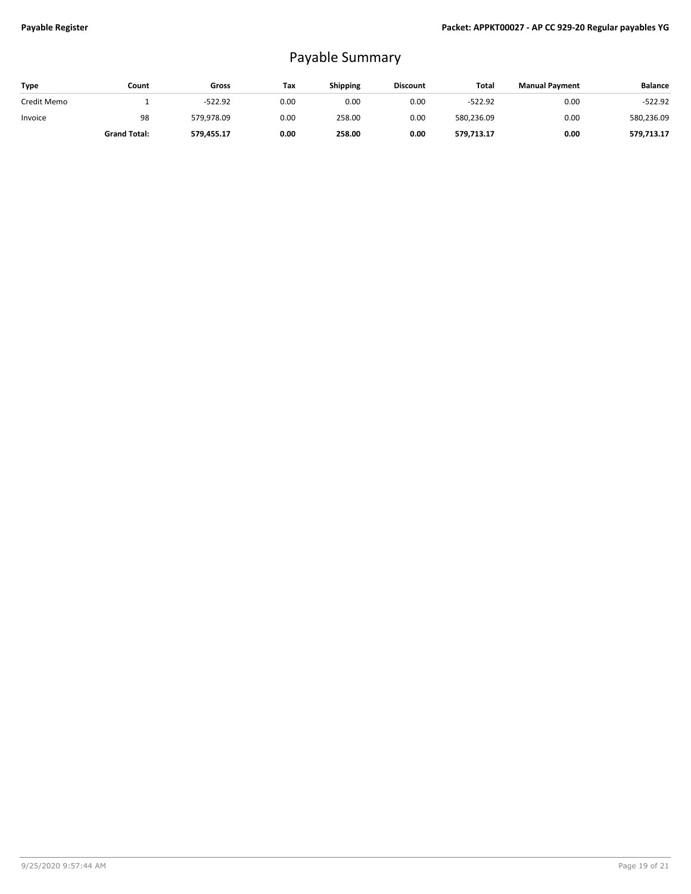# Payable Summary

| Type        | Count               | Gross      | Tax  | <b>Shipping</b> | <b>Discount</b> | Total      | <b>Manual Payment</b> | <b>Balance</b> |
|-------------|---------------------|------------|------|-----------------|-----------------|------------|-----------------------|----------------|
| Credit Memo |                     | $-522.92$  | 0.00 | 0.00            | 0.00            | $-522.92$  | 0.00                  | $-522.92$      |
| Invoice     | 98                  | 579.978.09 | 0.00 | 258.00          | 0.00            | 580,236.09 | 0.00                  | 580,236.09     |
|             | <b>Grand Total:</b> | 579,455.17 | 0.00 | 258.00          | 0.00            | 579.713.17 | 0.00                  | 579.713.17     |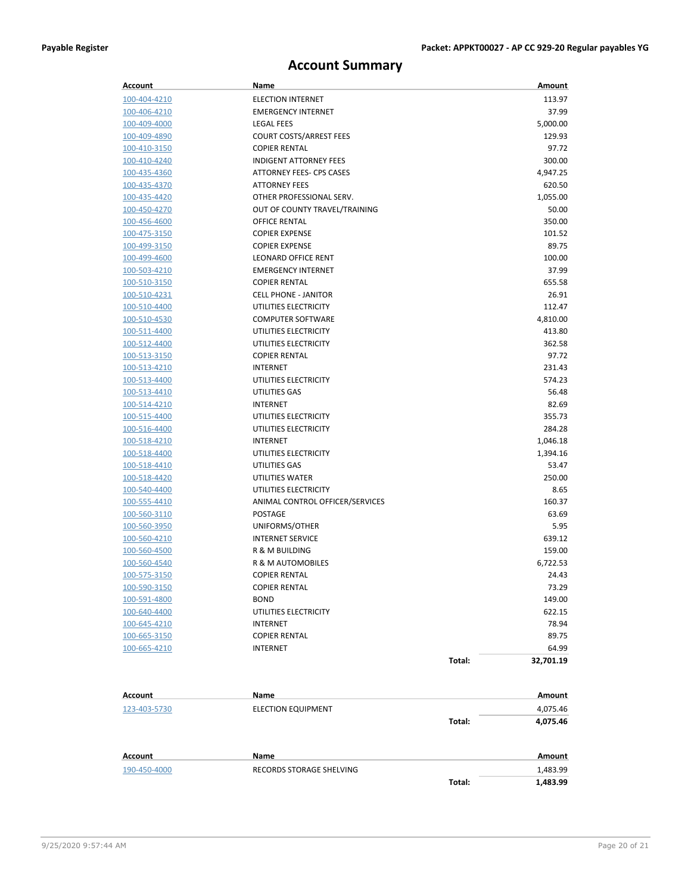### **Account Summary**

| Account             | Name                            |        | Amount    |
|---------------------|---------------------------------|--------|-----------|
| 100-404-4210        | <b>ELECTION INTERNET</b>        |        | 113.97    |
| 100-406-4210        | <b>EMERGENCY INTERNET</b>       |        | 37.99     |
| 100-409-4000        | <b>LEGAL FEES</b>               |        | 5,000.00  |
| 100-409-4890        | <b>COURT COSTS/ARREST FEES</b>  |        | 129.93    |
| 100-410-3150        | <b>COPIER RENTAL</b>            |        | 97.72     |
| 100-410-4240        | <b>INDIGENT ATTORNEY FEES</b>   |        | 300.00    |
| 100-435-4360        | <b>ATTORNEY FEES- CPS CASES</b> |        | 4,947.25  |
| 100-435-4370        | <b>ATTORNEY FEES</b>            |        | 620.50    |
| 100-435-4420        | OTHER PROFESSIONAL SERV.        |        | 1,055.00  |
| 100-450-4270        | OUT OF COUNTY TRAVEL/TRAINING   |        | 50.00     |
| <u>100-456-4600</u> | OFFICE RENTAL                   |        | 350.00    |
| 100-475-3150        | <b>COPIER EXPENSE</b>           |        | 101.52    |
| 100-499-3150        | <b>COPIER EXPENSE</b>           |        | 89.75     |
| 100-499-4600        | <b>LEONARD OFFICE RENT</b>      |        | 100.00    |
| 100-503-4210        | <b>EMERGENCY INTERNET</b>       |        | 37.99     |
| 100-510-3150        | <b>COPIER RENTAL</b>            |        | 655.58    |
| 100-510-4231        | <b>CELL PHONE - JANITOR</b>     |        | 26.91     |
| 100-510-4400        | UTILITIES ELECTRICITY           |        | 112.47    |
| 100-510-4530        | <b>COMPUTER SOFTWARE</b>        |        | 4,810.00  |
| 100-511-4400        | UTILITIES ELECTRICITY           |        | 413.80    |
| 100-512-4400        | UTILITIES ELECTRICITY           |        | 362.58    |
| 100-513-3150        | <b>COPIER RENTAL</b>            |        | 97.72     |
| 100-513-4210        | <b>INTERNET</b>                 |        | 231.43    |
| 100-513-4400        | UTILITIES ELECTRICITY           |        | 574.23    |
| 100-513-4410        | UTILITIES GAS                   |        | 56.48     |
| 100-514-4210        | <b>INTERNET</b>                 |        | 82.69     |
| 100-515-4400        | UTILITIES ELECTRICITY           |        | 355.73    |
| 100-516-4400        | UTILITIES ELECTRICITY           |        | 284.28    |
| 100-518-4210        | <b>INTERNET</b>                 |        | 1,046.18  |
| 100-518-4400        | UTILITIES ELECTRICITY           |        | 1,394.16  |
| 100-518-4410        | UTILITIES GAS                   |        | 53.47     |
| 100-518-4420        | UTILITIES WATER                 |        | 250.00    |
| 100-540-4400        | UTILITIES ELECTRICITY           |        | 8.65      |
| 100-555-4410        | ANIMAL CONTROL OFFICER/SERVICES |        | 160.37    |
| 100-560-3110        | <b>POSTAGE</b>                  |        | 63.69     |
| 100-560-3950        | UNIFORMS/OTHER                  |        | 5.95      |
| 100-560-4210        | <b>INTERNET SERVICE</b>         |        | 639.12    |
| 100-560-4500        | <b>R &amp; M BUILDING</b>       |        | 159.00    |
| 100-560-4540        | R & M AUTOMOBILES               |        | 6,722.53  |
| 100-575-3150        | <b>COPIER RENTAL</b>            |        | 24.43     |
| 100-590-3150        | COPIER RENTAL                   |        | 73.29     |
| 100-591-4800        | BOND                            |        | 149.00    |
| 100-640-4400        | UTILITIES ELECTRICITY           |        | 622.15    |
| 100-645-4210        | INTERNET                        |        | 78.94     |
| 100-665-3150        | <b>COPIER RENTAL</b>            |        | 89.75     |
| 100-665-4210        | INTERNET                        |        | 64.99     |
|                     |                                 | Total: | 32,701.19 |
|                     |                                 |        |           |
| Account             | Name                            |        | Amount    |
| 123-403-5730        | <b>ELECTION EQUIPMENT</b>       |        | 4,075.46  |
|                     |                                 | Total: | 4,075.46  |
|                     |                                 |        |           |
| <b>Account</b>      | Name                            |        | Amount    |

190-450-4000 RECORDS STORAGE SHELVING 1,483.99

**Total: 1,483.99**